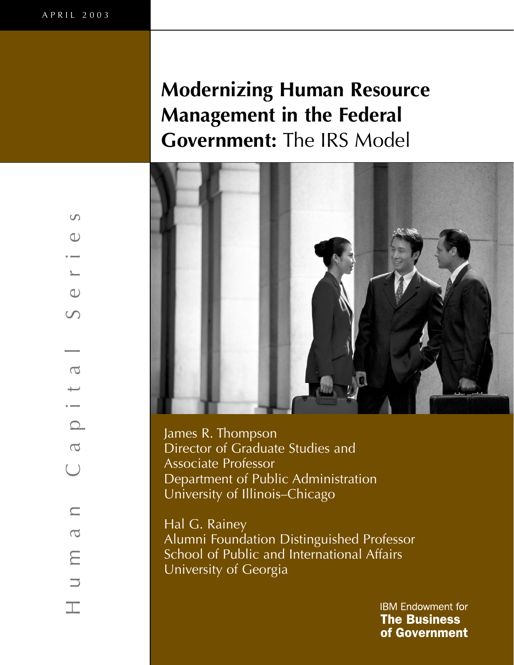## **Modernizing Human Resource Management in the Federal Government:** The IRS Model



James R. Thompson Director of Graduate Studies and Associate Professor Department of Public Administration University of Illinois–Chicago

Hal G. Rainey Alumni Foundation Distinguished Professor School of Public and International Affairs University of Georgia

> **IBM Endowment for The Business** of Government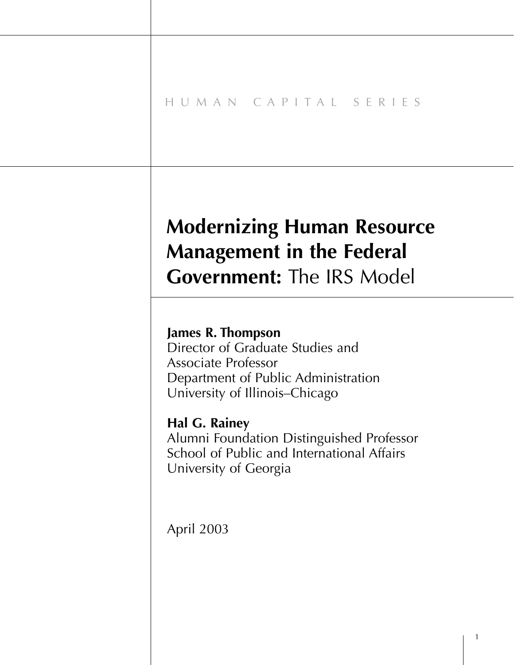# **Modernizing Human Resource Management in the Federal Government:** The IRS Model

## **James R. Thompson**

Director of Graduate Studies and Associate Professor Department of Public Administration University of Illinois–Chicago

## **Hal G. Rainey**

Alumni Foundation Distinguished Professor School of Public and International Affairs University of Georgia

April 2003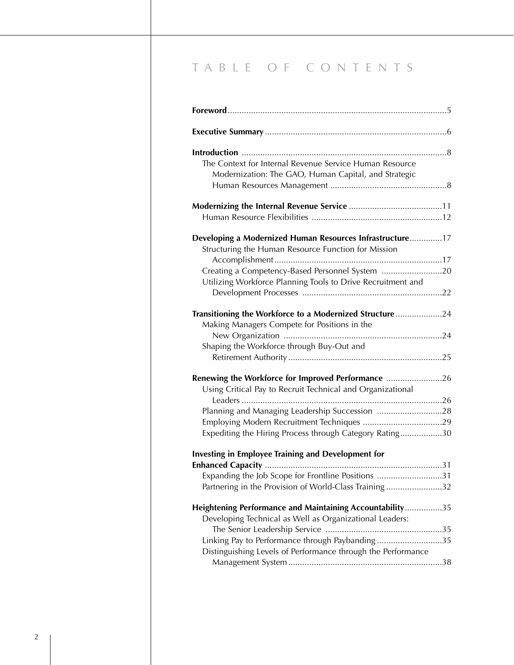## TABLE OF CONTENTS

| The Context for Internal Revenue Service Human Resource                                                          |  |
|------------------------------------------------------------------------------------------------------------------|--|
| Modernization: The GAO, Human Capital, and Strategic                                                             |  |
|                                                                                                                  |  |
| Developing a Modernized Human Resources Infrastructure17<br>Structuring the Human Resource Function for Mission  |  |
| Creating a Competency-Based Personnel System 20<br>Utilizing Workforce Planning Tools to Drive Recruitment and   |  |
| Transitioning the Workforce to a Modernized Structure24                                                          |  |
| Making Managers Compete for Positions in the                                                                     |  |
| Shaping the Workforce through Buy-Out and                                                                        |  |
| Renewing the Workforce for Improved Performance 26<br>Using Critical Pay to Recruit Technical and Organizational |  |
|                                                                                                                  |  |
| Planning and Managing Leadership Succession 28                                                                   |  |
| Expediting the Hiring Process through Category Rating30                                                          |  |
| <b>Investing in Employee Training and Development for</b>                                                        |  |
| Expanding the Job Scope for Frontline Positions 31                                                               |  |
| Partnering in the Provision of World-Class Training32                                                            |  |
| Heightening Performance and Maintaining Accountability35                                                         |  |
| Developing Technical as Well as Organizational Leaders:                                                          |  |
| Linking Pay to Performance through Paybanding35                                                                  |  |
| Distinguishing Levels of Performance through the Performance                                                     |  |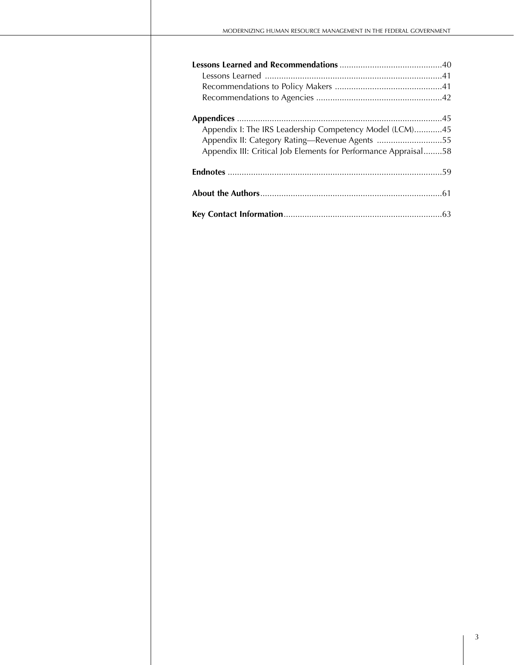| Appendix I: The IRS Leadership Competency Model (LCM)45         |  |
|-----------------------------------------------------------------|--|
| Appendix II: Category Rating-Revenue Agents 55                  |  |
| Appendix III: Critical Job Elements for Performance Appraisal58 |  |
|                                                                 |  |
|                                                                 |  |
|                                                                 |  |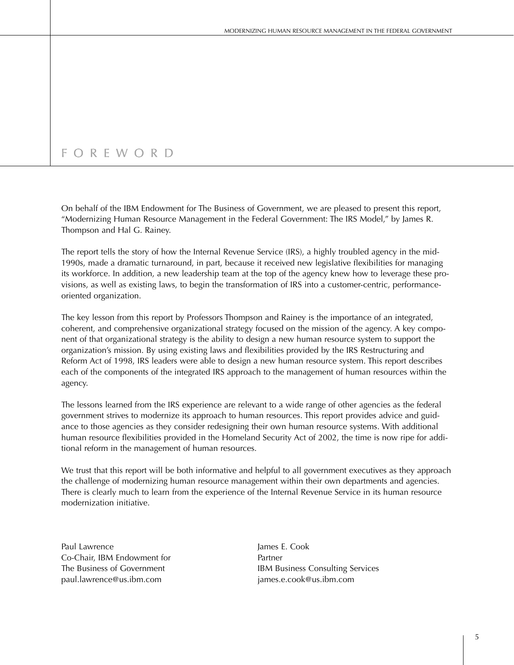## FOREWORD

On behalf of the IBM Endowment for The Business of Government, we are pleased to present this report, "Modernizing Human Resource Management in the Federal Government: The IRS Model," by James R. Thompson and Hal G. Rainey.

The report tells the story of how the Internal Revenue Service (IRS), a highly troubled agency in the mid-1990s, made a dramatic turnaround, in part, because it received new legislative flexibilities for managing its workforce. In addition, a new leadership team at the top of the agency knew how to leverage these provisions, as well as existing laws, to begin the transformation of IRS into a customer-centric, performanceoriented organization.

The key lesson from this report by Professors Thompson and Rainey is the importance of an integrated, coherent, and comprehensive organizational strategy focused on the mission of the agency. A key component of that organizational strategy is the ability to design a new human resource system to support the organization's mission. By using existing laws and flexibilities provided by the IRS Restructuring and Reform Act of 1998, IRS leaders were able to design a new human resource system. This report describes each of the components of the integrated IRS approach to the management of human resources within the agency.

The lessons learned from the IRS experience are relevant to a wide range of other agencies as the federal government strives to modernize its approach to human resources. This report provides advice and guidance to those agencies as they consider redesigning their own human resource systems. With additional human resource flexibilities provided in the Homeland Security Act of 2002, the time is now ripe for additional reform in the management of human resources.

We trust that this report will be both informative and helpful to all government executives as they approach the challenge of modernizing human resource management within their own departments and agencies. There is clearly much to learn from the experience of the Internal Revenue Service in its human resource modernization initiative.

Paul Lawrence **Access 20 Figure 2018 James E. Cook** Co-Chair, IBM Endowment for Partner paul.lawrence@us.ibm.com james.e.cook@us.ibm.com

The Business of Government IBM Business Consulting Services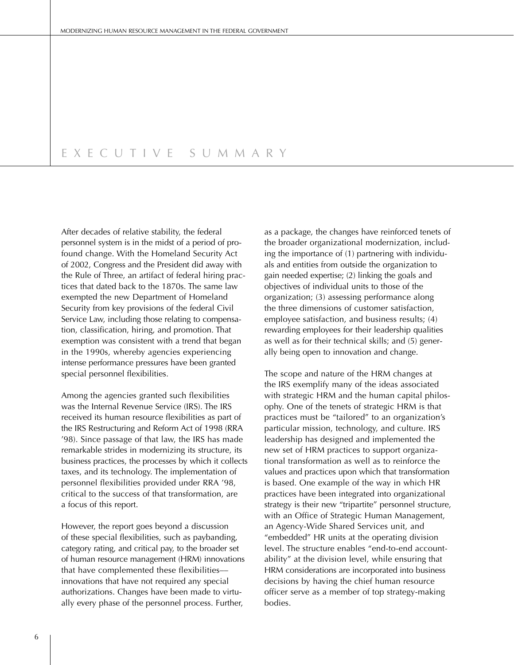### EXECUTIVE SUMMARY

After decades of relative stability, the federal personnel system is in the midst of a period of profound change. With the Homeland Security Act of 2002, Congress and the President did away with the Rule of Three, an artifact of federal hiring practices that dated back to the 1870s. The same law exempted the new Department of Homeland Security from key provisions of the federal Civil Service Law, including those relating to compensation, classification, hiring, and promotion. That exemption was consistent with a trend that began in the 1990s, whereby agencies experiencing intense performance pressures have been granted special personnel flexibilities.

Among the agencies granted such flexibilities was the Internal Revenue Service (IRS). The IRS received its human resource flexibilities as part of the IRS Restructuring and Reform Act of 1998 (RRA '98). Since passage of that law, the IRS has made remarkable strides in modernizing its structure, its business practices, the processes by which it collects taxes, and its technology. The implementation of personnel flexibilities provided under RRA '98, critical to the success of that transformation, are a focus of this report.

However, the report goes beyond a discussion of these special flexibilities, such as paybanding, category rating, and critical pay, to the broader set of human resource management (HRM) innovations that have complemented these flexibilities–– innovations that have not required any special authorizations. Changes have been made to virtually every phase of the personnel process. Further,

as a package, the changes have reinforced tenets of the broader organizational modernization, including the importance of (1) partnering with individuals and entities from outside the organization to gain needed expertise; (2) linking the goals and objectives of individual units to those of the organization; (3) assessing performance along the three dimensions of customer satisfaction, employee satisfaction, and business results; (4) rewarding employees for their leadership qualities as well as for their technical skills; and (5) generally being open to innovation and change.

The scope and nature of the HRM changes at the IRS exemplify many of the ideas associated with strategic HRM and the human capital philosophy. One of the tenets of strategic HRM is that practices must be "tailored" to an organization's particular mission, technology, and culture. IRS leadership has designed and implemented the new set of HRM practices to support organizational transformation as well as to reinforce the values and practices upon which that transformation is based. One example of the way in which HR practices have been integrated into organizational strategy is their new "tripartite" personnel structure, with an Office of Strategic Human Management, an Agency-Wide Shared Services unit, and "embedded" HR units at the operating division level. The structure enables "end-to-end accountability" at the division level, while ensuring that HRM considerations are incorporated into business decisions by having the chief human resource officer serve as a member of top strategy-making bodies.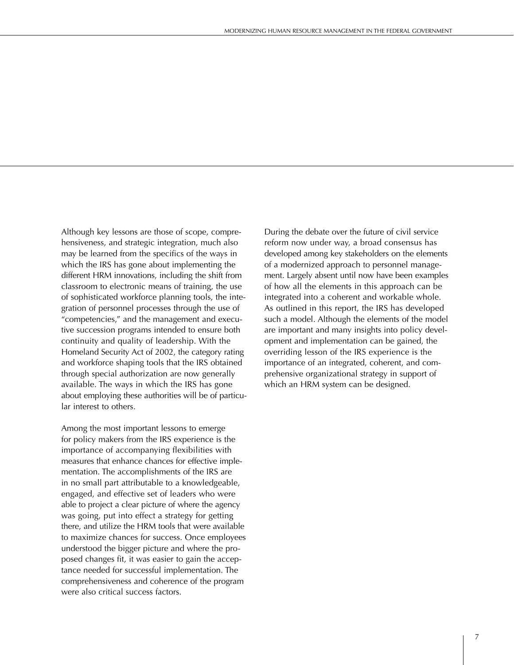Although key lessons are those of scope, comprehensiveness, and strategic integration, much also may be learned from the specifics of the ways in which the IRS has gone about implementing the different HRM innovations, including the shift from classroom to electronic means of training, the use of sophisticated workforce planning tools, the integration of personnel processes through the use of "competencies," and the management and executive succession programs intended to ensure both continuity and quality of leadership. With the Homeland Security Act of 2002, the category rating and workforce shaping tools that the IRS obtained through special authorization are now generally available. The ways in which the IRS has gone about employing these authorities will be of particular interest to others.

Among the most important lessons to emerge for policy makers from the IRS experience is the importance of accompanying flexibilities with measures that enhance chances for effective implementation. The accomplishments of the IRS are in no small part attributable to a knowledgeable, engaged, and effective set of leaders who were able to project a clear picture of where the agency was going, put into effect a strategy for getting there, and utilize the HRM tools that were available to maximize chances for success. Once employees understood the bigger picture and where the proposed changes fit, it was easier to gain the acceptance needed for successful implementation. The comprehensiveness and coherence of the program were also critical success factors.

During the debate over the future of civil service reform now under way, a broad consensus has developed among key stakeholders on the elements of a modernized approach to personnel management. Largely absent until now have been examples of how all the elements in this approach can be integrated into a coherent and workable whole. As outlined in this report, the IRS has developed such a model. Although the elements of the model are important and many insights into policy development and implementation can be gained, the overriding lesson of the IRS experience is the importance of an integrated, coherent, and comprehensive organizational strategy in support of which an HRM system can be designed.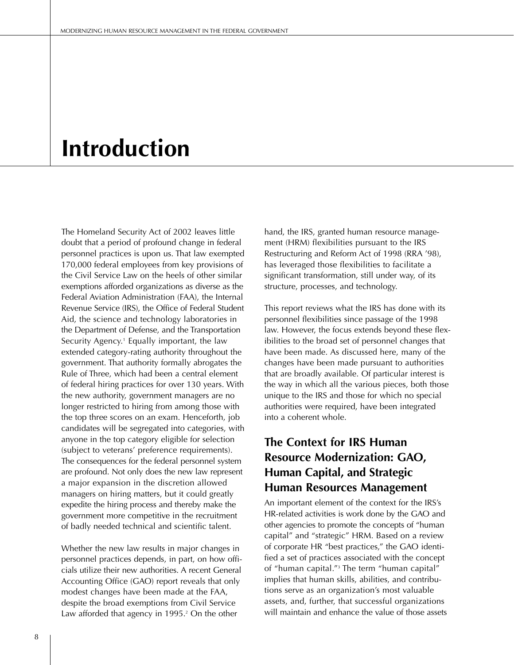## **Introduction**

The Homeland Security Act of 2002 leaves little doubt that a period of profound change in federal personnel practices is upon us. That law exempted 170,000 federal employees from key provisions of the Civil Service Law on the heels of other similar exemptions afforded organizations as diverse as the Federal Aviation Administration (FAA), the Internal Revenue Service (IRS), the Office of Federal Student Aid, the science and technology laboratories in the Department of Defense, and the Transportation Security Agency.<sup>1</sup> Equally important, the law extended category-rating authority throughout the government. That authority formally abrogates the Rule of Three, which had been a central element of federal hiring practices for over 130 years. With the new authority, government managers are no longer restricted to hiring from among those with the top three scores on an exam. Henceforth, job candidates will be segregated into categories, with anyone in the top category eligible for selection (subject to veterans' preference requirements). The consequences for the federal personnel system are profound. Not only does the new law represent a major expansion in the discretion allowed managers on hiring matters, but it could greatly expedite the hiring process and thereby make the government more competitive in the recruitment of badly needed technical and scientific talent.

Whether the new law results in major changes in personnel practices depends, in part, on how officials utilize their new authorities. A recent General Accounting Office (GAO) report reveals that only modest changes have been made at the FAA, despite the broad exemptions from Civil Service Law afforded that agency in 1995.<sup>2</sup> On the other

hand, the IRS, granted human resource management (HRM) flexibilities pursuant to the IRS Restructuring and Reform Act of 1998 (RRA '98), has leveraged those flexibilities to facilitate a significant transformation, still under way, of its structure, processes, and technology.

This report reviews what the IRS has done with its personnel flexibilities since passage of the 1998 law. However, the focus extends beyond these flexibilities to the broad set of personnel changes that have been made. As discussed here, many of the changes have been made pursuant to authorities that are broadly available. Of particular interest is the way in which all the various pieces, both those unique to the IRS and those for which no special authorities were required, have been integrated into a coherent whole.

## **The Context for IRS Human Resource Modernization: GAO, Human Capital, and Strategic Human Resources Management**

An important element of the context for the IRS's HR-related activities is work done by the GAO and other agencies to promote the concepts of "human capital" and "strategic" HRM. Based on a review of corporate HR "best practices," the GAO identified a set of practices associated with the concept of "human capital."3 The term "human capital" implies that human skills, abilities, and contributions serve as an organization's most valuable assets, and, further, that successful organizations will maintain and enhance the value of those assets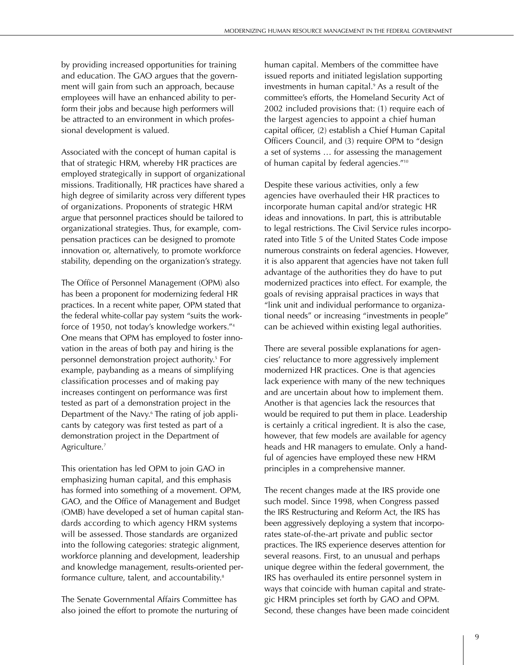by providing increased opportunities for training and education. The GAO argues that the government will gain from such an approach, because employees will have an enhanced ability to perform their jobs and because high performers will be attracted to an environment in which professional development is valued.

Associated with the concept of human capital is that of strategic HRM, whereby HR practices are employed strategically in support of organizational missions. Traditionally, HR practices have shared a high degree of similarity across very different types of organizations. Proponents of strategic HRM argue that personnel practices should be tailored to organizational strategies. Thus, for example, compensation practices can be designed to promote innovation or, alternatively, to promote workforce stability, depending on the organization's strategy.

The Office of Personnel Management (OPM) also has been a proponent for modernizing federal HR practices. In a recent white paper, OPM stated that the federal white-collar pay system "suits the workforce of 1950, not today's knowledge workers."4 One means that OPM has employed to foster innovation in the areas of both pay and hiring is the personnel demonstration project authority.<sup>5</sup> For example, paybanding as a means of simplifying classification processes and of making pay increases contingent on performance was first tested as part of a demonstration project in the Department of the Navy.<sup>6</sup> The rating of job applicants by category was first tested as part of a demonstration project in the Department of Agriculture.<sup>7</sup>

This orientation has led OPM to join GAO in emphasizing human capital, and this emphasis has formed into something of a movement. OPM, GAO, and the Office of Management and Budget (OMB) have developed a set of human capital standards according to which agency HRM systems will be assessed. Those standards are organized into the following categories: strategic alignment, workforce planning and development, leadership and knowledge management, results-oriented performance culture, talent, and accountability.<sup>8</sup>

The Senate Governmental Affairs Committee has also joined the effort to promote the nurturing of human capital. Members of the committee have issued reports and initiated legislation supporting investments in human capital.9 As a result of the committee's efforts, the Homeland Security Act of 2002 included provisions that: (1) require each of the largest agencies to appoint a chief human capital officer, (2) establish a Chief Human Capital Officers Council, and (3) require OPM to "design a set of systems … for assessing the management of human capital by federal agencies."10

Despite these various activities, only a few agencies have overhauled their HR practices to incorporate human capital and/or strategic HR ideas and innovations. In part, this is attributable to legal restrictions. The Civil Service rules incorporated into Title 5 of the United States Code impose numerous constraints on federal agencies. However, it is also apparent that agencies have not taken full advantage of the authorities they do have to put modernized practices into effect. For example, the goals of revising appraisal practices in ways that "link unit and individual performance to organizational needs" or increasing "investments in people" can be achieved within existing legal authorities.

There are several possible explanations for agencies' reluctance to more aggressively implement modernized HR practices. One is that agencies lack experience with many of the new techniques and are uncertain about how to implement them. Another is that agencies lack the resources that would be required to put them in place. Leadership is certainly a critical ingredient. It is also the case, however, that few models are available for agency heads and HR managers to emulate. Only a handful of agencies have employed these new HRM principles in a comprehensive manner.

The recent changes made at the IRS provide one such model. Since 1998, when Congress passed the IRS Restructuring and Reform Act, the IRS has been aggressively deploying a system that incorporates state-of-the-art private and public sector practices. The IRS experience deserves attention for several reasons. First, to an unusual and perhaps unique degree within the federal government, the IRS has overhauled its entire personnel system in ways that coincide with human capital and strategic HRM principles set forth by GAO and OPM. Second, these changes have been made coincident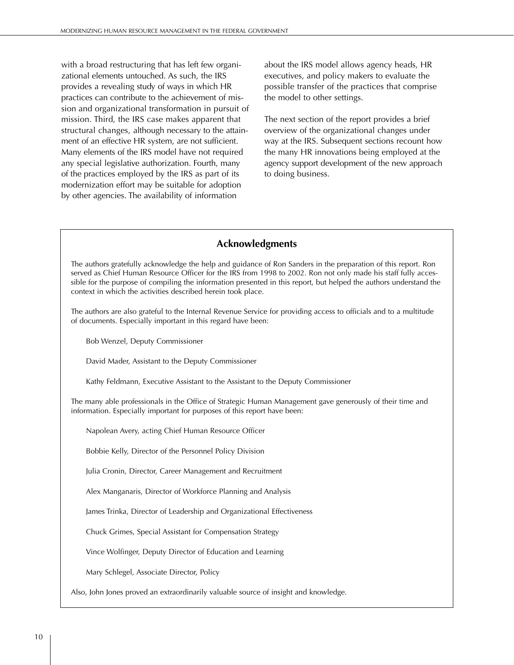with a broad restructuring that has left few organizational elements untouched. As such, the IRS provides a revealing study of ways in which HR practices can contribute to the achievement of mission and organizational transformation in pursuit of mission. Third, the IRS case makes apparent that structural changes, although necessary to the attainment of an effective HR system, are not sufficient. Many elements of the IRS model have not required any special legislative authorization. Fourth, many of the practices employed by the IRS as part of its modernization effort may be suitable for adoption by other agencies. The availability of information

about the IRS model allows agency heads, HR executives, and policy makers to evaluate the possible transfer of the practices that comprise the model to other settings.

The next section of the report provides a brief overview of the organizational changes under way at the IRS. Subsequent sections recount how the many HR innovations being employed at the agency support development of the new approach to doing business.

### **Acknowledgments**

The authors gratefully acknowledge the help and guidance of Ron Sanders in the preparation of this report. Ron served as Chief Human Resource Officer for the IRS from 1998 to 2002. Ron not only made his staff fully accessible for the purpose of compiling the information presented in this report, but helped the authors understand the context in which the activities described herein took place.

The authors are also grateful to the Internal Revenue Service for providing access to officials and to a multitude of documents. Especially important in this regard have been:

Bob Wenzel, Deputy Commissioner

David Mader, Assistant to the Deputy Commissioner

Kathy Feldmann, Executive Assistant to the Assistant to the Deputy Commissioner

The many able professionals in the Office of Strategic Human Management gave generously of their time and information. Especially important for purposes of this report have been:

Napolean Avery, acting Chief Human Resource Officer

Bobbie Kelly, Director of the Personnel Policy Division

Julia Cronin, Director, Career Management and Recruitment

Alex Manganaris, Director of Workforce Planning and Analysis

James Trinka, Director of Leadership and Organizational Effectiveness

Chuck Grimes, Special Assistant for Compensation Strategy

Vince Wolfinger, Deputy Director of Education and Learning

Mary Schlegel, Associate Director, Policy

Also, John Jones proved an extraordinarily valuable source of insight and knowledge.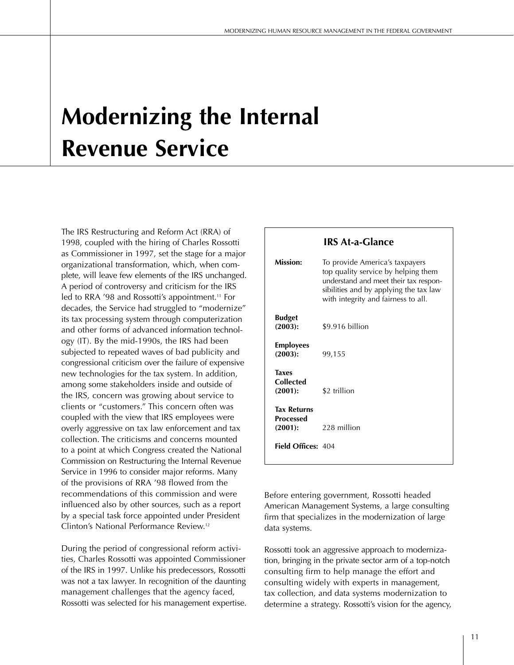# **Modernizing the Internal Revenue Service**

The IRS Restructuring and Reform Act (RRA) of 1998, coupled with the hiring of Charles Rossotti as Commissioner in 1997, set the stage for a major organizational transformation, which, when complete, will leave few elements of the IRS unchanged. A period of controversy and criticism for the IRS led to RRA '98 and Rossotti's appointment.<sup>11</sup> For decades, the Service had struggled to "modernize" its tax processing system through computerization and other forms of advanced information technology (IT). By the mid-1990s, the IRS had been subjected to repeated waves of bad publicity and congressional criticism over the failure of expensive new technologies for the tax system. In addition, among some stakeholders inside and outside of the IRS, concern was growing about service to clients or "customers." This concern often was coupled with the view that IRS employees were overly aggressive on tax law enforcement and tax collection. The criticisms and concerns mounted to a point at which Congress created the National Commission on Restructuring the Internal Revenue Service in 1996 to consider major reforms. Many of the provisions of RRA '98 flowed from the recommendations of this commission and were influenced also by other sources, such as a report by a special task force appointed under President Clinton's National Performance Review.12

During the period of congressional reform activities, Charles Rossotti was appointed Commissioner of the IRS in 1997. Unlike his predecessors, Rossotti was not a tax lawyer. In recognition of the daunting management challenges that the agency faced, Rossotti was selected for his management expertise.

#### **IRS At-a-Glance**

| Mission:                                          | To provide America's taxpayers<br>top quality service by helping them<br>understand and meet their tax respon-<br>sibilities and by applying the tax law<br>with integrity and fairness to all. |
|---------------------------------------------------|-------------------------------------------------------------------------------------------------------------------------------------------------------------------------------------------------|
| <b>Budget</b><br>(2003):                          | \$9.916 billion                                                                                                                                                                                 |
| <b>Employees</b><br>(2003):                       | 99,155                                                                                                                                                                                          |
| <b>Taxes</b><br><b>Collected</b><br>(2001):       | \$2 trillion                                                                                                                                                                                    |
| <b>Tax Returns</b><br><b>Processed</b><br>(2001): | 228 million                                                                                                                                                                                     |
| <b>Field Offices: 404</b>                         |                                                                                                                                                                                                 |

Before entering government, Rossotti headed American Management Systems, a large consulting firm that specializes in the modernization of large data systems.

Rossotti took an aggressive approach to modernization, bringing in the private sector arm of a top-notch consulting firm to help manage the effort and consulting widely with experts in management, tax collection, and data systems modernization to determine a strategy. Rossotti's vision for the agency,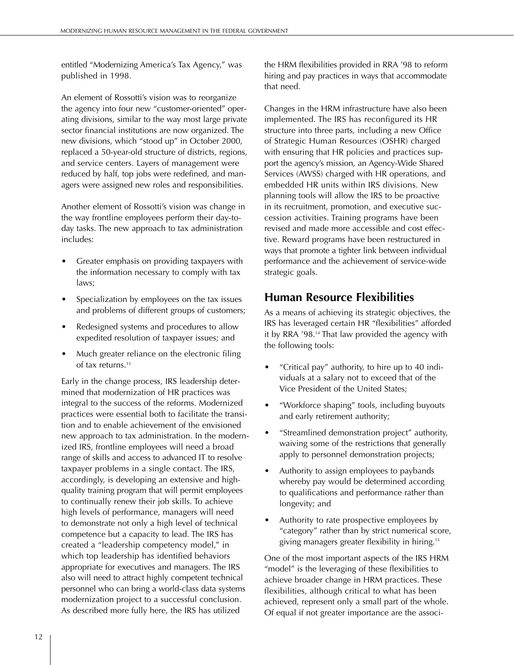entitled "Modernizing America's Tax Agency," was published in 1998.

An element of Rossotti's vision was to reorganize the agency into four new "customer-oriented" operating divisions, similar to the way most large private sector financial institutions are now organized. The new divisions, which "stood up" in October 2000, replaced a 50-year-old structure of districts, regions, and service centers. Layers of management were reduced by half, top jobs were redefined, and managers were assigned new roles and responsibilities.

Another element of Rossotti's vision was change in the way frontline employees perform their day-today tasks. The new approach to tax administration includes:

- Greater emphasis on providing taxpayers with the information necessary to comply with tax laws;
- Specialization by employees on the tax issues and problems of different groups of customers;
- Redesigned systems and procedures to allow expedited resolution of taxpayer issues; and
- Much greater reliance on the electronic filing of tax returns.<sup>13</sup>

Early in the change process, IRS leadership determined that modernization of HR practices was integral to the success of the reforms. Modernized practices were essential both to facilitate the transition and to enable achievement of the envisioned new approach to tax administration. In the modernized IRS, frontline employees will need a broad range of skills and access to advanced IT to resolve taxpayer problems in a single contact. The IRS, accordingly, is developing an extensive and highquality training program that will permit employees to continually renew their job skills. To achieve high levels of performance, managers will need to demonstrate not only a high level of technical competence but a capacity to lead. The IRS has created a "leadership competency model," in which top leadership has identified behaviors appropriate for executives and managers. The IRS also will need to attract highly competent technical personnel who can bring a world-class data systems modernization project to a successful conclusion. As described more fully here, the IRS has utilized

the HRM flexibilities provided in RRA '98 to reform hiring and pay practices in ways that accommodate that need.

Changes in the HRM infrastructure have also been implemented. The IRS has reconfigured its HR structure into three parts, including a new Office of Strategic Human Resources (OSHR) charged with ensuring that HR policies and practices support the agency's mission, an Agency-Wide Shared Services (AWSS) charged with HR operations, and embedded HR units within IRS divisions. New planning tools will allow the IRS to be proactive in its recruitment, promotion, and executive succession activities. Training programs have been revised and made more accessible and cost effective. Reward programs have been restructured in ways that promote a tighter link between individual performance and the achievement of service-wide strategic goals.

## **Human Resource Flexibilities**

As a means of achieving its strategic objectives, the IRS has leveraged certain HR "flexibilities" afforded it by RRA '98.14 That law provided the agency with the following tools:

- "Critical pay" authority, to hire up to 40 individuals at a salary not to exceed that of the Vice President of the United States;
- "Workforce shaping" tools, including buyouts and early retirement authority;
- "Streamlined demonstration project" authority, waiving some of the restrictions that generally apply to personnel demonstration projects;
- Authority to assign employees to paybands whereby pay would be determined according to qualifications and performance rather than longevity; and
- Authority to rate prospective employees by "category" rather than by strict numerical score, giving managers greater flexibility in hiring.15

One of the most important aspects of the IRS HRM "model" is the leveraging of these flexibilities to achieve broader change in HRM practices. These flexibilities, although critical to what has been achieved, represent only a small part of the whole. Of equal if not greater importance are the associ-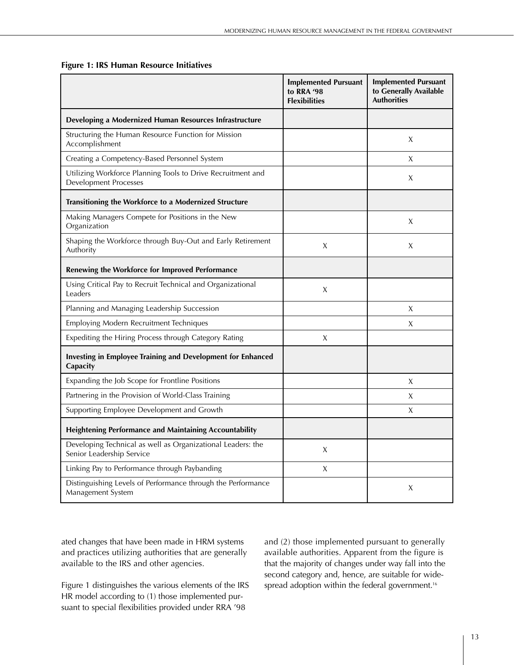|                                                                                             | <b>Implemented Pursuant</b><br>to RRA '98<br><b>Flexibilities</b> | <b>Implemented Pursuant</b><br>to Generally Available<br><b>Authorities</b> |
|---------------------------------------------------------------------------------------------|-------------------------------------------------------------------|-----------------------------------------------------------------------------|
| Developing a Modernized Human Resources Infrastructure                                      |                                                                   |                                                                             |
| Structuring the Human Resource Function for Mission<br>Accomplishment                       |                                                                   | X                                                                           |
| Creating a Competency-Based Personnel System                                                |                                                                   | X                                                                           |
| Utilizing Workforce Planning Tools to Drive Recruitment and<br><b>Development Processes</b> |                                                                   | $\mathsf{X}$                                                                |
| Transitioning the Workforce to a Modernized Structure                                       |                                                                   |                                                                             |
| Making Managers Compete for Positions in the New<br>Organization                            |                                                                   | X                                                                           |
| Shaping the Workforce through Buy-Out and Early Retirement<br>Authority                     | X                                                                 | X                                                                           |
| Renewing the Workforce for Improved Performance                                             |                                                                   |                                                                             |
| Using Critical Pay to Recruit Technical and Organizational<br>Leaders                       | X                                                                 |                                                                             |
| Planning and Managing Leadership Succession                                                 |                                                                   | X                                                                           |
| Employing Modern Recruitment Techniques                                                     |                                                                   | X                                                                           |
| Expediting the Hiring Process through Category Rating                                       | X                                                                 |                                                                             |
| <b>Investing in Employee Training and Development for Enhanced</b><br>Capacity              |                                                                   |                                                                             |
| Expanding the Job Scope for Frontline Positions                                             |                                                                   | X                                                                           |
| Partnering in the Provision of World-Class Training                                         |                                                                   | X                                                                           |
| Supporting Employee Development and Growth                                                  |                                                                   | X                                                                           |
| <b>Heightening Performance and Maintaining Accountability</b>                               |                                                                   |                                                                             |
| Developing Technical as well as Organizational Leaders: the<br>Senior Leadership Service    | X                                                                 |                                                                             |
| Linking Pay to Performance through Paybanding                                               | X                                                                 |                                                                             |
| Distinguishing Levels of Performance through the Performance<br>Management System           |                                                                   | X                                                                           |

#### **Figure 1: IRS Human Resource Initiatives**

ated changes that have been made in HRM systems and practices utilizing authorities that are generally available to the IRS and other agencies.

Figure 1 distinguishes the various elements of the IRS HR model according to (1) those implemented pursuant to special flexibilities provided under RRA '98

and (2) those implemented pursuant to generally available authorities. Apparent from the figure is that the majority of changes under way fall into the second category and, hence, are suitable for widespread adoption within the federal government.<sup>16</sup>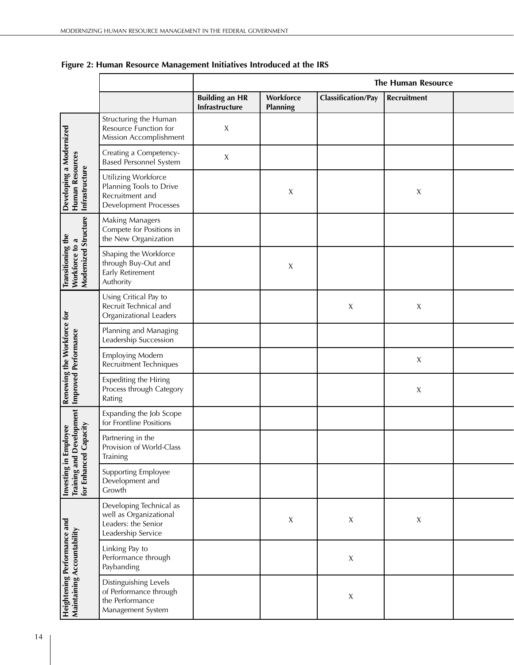|                                                                                               |                                                                                                   | <b>The Human Resource</b>               |                                     |                           |             |  |
|-----------------------------------------------------------------------------------------------|---------------------------------------------------------------------------------------------------|-----------------------------------------|-------------------------------------|---------------------------|-------------|--|
|                                                                                               |                                                                                                   | <b>Building an HR</b><br>Infrastructure | <b>Workforce</b><br><b>Planning</b> | <b>Classification/Pay</b> | Recruitment |  |
| Developing a Modernized<br>Human Resources<br>Infrastructure                                  | Structuring the Human<br>Resource Function for<br>Mission Accomplishment                          | $\mathsf X$                             |                                     |                           |             |  |
|                                                                                               | Creating a Competency-<br><b>Based Personnel System</b>                                           | $\mathsf X$                             |                                     |                           |             |  |
|                                                                                               | Utilizing Workforce<br>Planning Tools to Drive<br>Recruitment and<br><b>Development Processes</b> |                                         | $\mathsf X$                         |                           | $\mathsf X$ |  |
| Modernized Structure<br>Transitioning the<br>Workforce to a                                   | Making Managers<br>Compete for Positions in<br>the New Organization                               |                                         |                                     |                           |             |  |
|                                                                                               | Shaping the Workforce<br>through Buy-Out and<br>Early Retirement<br>Authority                     |                                         | $\mathsf X$                         |                           |             |  |
| Renewing the Workforce for<br>Improved Performance                                            | Using Critical Pay to<br>Recruit Technical and<br>Organizational Leaders                          |                                         |                                     | $\mathsf X$               | $\mathsf X$ |  |
|                                                                                               | Planning and Managing<br>Leadership Succession                                                    |                                         |                                     |                           |             |  |
|                                                                                               | Employing Modern<br>Recruitment Techniques                                                        |                                         |                                     |                           | $\mathsf X$ |  |
|                                                                                               | Expediting the Hiring<br>Process through Category<br>Rating                                       |                                         |                                     |                           | X           |  |
|                                                                                               | Expanding the Job Scope<br>for Frontline Positions                                                |                                         |                                     |                           |             |  |
| <b>Training and Development</b><br>for Enhanced Capacity<br>Capacity<br>Investing in Employee | Partnering in the<br>Provision of World-Class<br>Training                                         |                                         |                                     |                           |             |  |
|                                                                                               | <b>Supporting Employee</b><br>Development and<br>Growth                                           |                                         |                                     |                           |             |  |
| Heightening Performance and<br>Maintaining Accountability                                     | Developing Technical as<br>well as Organizational<br>Leaders: the Senior<br>Leadership Service    |                                         | $\mathsf X$                         | $\mathsf X$               | $\mathsf X$ |  |
|                                                                                               | Linking Pay to<br>Performance through<br>Paybanding                                               |                                         |                                     | $\mathsf X$               |             |  |
|                                                                                               | Distinguishing Levels<br>of Performance through<br>the Performance<br>Management System           |                                         |                                     | $\mathsf X$               |             |  |

### **Figure 2: Human Resource Management Initiatives Introduced at the IRS**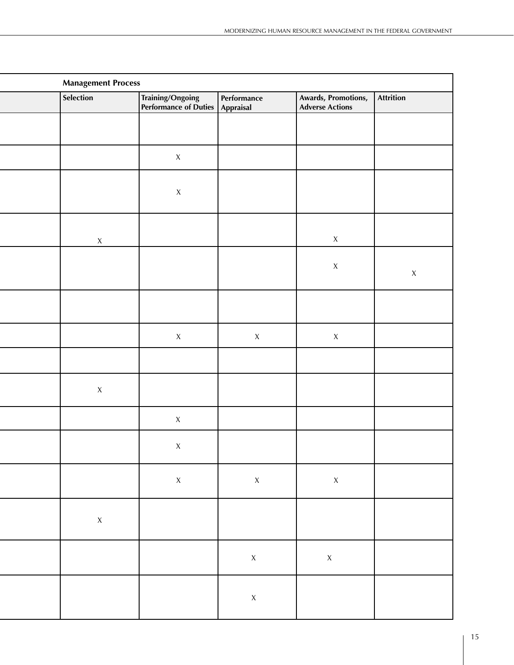| <b>Management Process</b> |                                                        |             |                                               |             |  |
|---------------------------|--------------------------------------------------------|-------------|-----------------------------------------------|-------------|--|
| Selection                 | Training/Ongoing<br>Performance of Duties<br>Appraisal | Performance | Awards, Promotions,<br><b>Adverse Actions</b> | Attrition   |  |
|                           |                                                        |             |                                               |             |  |
|                           | $\mathsf X$                                            |             |                                               |             |  |
|                           | $\mathsf X$                                            |             |                                               |             |  |
| $\mathsf X$               |                                                        |             | $\mathsf X$                                   |             |  |
|                           |                                                        |             | $\mathsf X$                                   | $\mathsf X$ |  |
|                           |                                                        |             |                                               |             |  |
|                           | $\mathsf X$                                            | $\mathsf X$ | $\mathsf X$                                   |             |  |
|                           |                                                        |             |                                               |             |  |
| $\mathsf X$               |                                                        |             |                                               |             |  |
|                           | $\mathsf X$                                            |             |                                               |             |  |
|                           | $\mathsf X$                                            |             |                                               |             |  |
|                           | $\mathsf X$                                            | $\mathsf X$ | $\mathsf X$                                   |             |  |
| $\mathsf X$               |                                                        |             |                                               |             |  |
|                           |                                                        | $\mathsf X$ | $\mathsf{X}% _{0}$                            |             |  |
|                           |                                                        | $\mathsf X$ |                                               |             |  |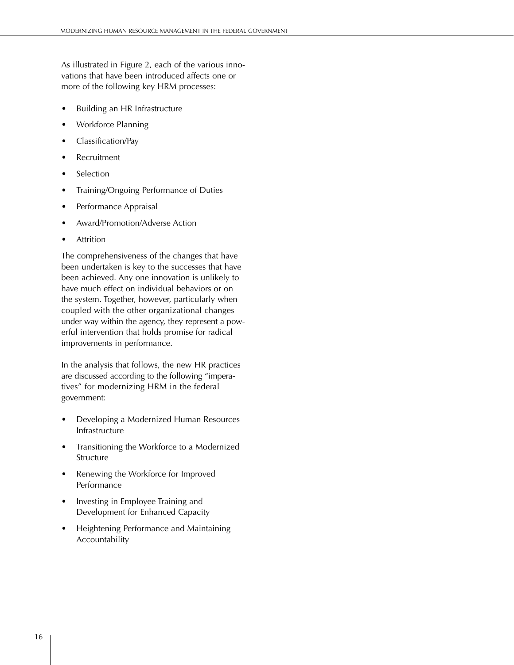As illustrated in Figure 2, each of the various innovations that have been introduced affects one or more of the following key HRM processes:

- Building an HR Infrastructure
- Workforce Planning
- Classification/Pay
- **Recruitment**
- **Selection**
- Training/Ongoing Performance of Duties
- Performance Appraisal
- Award/Promotion/Adverse Action
- **Attrition**

The comprehensiveness of the changes that have been undertaken is key to the successes that have been achieved. Any one innovation is unlikely to have much effect on individual behaviors or on the system. Together, however, particularly when coupled with the other organizational changes under way within the agency, they represent a powerful intervention that holds promise for radical improvements in performance.

In the analysis that follows, the new HR practices are discussed according to the following "imperatives" for modernizing HRM in the federal government:

- Developing a Modernized Human Resources Infrastructure
- Transitioning the Workforce to a Modernized Structure
- Renewing the Workforce for Improved Performance
- Investing in Employee Training and Development for Enhanced Capacity
- Heightening Performance and Maintaining Accountability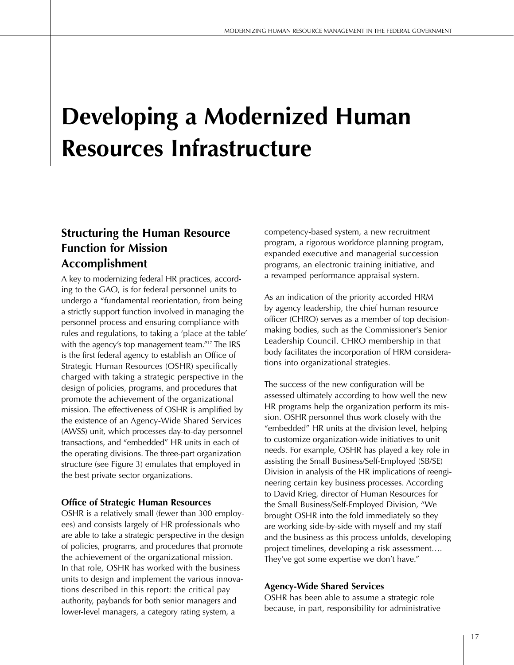# **Developing a Modernized Human Resources Infrastructure**

## **Structuring the Human Resource Function for Mission Accomplishment**

A key to modernizing federal HR practices, according to the GAO, is for federal personnel units to undergo a "fundamental reorientation, from being a strictly support function involved in managing the personnel process and ensuring compliance with rules and regulations, to taking a 'place at the table' with the agency's top management team."<sup>17</sup> The IRS is the first federal agency to establish an Office of Strategic Human Resources (OSHR) specifically charged with taking a strategic perspective in the design of policies, programs, and procedures that promote the achievement of the organizational mission. The effectiveness of OSHR is amplified by the existence of an Agency-Wide Shared Services (AWSS) unit, which processes day-to-day personnel transactions, and "embedded" HR units in each of the operating divisions. The three-part organization structure (see Figure 3) emulates that employed in the best private sector organizations.

#### **Office of Strategic Human Resources**

OSHR is a relatively small (fewer than 300 employees) and consists largely of HR professionals who are able to take a strategic perspective in the design of policies, programs, and procedures that promote the achievement of the organizational mission. In that role, OSHR has worked with the business units to design and implement the various innovations described in this report: the critical pay authority, paybands for both senior managers and lower-level managers, a category rating system, a

competency-based system, a new recruitment program, a rigorous workforce planning program, expanded executive and managerial succession programs, an electronic training initiative, and a revamped performance appraisal system.

As an indication of the priority accorded HRM by agency leadership, the chief human resource officer (CHRO) serves as a member of top decisionmaking bodies, such as the Commissioner's Senior Leadership Council. CHRO membership in that body facilitates the incorporation of HRM considerations into organizational strategies.

The success of the new configuration will be assessed ultimately according to how well the new HR programs help the organization perform its mission. OSHR personnel thus work closely with the "embedded" HR units at the division level, helping to customize organization-wide initiatives to unit needs. For example, OSHR has played a key role in assisting the Small Business/Self-Employed (SB/SE) Division in analysis of the HR implications of reengineering certain key business processes. According to David Krieg, director of Human Resources for the Small Business/Self-Employed Division, "We brought OSHR into the fold immediately so they are working side-by-side with myself and my staff and the business as this process unfolds, developing project timelines, developing a risk assessment…. They've got some expertise we don't have."

#### **Agency-Wide Shared Services**

OSHR has been able to assume a strategic role because, in part, responsibility for administrative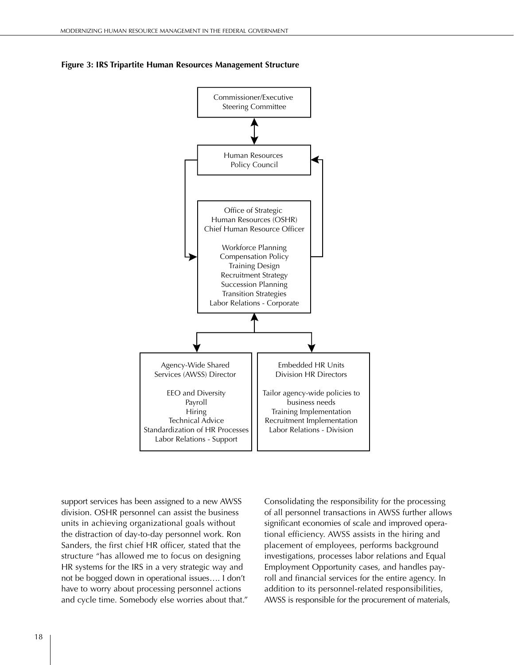

#### **Figure 3: IRS Tripartite Human Resources Management Structure**

support services has been assigned to a new AWSS division. OSHR personnel can assist the business units in achieving organizational goals without the distraction of day-to-day personnel work. Ron Sanders, the first chief HR officer, stated that the structure "has allowed me to focus on designing HR systems for the IRS in a very strategic way and not be bogged down in operational issues…. I don't have to worry about processing personnel actions and cycle time. Somebody else worries about that." Consolidating the responsibility for the processing of all personnel transactions in AWSS further allows significant economies of scale and improved operational efficiency. AWSS assists in the hiring and placement of employees, performs background investigations, processes labor relations and Equal Employment Opportunity cases, and handles payroll and financial services for the entire agency. In addition to its personnel-related responsibilities, AWSS is responsible for the procurement of materials,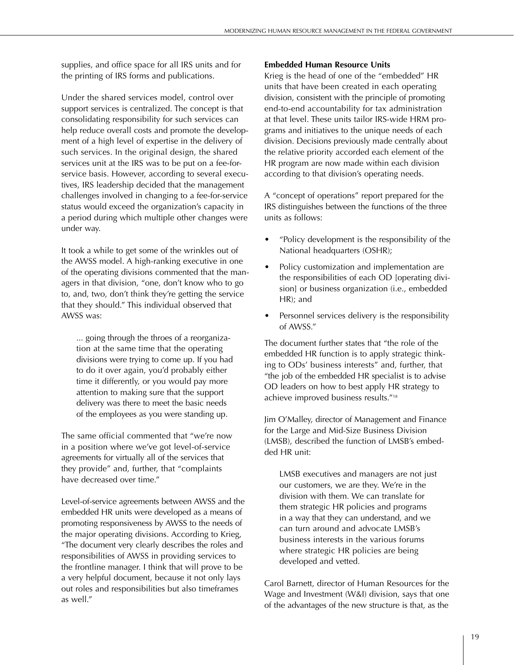supplies, and office space for all IRS units and for the printing of IRS forms and publications.

Under the shared services model, control over support services is centralized. The concept is that consolidating responsibility for such services can help reduce overall costs and promote the development of a high level of expertise in the delivery of such services. In the original design, the shared services unit at the IRS was to be put on a fee-forservice basis. However, according to several executives, IRS leadership decided that the management challenges involved in changing to a fee-for-service status would exceed the organization's capacity in a period during which multiple other changes were under way.

It took a while to get some of the wrinkles out of the AWSS model. A high-ranking executive in one of the operating divisions commented that the managers in that division, "one, don't know who to go to, and, two, don't think they're getting the service that they should." This individual observed that AWSS was:

... going through the throes of a reorganization at the same time that the operating divisions were trying to come up. If you had to do it over again, you'd probably either time it differently, or you would pay more attention to making sure that the support delivery was there to meet the basic needs of the employees as you were standing up.

The same official commented that "we're now in a position where we've got level-of-service agreements for virtually all of the services that they provide" and, further, that "complaints have decreased over time."

Level-of-service agreements between AWSS and the embedded HR units were developed as a means of promoting responsiveness by AWSS to the needs of the major operating divisions. According to Krieg, "The document very clearly describes the roles and responsibilities of AWSS in providing services to the frontline manager. I think that will prove to be a very helpful document, because it not only lays out roles and responsibilities but also timeframes as well."

### **Embedded Human Resource Units**

Krieg is the head of one of the "embedded" HR units that have been created in each operating division, consistent with the principle of promoting end-to-end accountability for tax administration at that level. These units tailor IRS-wide HRM programs and initiatives to the unique needs of each division. Decisions previously made centrally about the relative priority accorded each element of the HR program are now made within each division according to that division's operating needs.

A "concept of operations" report prepared for the IRS distinguishes between the functions of the three units as follows:

- "Policy development is the responsibility of the National headquarters (OSHR);
- Policy customization and implementation are the responsibilities of each OD [operating division] or business organization (i.e., embedded HR); and
- Personnel services delivery is the responsibility of AWSS."

The document further states that "the role of the embedded HR function is to apply strategic thinking to ODs' business interests" and, further, that "the job of the embedded HR specialist is to advise OD leaders on how to best apply HR strategy to achieve improved business results."18

Jim O'Malley, director of Management and Finance for the Large and Mid-Size Business Division (LMSB), described the function of LMSB's embedded HR unit:

LMSB executives and managers are not just our customers, we are they. We're in the division with them. We can translate for them strategic HR policies and programs in a way that they can understand, and we can turn around and advocate LMSB's business interests in the various forums where strategic HR policies are being developed and vetted.

Carol Barnett, director of Human Resources for the Wage and Investment (W&I) division, says that one of the advantages of the new structure is that, as the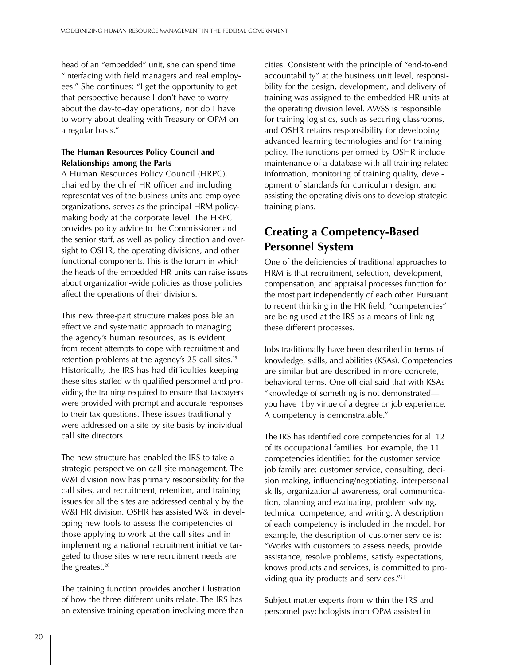head of an "embedded" unit, she can spend time "interfacing with field managers and real employees." She continues: "I get the opportunity to get that perspective because I don't have to worry about the day-to-day operations, nor do I have to worry about dealing with Treasury or OPM on a regular basis."

### **The Human Resources Policy Council and Relationships among the Parts**

A Human Resources Policy Council (HRPC), chaired by the chief HR officer and including representatives of the business units and employee organizations, serves as the principal HRM policymaking body at the corporate level. The HRPC provides policy advice to the Commissioner and the senior staff, as well as policy direction and oversight to OSHR, the operating divisions, and other functional components. This is the forum in which the heads of the embedded HR units can raise issues about organization-wide policies as those policies affect the operations of their divisions.

This new three-part structure makes possible an effective and systematic approach to managing the agency's human resources, as is evident from recent attempts to cope with recruitment and retention problems at the agency's 25 call sites.<sup>19</sup> Historically, the IRS has had difficulties keeping these sites staffed with qualified personnel and providing the training required to ensure that taxpayers were provided with prompt and accurate responses to their tax questions. These issues traditionally were addressed on a site-by-site basis by individual call site directors.

The new structure has enabled the IRS to take a strategic perspective on call site management. The W&I division now has primary responsibility for the call sites, and recruitment, retention, and training issues for all the sites are addressed centrally by the W&I HR division. OSHR has assisted W&I in developing new tools to assess the competencies of those applying to work at the call sites and in implementing a national recruitment initiative targeted to those sites where recruitment needs are the greatest.<sup>20</sup>

The training function provides another illustration of how the three different units relate. The IRS has an extensive training operation involving more than cities. Consistent with the principle of "end-to-end accountability" at the business unit level, responsibility for the design, development, and delivery of training was assigned to the embedded HR units at the operating division level. AWSS is responsible for training logistics, such as securing classrooms, and OSHR retains responsibility for developing advanced learning technologies and for training policy. The functions performed by OSHR include maintenance of a database with all training-related information, monitoring of training quality, development of standards for curriculum design, and assisting the operating divisions to develop strategic training plans.

## **Creating a Competency-Based Personnel System**

One of the deficiencies of traditional approaches to HRM is that recruitment, selection, development, compensation, and appraisal processes function for the most part independently of each other. Pursuant to recent thinking in the HR field, "competencies" are being used at the IRS as a means of linking these different processes.

Jobs traditionally have been described in terms of knowledge, skills, and abilities (KSAs). Competencies are similar but are described in more concrete, behavioral terms. One official said that with KSAs "knowledge of something is not demonstrated–– you have it by virtue of a degree or job experience. A competency is demonstratable."

The IRS has identified core competencies for all 12 of its occupational families. For example, the 11 competencies identified for the customer service job family are: customer service, consulting, decision making, influencing/negotiating, interpersonal skills, organizational awareness, oral communication, planning and evaluating, problem solving, technical competence, and writing. A description of each competency is included in the model. For example, the description of customer service is: "Works with customers to assess needs, provide assistance, resolve problems, satisfy expectations, knows products and services, is committed to providing quality products and services."21

Subject matter experts from within the IRS and personnel psychologists from OPM assisted in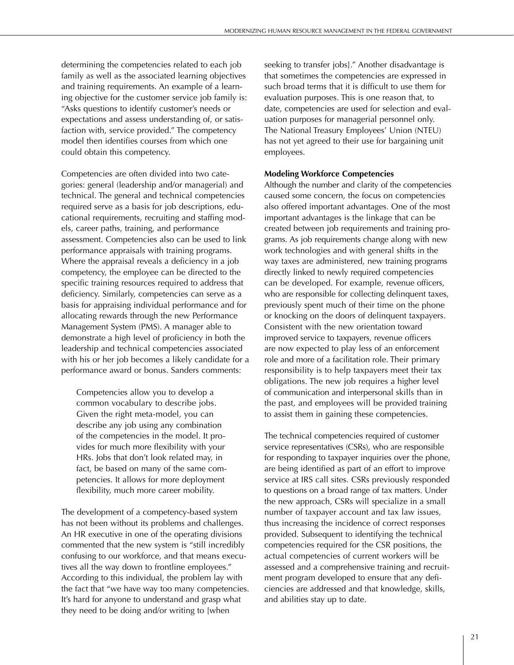determining the competencies related to each job family as well as the associated learning objectives and training requirements. An example of a learning objective for the customer service job family is: "Asks questions to identify customer's needs or expectations and assess understanding of, or satisfaction with, service provided." The competency model then identifies courses from which one could obtain this competency.

Competencies are often divided into two categories: general (leadership and/or managerial) and technical. The general and technical competencies required serve as a basis for job descriptions, educational requirements, recruiting and staffing models, career paths, training, and performance assessment. Competencies also can be used to link performance appraisals with training programs. Where the appraisal reveals a deficiency in a job competency, the employee can be directed to the specific training resources required to address that deficiency. Similarly, competencies can serve as a basis for appraising individual performance and for allocating rewards through the new Performance Management System (PMS). A manager able to demonstrate a high level of proficiency in both the leadership and technical competencies associated with his or her job becomes a likely candidate for a performance award or bonus. Sanders comments:

Competencies allow you to develop a common vocabulary to describe jobs. Given the right meta-model, you can describe any job using any combination of the competencies in the model. It provides for much more flexibility with your HRs. Jobs that don't look related may, in fact, be based on many of the same competencies. It allows for more deployment flexibility, much more career mobility.

The development of a competency-based system has not been without its problems and challenges. An HR executive in one of the operating divisions commented that the new system is "still incredibly confusing to our workforce, and that means executives all the way down to frontline employees." According to this individual, the problem lay with the fact that "we have way too many competencies. It's hard for anyone to understand and grasp what they need to be doing and/or writing to [when

seeking to transfer jobs]." Another disadvantage is that sometimes the competencies are expressed in such broad terms that it is difficult to use them for evaluation purposes. This is one reason that, to date, competencies are used for selection and evaluation purposes for managerial personnel only. The National Treasury Employees' Union (NTEU) has not yet agreed to their use for bargaining unit employees.

#### **Modeling Workforce Competencies**

Although the number and clarity of the competencies caused some concern, the focus on competencies also offered important advantages. One of the most important advantages is the linkage that can be created between job requirements and training programs. As job requirements change along with new work technologies and with general shifts in the way taxes are administered, new training programs directly linked to newly required competencies can be developed. For example, revenue officers, who are responsible for collecting delinquent taxes, previously spent much of their time on the phone or knocking on the doors of delinquent taxpayers. Consistent with the new orientation toward improved service to taxpayers, revenue officers are now expected to play less of an enforcement role and more of a facilitation role. Their primary responsibility is to help taxpayers meet their tax obligations. The new job requires a higher level of communication and interpersonal skills than in the past, and employees will be provided training to assist them in gaining these competencies.

The technical competencies required of customer service representatives (CSRs), who are responsible for responding to taxpayer inquiries over the phone, are being identified as part of an effort to improve service at IRS call sites. CSRs previously responded to questions on a broad range of tax matters. Under the new approach, CSRs will specialize in a small number of taxpayer account and tax law issues, thus increasing the incidence of correct responses provided. Subsequent to identifying the technical competencies required for the CSR positions, the actual competencies of current workers will be assessed and a comprehensive training and recruitment program developed to ensure that any deficiencies are addressed and that knowledge, skills, and abilities stay up to date.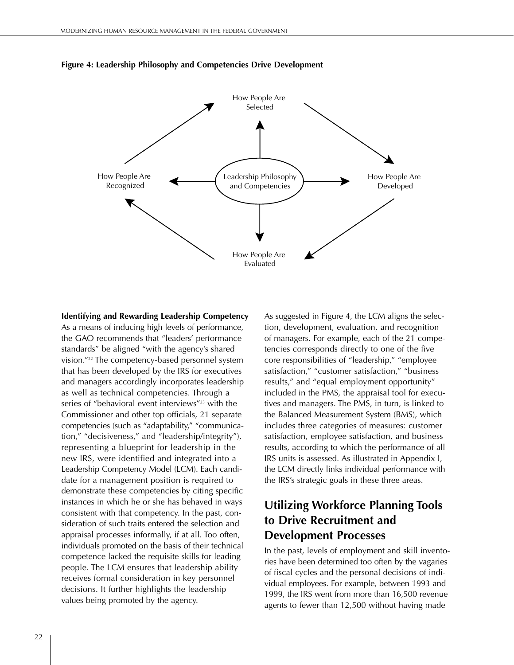

#### **Figure 4: Leadership Philosophy and Competencies Drive Development**

**Identifying and Rewarding Leadership Competency**

As a means of inducing high levels of performance, the GAO recommends that "leaders' performance standards" be aligned "with the agency's shared vision."22 The competency-based personnel system that has been developed by the IRS for executives and managers accordingly incorporates leadership as well as technical competencies. Through a series of "behavioral event interviews"23 with the Commissioner and other top officials, 21 separate competencies (such as "adaptability," "communication," "decisiveness," and "leadership/integrity"), representing a blueprint for leadership in the new IRS, were identified and integrated into a Leadership Competency Model (LCM). Each candidate for a management position is required to demonstrate these competencies by citing specific instances in which he or she has behaved in ways consistent with that competency. In the past, consideration of such traits entered the selection and appraisal processes informally, if at all. Too often, individuals promoted on the basis of their technical competence lacked the requisite skills for leading people. The LCM ensures that leadership ability receives formal consideration in key personnel decisions. It further highlights the leadership values being promoted by the agency.

As suggested in Figure 4, the LCM aligns the selection, development, evaluation, and recognition of managers. For example, each of the 21 competencies corresponds directly to one of the five core responsibilities of "leadership," "employee satisfaction," "customer satisfaction," "business results," and "equal employment opportunity" included in the PMS, the appraisal tool for executives and managers. The PMS, in turn, is linked to the Balanced Measurement System (BMS), which includes three categories of measures: customer satisfaction, employee satisfaction, and business results, according to which the performance of all IRS units is assessed. As illustrated in Appendix I, the LCM directly links individual performance with the IRS's strategic goals in these three areas.

## **Utilizing Workforce Planning Tools to Drive Recruitment and Development Processes**

In the past, levels of employment and skill inventories have been determined too often by the vagaries of fiscal cycles and the personal decisions of individual employees. For example, between 1993 and 1999, the IRS went from more than 16,500 revenue agents to fewer than 12,500 without having made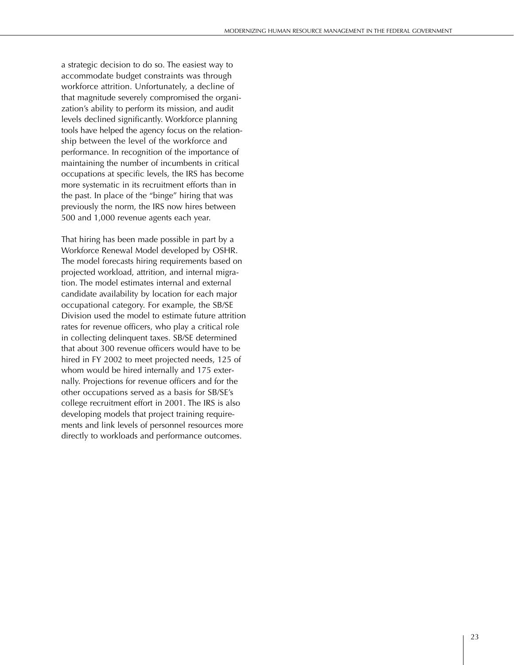a strategic decision to do so. The easiest way to accommodate budget constraints was through workforce attrition. Unfortunately, a decline of that magnitude severely compromised the organization's ability to perform its mission, and audit levels declined significantly. Workforce planning tools have helped the agency focus on the relationship between the level of the workforce and performance. In recognition of the importance of maintaining the number of incumbents in critical occupations at specific levels, the IRS has become more systematic in its recruitment efforts than in the past. In place of the "binge" hiring that was previously the norm, the IRS now hires between 500 and 1,000 revenue agents each year.

That hiring has been made possible in part by a Workforce Renewal Model developed by OSHR. The model forecasts hiring requirements based on projected workload, attrition, and internal migration. The model estimates internal and external candidate availability by location for each major occupational category. For example, the SB/SE Division used the model to estimate future attrition rates for revenue officers, who play a critical role in collecting delinquent taxes. SB/SE determined that about 300 revenue officers would have to be hired in FY 2002 to meet projected needs, 125 of whom would be hired internally and 175 externally. Projections for revenue officers and for the other occupations served as a basis for SB/SE's college recruitment effort in 2001. The IRS is also developing models that project training requirements and link levels of personnel resources more directly to workloads and performance outcomes.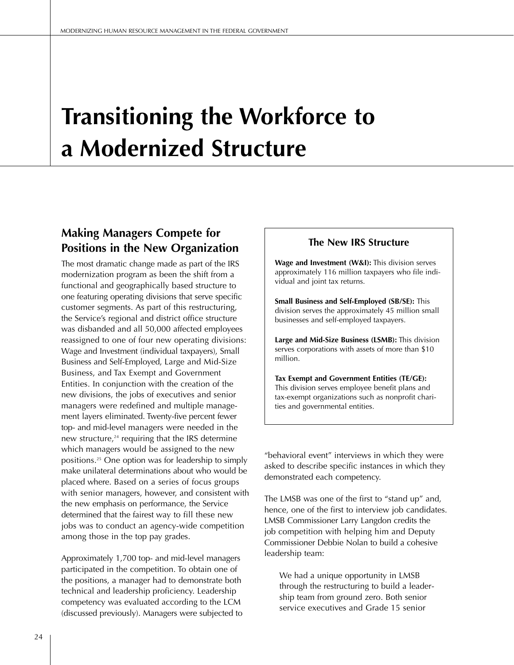# **Transitioning the Workforce to a Modernized Structure**

## **Making Managers Compete for Positions in the New Organization**

The most dramatic change made as part of the IRS modernization program as been the shift from a functional and geographically based structure to one featuring operating divisions that serve specific customer segments. As part of this restructuring, the Service's regional and district office structure was disbanded and all 50,000 affected employees reassigned to one of four new operating divisions: Wage and Investment (individual taxpayers), Small Business and Self-Employed, Large and Mid-Size Business, and Tax Exempt and Government Entities. In conjunction with the creation of the new divisions, the jobs of executives and senior managers were redefined and multiple management layers eliminated. Twenty-five percent fewer top- and mid-level managers were needed in the new structure, $24$  requiring that the IRS determine which managers would be assigned to the new positions.25 One option was for leadership to simply make unilateral determinations about who would be placed where. Based on a series of focus groups with senior managers, however, and consistent with the new emphasis on performance, the Service determined that the fairest way to fill these new jobs was to conduct an agency-wide competition among those in the top pay grades.

Approximately 1,700 top- and mid-level managers participated in the competition. To obtain one of the positions, a manager had to demonstrate both technical and leadership proficiency. Leadership competency was evaluated according to the LCM (discussed previously). Managers were subjected to

### **The New IRS Structure**

**Wage and Investment (W&I):** This division serves approximately 116 million taxpayers who file individual and joint tax returns.

**Small Business and Self-Employed (SB/SE):** This division serves the approximately 45 million small businesses and self-employed taxpayers.

**Large and Mid-Size Business (LSMB):** This division serves corporations with assets of more than \$10 million.

**Tax Exempt and Government Entities (TE/GE):** This division serves employee benefit plans and tax-exempt organizations such as nonprofit charities and governmental entities.

"behavioral event" interviews in which they were asked to describe specific instances in which they demonstrated each competency.

The LMSB was one of the first to "stand up" and, hence, one of the first to interview job candidates. LMSB Commissioner Larry Langdon credits the job competition with helping him and Deputy Commissioner Debbie Nolan to build a cohesive leadership team:

We had a unique opportunity in LMSB through the restructuring to build a leadership team from ground zero. Both senior service executives and Grade 15 senior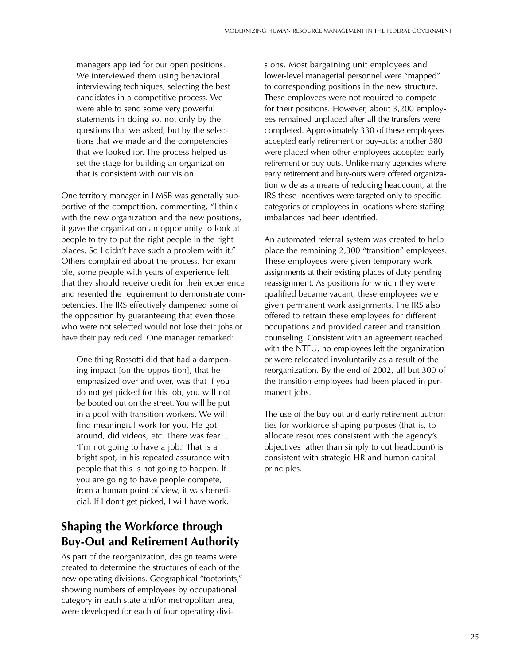managers applied for our open positions. We interviewed them using behavioral interviewing techniques, selecting the best candidates in a competitive process. We were able to send some very powerful statements in doing so, not only by the questions that we asked, but by the selections that we made and the competencies that we looked for. The process helped us set the stage for building an organization that is consistent with our vision.

One territory manager in LMSB was generally supportive of the competition, commenting, "I think with the new organization and the new positions, it gave the organization an opportunity to look at people to try to put the right people in the right places. So I didn't have such a problem with it." Others complained about the process. For example, some people with years of experience felt that they should receive credit for their experience and resented the requirement to demonstrate competencies. The IRS effectively dampened some of the opposition by guaranteeing that even those who were not selected would not lose their jobs or have their pay reduced. One manager remarked:

One thing Rossotti did that had a dampening impact [on the opposition], that he emphasized over and over, was that if you do not get picked for this job, you will not be booted out on the street. You will be put in a pool with transition workers. We will find meaningful work for you. He got around, did videos, etc. There was fear.... 'I'm not going to have a job.' That is a bright spot, in his repeated assurance with people that this is not going to happen. If you are going to have people compete, from a human point of view, it was beneficial. If I don't get picked, I will have work.

## **Shaping the Workforce through Buy-Out and Retirement Authority**

As part of the reorganization, design teams were created to determine the structures of each of the new operating divisions. Geographical "footprints," showing numbers of employees by occupational category in each state and/or metropolitan area, were developed for each of four operating divisions. Most bargaining unit employees and lower-level managerial personnel were "mapped" to corresponding positions in the new structure. These employees were not required to compete for their positions. However, about 3,200 employees remained unplaced after all the transfers were completed. Approximately 330 of these employees accepted early retirement or buy-outs; another 580 were placed when other employees accepted early retirement or buy-outs. Unlike many agencies where early retirement and buy-outs were offered organization wide as a means of reducing headcount, at the IRS these incentives were targeted only to specific categories of employees in locations where staffing imbalances had been identified.

An automated referral system was created to help place the remaining 2,300 "transition" employees. These employees were given temporary work assignments at their existing places of duty pending reassignment. As positions for which they were qualified became vacant, these employees were given permanent work assignments. The IRS also offered to retrain these employees for different occupations and provided career and transition counseling. Consistent with an agreement reached with the NTEU, no employees left the organization or were relocated involuntarily as a result of the reorganization. By the end of 2002, all but 300 of the transition employees had been placed in permanent jobs.

The use of the buy-out and early retirement authorities for workforce-shaping purposes (that is, to allocate resources consistent with the agency's objectives rather than simply to cut headcount) is consistent with strategic HR and human capital principles.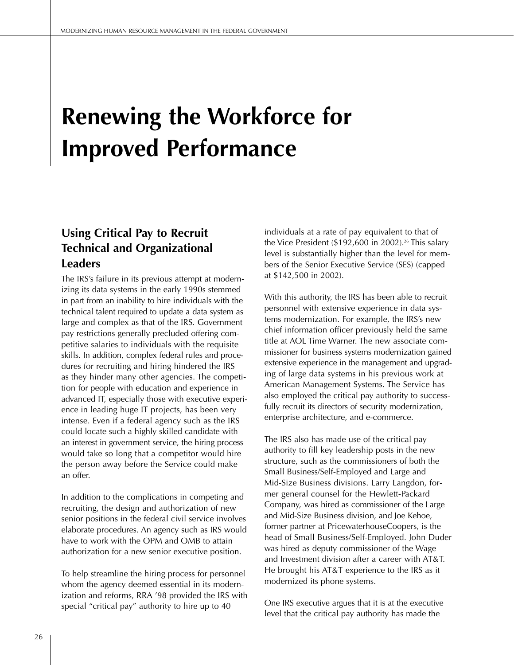# **Renewing the Workforce for Improved Performance**

## **Using Critical Pay to Recruit Technical and Organizational Leaders**

The IRS's failure in its previous attempt at modernizing its data systems in the early 1990s stemmed in part from an inability to hire individuals with the technical talent required to update a data system as large and complex as that of the IRS. Government pay restrictions generally precluded offering competitive salaries to individuals with the requisite skills. In addition, complex federal rules and procedures for recruiting and hiring hindered the IRS as they hinder many other agencies. The competition for people with education and experience in advanced IT, especially those with executive experience in leading huge IT projects, has been very intense. Even if a federal agency such as the IRS could locate such a highly skilled candidate with an interest in government service, the hiring process would take so long that a competitor would hire the person away before the Service could make an offer.

In addition to the complications in competing and recruiting, the design and authorization of new senior positions in the federal civil service involves elaborate procedures. An agency such as IRS would have to work with the OPM and OMB to attain authorization for a new senior executive position.

To help streamline the hiring process for personnel whom the agency deemed essential in its modernization and reforms, RRA '98 provided the IRS with special "critical pay" authority to hire up to 40

individuals at a rate of pay equivalent to that of the Vice President  $(\$192,600$  in 2002).<sup>26</sup> This salary level is substantially higher than the level for members of the Senior Executive Service (SES) (capped at \$142,500 in 2002).

With this authority, the IRS has been able to recruit personnel with extensive experience in data systems modernization. For example, the IRS's new chief information officer previously held the same title at AOL Time Warner. The new associate commissioner for business systems modernization gained extensive experience in the management and upgrading of large data systems in his previous work at American Management Systems. The Service has also employed the critical pay authority to successfully recruit its directors of security modernization, enterprise architecture, and e-commerce.

The IRS also has made use of the critical pay authority to fill key leadership posts in the new structure, such as the commissioners of both the Small Business/Self-Employed and Large and Mid-Size Business divisions. Larry Langdon, former general counsel for the Hewlett-Packard Company, was hired as commissioner of the Large and Mid-Size Business division, and Joe Kehoe, former partner at PricewaterhouseCoopers, is the head of Small Business/Self-Employed. John Duder was hired as deputy commissioner of the Wage and Investment division after a career with AT&T. He brought his AT&T experience to the IRS as it modernized its phone systems.

One IRS executive argues that it is at the executive level that the critical pay authority has made the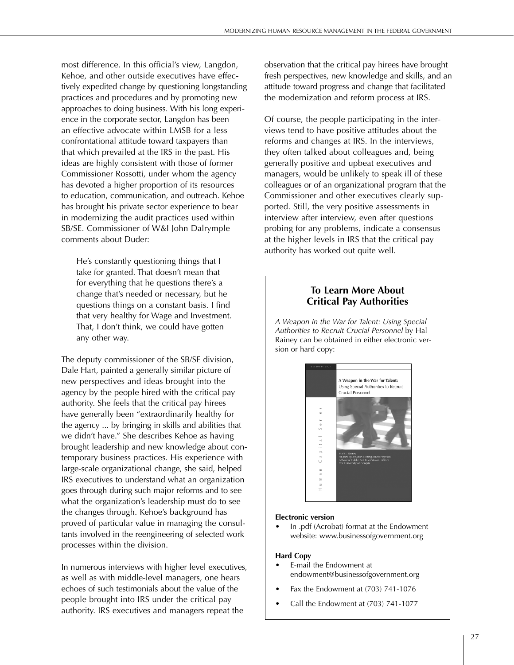most difference. In this official's view, Langdon, Kehoe, and other outside executives have effectively expedited change by questioning longstanding practices and procedures and by promoting new approaches to doing business. With his long experience in the corporate sector, Langdon has been an effective advocate within LMSB for a less confrontational attitude toward taxpayers than that which prevailed at the IRS in the past. His ideas are highly consistent with those of former Commissioner Rossotti, under whom the agency has devoted a higher proportion of its resources to education, communication, and outreach. Kehoe has brought his private sector experience to bear in modernizing the audit practices used within SB/SE. Commissioner of W&I John Dalrymple comments about Duder:

He's constantly questioning things that I take for granted. That doesn't mean that for everything that he questions there's a change that's needed or necessary, but he questions things on a constant basis. I find that very healthy for Wage and Investment. That, I don't think, we could have gotten any other way.

The deputy commissioner of the SB/SE division, Dale Hart, painted a generally similar picture of new perspectives and ideas brought into the agency by the people hired with the critical pay authority. She feels that the critical pay hirees have generally been "extraordinarily healthy for the agency ... by bringing in skills and abilities that we didn't have." She describes Kehoe as having brought leadership and new knowledge about contemporary business practices. His experience with large-scale organizational change, she said, helped IRS executives to understand what an organization goes through during such major reforms and to see what the organization's leadership must do to see the changes through. Kehoe's background has proved of particular value in managing the consultants involved in the reengineering of selected work processes within the division.

In numerous interviews with higher level executives, as well as with middle-level managers, one hears echoes of such testimonials about the value of the people brought into IRS under the critical pay authority. IRS executives and managers repeat the

observation that the critical pay hirees have brought fresh perspectives, new knowledge and skills, and an attitude toward progress and change that facilitated the modernization and reform process at IRS.

Of course, the people participating in the interviews tend to have positive attitudes about the reforms and changes at IRS. In the interviews, they often talked about colleagues and, being generally positive and upbeat executives and managers, would be unlikely to speak ill of these colleagues or of an organizational program that the Commissioner and other executives clearly supported. Still, the very positive assessments in interview after interview, even after questions probing for any problems, indicate a consensus at the higher levels in IRS that the critical pay authority has worked out quite well.

### **To Learn More About Critical Pay Authorities**

*A Weapon in the War for Talent: Using Special Authorities to Recruit Crucial Personnel* by Hal Rainey can be obtained in either electronic version or hard copy:



#### **Electronic version**

• In .pdf (Acrobat) format at the Endowment website: www.businessofgovernment.org

#### **Hard Copy**

- E-mail the Endowment at endowment@businessofgovernment.org
- Fax the Endowment at (703) 741-1076
- Call the Endowment at (703) 741-1077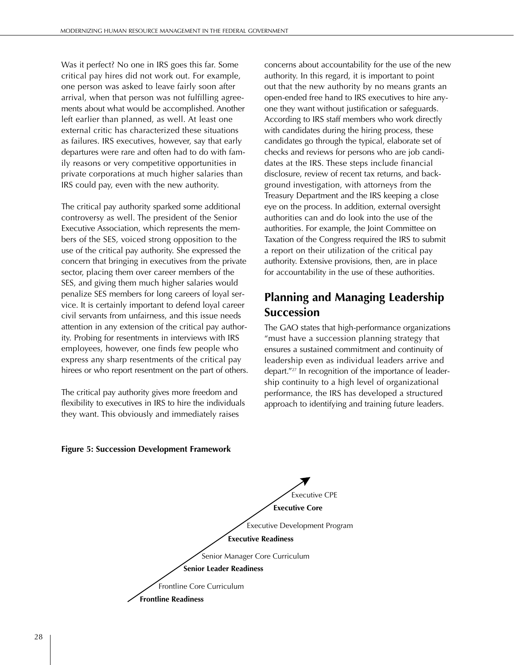Was it perfect? No one in IRS goes this far. Some critical pay hires did not work out. For example, one person was asked to leave fairly soon after arrival, when that person was not fulfilling agreements about what would be accomplished. Another left earlier than planned, as well. At least one external critic has characterized these situations as failures. IRS executives, however, say that early departures were rare and often had to do with family reasons or very competitive opportunities in private corporations at much higher salaries than IRS could pay, even with the new authority.

The critical pay authority sparked some additional controversy as well. The president of the Senior Executive Association, which represents the members of the SES, voiced strong opposition to the use of the critical pay authority. She expressed the concern that bringing in executives from the private sector, placing them over career members of the SES, and giving them much higher salaries would penalize SES members for long careers of loyal service. It is certainly important to defend loyal career civil servants from unfairness, and this issue needs attention in any extension of the critical pay authority. Probing for resentments in interviews with IRS employees, however, one finds few people who express any sharp resentments of the critical pay hirees or who report resentment on the part of others.

The critical pay authority gives more freedom and flexibility to executives in IRS to hire the individuals they want. This obviously and immediately raises

concerns about accountability for the use of the new authority. In this regard, it is important to point out that the new authority by no means grants an open-ended free hand to IRS executives to hire anyone they want without justification or safeguards. According to IRS staff members who work directly with candidates during the hiring process, these candidates go through the typical, elaborate set of checks and reviews for persons who are job candidates at the IRS. These steps include financial disclosure, review of recent tax returns, and background investigation, with attorneys from the Treasury Department and the IRS keeping a close eye on the process. In addition, external oversight authorities can and do look into the use of the authorities. For example, the Joint Committee on Taxation of the Congress required the IRS to submit a report on their utilization of the critical pay authority. Extensive provisions, then, are in place for accountability in the use of these authorities.

## **Planning and Managing Leadership Succession**

The GAO states that high-performance organizations "must have a succession planning strategy that ensures a sustained commitment and continuity of leadership even as individual leaders arrive and depart."27 In recognition of the importance of leadership continuity to a high level of organizational performance, the IRS has developed a structured approach to identifying and training future leaders.

#### **Figure 5: Succession Development Framework**

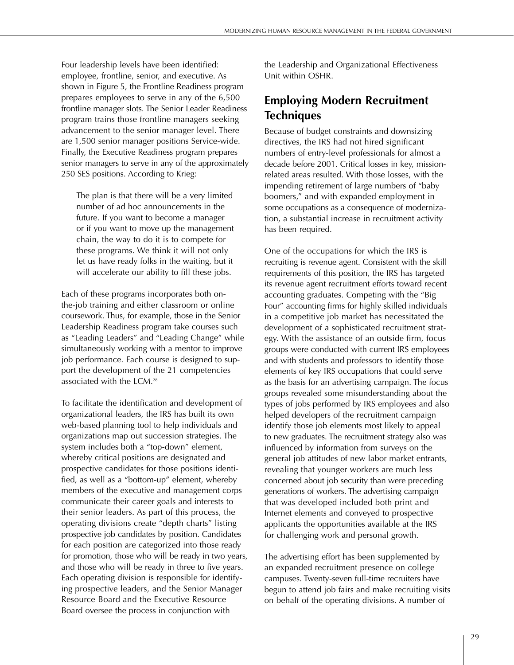Four leadership levels have been identified: employee, frontline, senior, and executive. As shown in Figure 5, the Frontline Readiness program prepares employees to serve in any of the 6,500 frontline manager slots. The Senior Leader Readiness program trains those frontline managers seeking advancement to the senior manager level. There are 1,500 senior manager positions Service-wide. Finally, the Executive Readiness program prepares senior managers to serve in any of the approximately 250 SES positions. According to Krieg:

The plan is that there will be a very limited number of ad hoc announcements in the future. If you want to become a manager or if you want to move up the management chain, the way to do it is to compete for these programs. We think it will not only let us have ready folks in the waiting, but it will accelerate our ability to fill these jobs.

Each of these programs incorporates both onthe-job training and either classroom or online coursework. Thus, for example, those in the Senior Leadership Readiness program take courses such as "Leading Leaders" and "Leading Change" while simultaneously working with a mentor to improve job performance. Each course is designed to support the development of the 21 competencies associated with the LCM.28

To facilitate the identification and development of organizational leaders, the IRS has built its own web-based planning tool to help individuals and organizations map out succession strategies. The system includes both a "top-down" element, whereby critical positions are designated and prospective candidates for those positions identified, as well as a "bottom-up" element, whereby members of the executive and management corps communicate their career goals and interests to their senior leaders. As part of this process, the operating divisions create "depth charts" listing prospective job candidates by position. Candidates for each position are categorized into those ready for promotion, those who will be ready in two years, and those who will be ready in three to five years. Each operating division is responsible for identifying prospective leaders, and the Senior Manager Resource Board and the Executive Resource Board oversee the process in conjunction with

the Leadership and Organizational Effectiveness Unit within OSHR.

## **Employing Modern Recruitment Techniques**

Because of budget constraints and downsizing directives, the IRS had not hired significant numbers of entry-level professionals for almost a decade before 2001. Critical losses in key, missionrelated areas resulted. With those losses, with the impending retirement of large numbers of "baby boomers," and with expanded employment in some occupations as a consequence of modernization, a substantial increase in recruitment activity has been required.

One of the occupations for which the IRS is recruiting is revenue agent. Consistent with the skill requirements of this position, the IRS has targeted its revenue agent recruitment efforts toward recent accounting graduates. Competing with the "Big Four" accounting firms for highly skilled individuals in a competitive job market has necessitated the development of a sophisticated recruitment strategy. With the assistance of an outside firm, focus groups were conducted with current IRS employees and with students and professors to identify those elements of key IRS occupations that could serve as the basis for an advertising campaign. The focus groups revealed some misunderstanding about the types of jobs performed by IRS employees and also helped developers of the recruitment campaign identify those job elements most likely to appeal to new graduates. The recruitment strategy also was influenced by information from surveys on the general job attitudes of new labor market entrants, revealing that younger workers are much less concerned about job security than were preceding generations of workers. The advertising campaign that was developed included both print and Internet elements and conveyed to prospective applicants the opportunities available at the IRS for challenging work and personal growth.

The advertising effort has been supplemented by an expanded recruitment presence on college campuses. Twenty-seven full-time recruiters have begun to attend job fairs and make recruiting visits on behalf of the operating divisions. A number of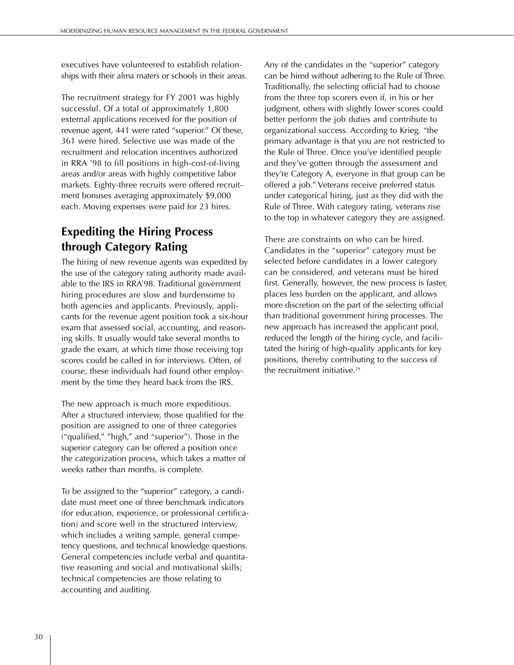executives have volunteered to establish relationships with their alma maters or schools in their areas.

The recruitment strategy for FY 2001 was highly successful. Of a total of approximately 1,800 external applications received for the position of revenue agent, 441 were rated "superior." Of these, 361 were hired. Selective use was made of the recruitment and relocation incentives authorized in RRA '98 to fill positions in high-cost-of-living areas and/or areas with highly competitive labor markets. Eighty-three recruits were offered recruitment bonuses averaging approximately \$9,000 each. Moving expenses were paid for 23 hires.

## **Expediting the Hiring Process through Category Rating**

The hiring of new revenue agents was expedited by the use of the category rating authority made available to the IRS in RRA'98. Traditional government hiring procedures are slow and burdensome to both agencies and applicants. Previously, applicants for the revenue agent position took a six-hour exam that assessed social, accounting, and reasoning skills. It usually would take several months to grade the exam, at which time those receiving top scores could be called in for interviews. Often, of course, these individuals had found other employment by the time they heard back from the IRS.

The new approach is much more expeditious. After a structured interview, those qualified for the position are assigned to one of three categories ("qualified," "high," and "superior"). Those in the superior category can be offered a position once the categorization process, which takes a matter of weeks rather than months, is complete.

To be assigned to the "superior" category, a candidate must meet one of three benchmark indicators (for education, experience, or professional certification) and score well in the structured interview, which includes a writing sample, general competency questions, and technical knowledge questions. General competencies include verbal and quantitative reasoning and social and motivational skills; technical competencies are those relating to accounting and auditing.

Any of the candidates in the "superior" category can be hired without adhering to the Rule of Three. Traditionally, the selecting official had to choose from the three top scorers even if, in his or her judgment, others with slightly lower scores could better perform the job duties and contribute to organizational success. According to Krieg, "the primary advantage is that you are not restricted to the Rule of Three. Once you've identified people and they've gotten through the assessment and they're Category A, everyone in that group can be offered a job." Veterans receive preferred status under categorical hiring, just as they did with the Rule of Three. With category rating, veterans rise to the top in whatever category they are assigned.

There are constraints on who can be hired. Candidates in the "superior" category must be selected before candidates in a lower category can be considered, and veterans must be hired first. Generally, however, the new process is faster, places less burden on the applicant, and allows more discretion on the part of the selecting official than traditional government hiring processes. The new approach has increased the applicant pool, reduced the length of the hiring cycle, and facilitated the hiring of high-quality applicants for key positions, thereby contributing to the success of the recruitment initiative.<sup>29</sup>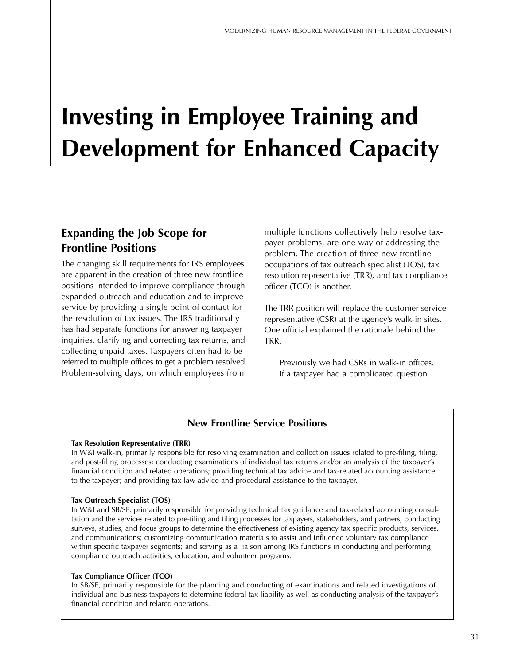# **Investing in Employee Training and Development for Enhanced Capacity**

## **Expanding the Job Scope for Frontline Positions**

The changing skill requirements for IRS employees are apparent in the creation of three new frontline positions intended to improve compliance through expanded outreach and education and to improve service by providing a single point of contact for the resolution of tax issues. The IRS traditionally has had separate functions for answering taxpayer inquiries, clarifying and correcting tax returns, and collecting unpaid taxes. Taxpayers often had to be referred to multiple offices to get a problem resolved. Problem-solving days, on which employees from

multiple functions collectively help resolve taxpayer problems, are one way of addressing the problem. The creation of three new frontline occupations of tax outreach specialist (TOS), tax resolution representative (TRR), and tax compliance officer (TCO) is another.

The TRR position will replace the customer service representative (CSR) at the agency's walk-in sites. One official explained the rationale behind the TRR:

Previously we had CSRs in walk-in offices. If a taxpayer had a complicated question,

### **New Frontline Service Positions**

#### **Tax Resolution Representative (TRR)**

In W&I walk-in, primarily responsible for resolving examination and collection issues related to pre-filing, filing, and post-filing processes; conducting examinations of individual tax returns and/or an analysis of the taxpayer's financial condition and related operations; providing technical tax advice and tax-related accounting assistance to the taxpayer; and providing tax law advice and procedural assistance to the taxpayer.

#### **Tax Outreach Specialist (TOS)**

In W&I and SB/SE, primarily responsible for providing technical tax guidance and tax-related accounting consultation and the services related to pre-filing and filing processes for taxpayers, stakeholders, and partners; conducting surveys, studies, and focus groups to determine the effectiveness of existing agency tax specific products, services, and communications; customizing communication materials to assist and influence voluntary tax compliance within specific taxpayer segments; and serving as a liaison among IRS functions in conducting and performing compliance outreach activities, education, and volunteer programs.

#### **Tax Compliance Officer (TCO)**

In SB/SE, primarily responsible for the planning and conducting of examinations and related investigations of individual and business taxpayers to determine federal tax liability as well as conducting analysis of the taxpayer's financial condition and related operations.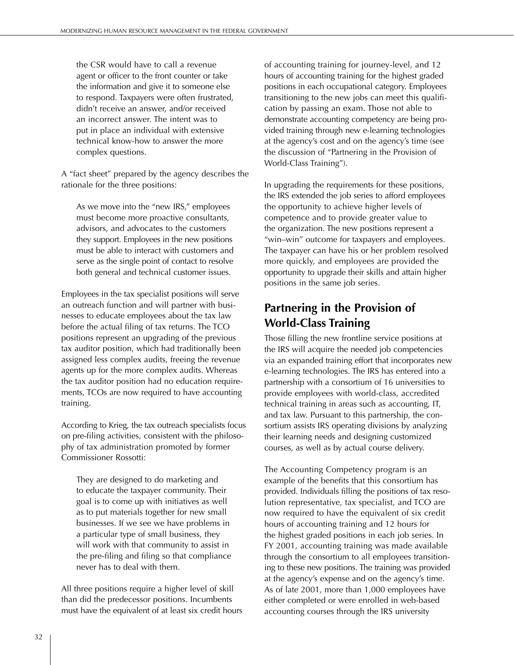the CSR would have to call a revenue agent or officer to the front counter or take the information and give it to someone else to respond. Taxpayers were often frustrated, didn't receive an answer, and/or received an incorrect answer. The intent was to put in place an individual with extensive technical know-how to answer the more complex questions.

A "fact sheet" prepared by the agency describes the rationale for the three positions:

As we move into the "new IRS," employees must become more proactive consultants, advisors, and advocates to the customers they support. Employees in the new positions must be able to interact with customers and serve as the single point of contact to resolve both general and technical customer issues.

Employees in the tax specialist positions will serve an outreach function and will partner with businesses to educate employees about the tax law before the actual filing of tax returns. The TCO positions represent an upgrading of the previous tax auditor position, which had traditionally been assigned less complex audits, freeing the revenue agents up for the more complex audits. Whereas the tax auditor position had no education requirements, TCOs are now required to have accounting training.

According to Krieg, the tax outreach specialists focus on pre-filing activities, consistent with the philosophy of tax administration promoted by former Commissioner Rossotti:

They are designed to do marketing and to educate the taxpayer community. Their goal is to come up with initiatives as well as to put materials together for new small businesses. If we see we have problems in a particular type of small business, they will work with that community to assist in the pre-filing and filing so that compliance never has to deal with them.

All three positions require a higher level of skill than did the predecessor positions. Incumbents must have the equivalent of at least six credit hours of accounting training for journey-level, and 12 hours of accounting training for the highest graded positions in each occupational category. Employees transitioning to the new jobs can meet this qualification by passing an exam. Those not able to demonstrate accounting competency are being provided training through new e-learning technologies at the agency's cost and on the agency's time (see the discussion of "Partnering in the Provision of World-Class Training").

In upgrading the requirements for these positions, the IRS extended the job series to afford employees the opportunity to achieve higher levels of competence and to provide greater value to the organization. The new positions represent a "win–win" outcome for taxpayers and employees. The taxpayer can have his or her problem resolved more quickly, and employees are provided the opportunity to upgrade their skills and attain higher positions in the same job series.

## **Partnering in the Provision of World-Class Training**

Those filling the new frontline service positions at the IRS will acquire the needed job competencies via an expanded training effort that incorporates new e-learning technologies. The IRS has entered into a partnership with a consortium of 16 universities to provide employees with world-class, accredited technical training in areas such as accounting, IT, and tax law. Pursuant to this partnership, the consortium assists IRS operating divisions by analyzing their learning needs and designing customized courses, as well as by actual course delivery.

The Accounting Competency program is an example of the benefits that this consortium has provided. Individuals filling the positions of tax resolution representative, tax specialist, and TCO are now required to have the equivalent of six credit hours of accounting training and 12 hours for the highest graded positions in each job series. In FY 2001, accounting training was made available through the consortium to all employees transitioning to these new positions. The training was provided at the agency's expense and on the agency's time. As of late 2001, more than 1,000 employees have either completed or were enrolled in web-based accounting courses through the IRS university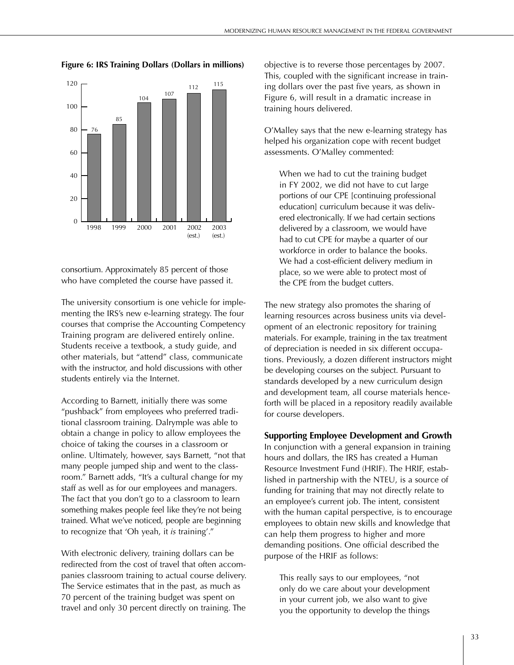

**Figure 6: IRS Training Dollars (Dollars in millions)**

consortium. Approximately 85 percent of those who have completed the course have passed it.

The university consortium is one vehicle for implementing the IRS's new e-learning strategy. The four courses that comprise the Accounting Competency Training program are delivered entirely online. Students receive a textbook, a study guide, and other materials, but "attend" class, communicate with the instructor, and hold discussions with other students entirely via the Internet.

According to Barnett, initially there was some "pushback" from employees who preferred traditional classroom training. Dalrymple was able to obtain a change in policy to allow employees the choice of taking the courses in a classroom or online. Ultimately, however, says Barnett, "not that many people jumped ship and went to the classroom." Barnett adds, "It's a cultural change for my staff as well as for our employees and managers. The fact that you don't go to a classroom to learn something makes people feel like they're not being trained. What we've noticed, people are beginning to recognize that 'Oh yeah, it *is* training'."

With electronic delivery, training dollars can be redirected from the cost of travel that often accompanies classroom training to actual course delivery. The Service estimates that in the past, as much as 70 percent of the training budget was spent on travel and only 30 percent directly on training. The objective is to reverse those percentages by 2007. This, coupled with the significant increase in training dollars over the past five years, as shown in Figure 6, will result in a dramatic increase in training hours delivered.

O'Malley says that the new e-learning strategy has helped his organization cope with recent budget assessments. O'Malley commented:

When we had to cut the training budget in FY 2002, we did not have to cut large portions of our CPE [continuing professional education] curriculum because it was delivered electronically. If we had certain sections delivered by a classroom, we would have had to cut CPE for maybe a quarter of our workforce in order to balance the books. We had a cost-efficient delivery medium in place, so we were able to protect most of the CPE from the budget cutters.

The new strategy also promotes the sharing of learning resources across business units via development of an electronic repository for training materials. For example, training in the tax treatment of depreciation is needed in six different occupations. Previously, a dozen different instructors might be developing courses on the subject. Pursuant to standards developed by a new curriculum design and development team, all course materials henceforth will be placed in a repository readily available for course developers.

#### **Supporting Employee Development and Growth**

In conjunction with a general expansion in training hours and dollars, the IRS has created a Human Resource Investment Fund (HRIF). The HRIF, established in partnership with the NTEU, is a source of funding for training that may not directly relate to an employee's current job. The intent, consistent with the human capital perspective, is to encourage employees to obtain new skills and knowledge that can help them progress to higher and more demanding positions. One official described the purpose of the HRIF as follows:

This really says to our employees, "not only do we care about your development in your current job, we also want to give you the opportunity to develop the things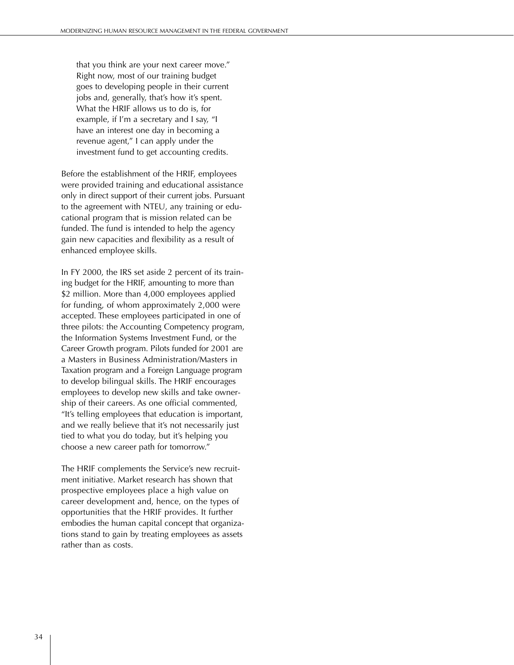that you think are your next career move." Right now, most of our training budget goes to developing people in their current jobs and, generally, that's how it's spent. What the HRIF allows us to do is, for example, if I'm a secretary and I say, "I have an interest one day in becoming a revenue agent," I can apply under the investment fund to get accounting credits.

Before the establishment of the HRIF, employees were provided training and educational assistance only in direct support of their current jobs. Pursuant to the agreement with NTEU, any training or educational program that is mission related can be funded. The fund is intended to help the agency gain new capacities and flexibility as a result of enhanced employee skills.

In FY 2000, the IRS set aside 2 percent of its training budget for the HRIF, amounting to more than \$2 million. More than 4,000 employees applied for funding, of whom approximately 2,000 were accepted. These employees participated in one of three pilots: the Accounting Competency program, the Information Systems Investment Fund, or the Career Growth program. Pilots funded for 2001 are a Masters in Business Administration/Masters in Taxation program and a Foreign Language program to develop bilingual skills. The HRIF encourages employees to develop new skills and take ownership of their careers. As one official commented, "It's telling employees that education is important, and we really believe that it's not necessarily just tied to what you do today, but it's helping you choose a new career path for tomorrow."

The HRIF complements the Service's new recruitment initiative. Market research has shown that prospective employees place a high value on career development and, hence, on the types of opportunities that the HRIF provides. It further embodies the human capital concept that organizations stand to gain by treating employees as assets rather than as costs.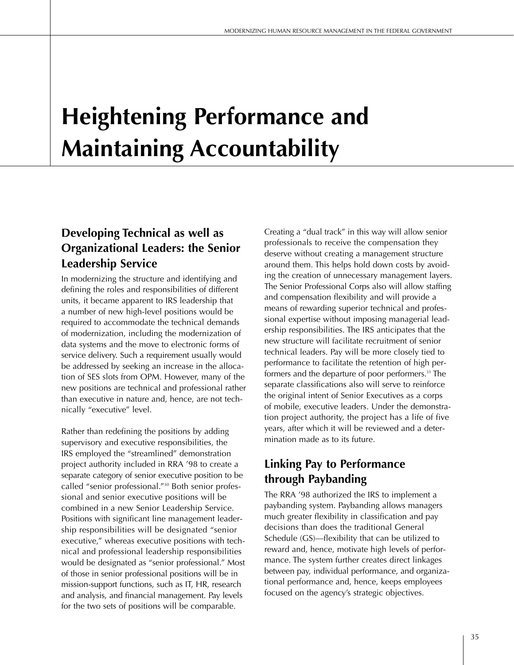# **Heightening Performance and Maintaining Accountability**

# **Developing Technical as well as Organizational Leaders: the Senior Leadership Service**

In modernizing the structure and identifying and defining the roles and responsibilities of different units, it became apparent to IRS leadership that a number of new high-level positions would be required to accommodate the technical demands of modernization, including the modernization of data systems and the move to electronic forms of service delivery. Such a requirement usually would be addressed by seeking an increase in the allocation of SES slots from OPM. However, many of the new positions are technical and professional rather than executive in nature and, hence, are not technically "executive" level.

Rather than redefining the positions by adding supervisory and executive responsibilities, the IRS employed the "streamlined" demonstration project authority included in RRA '98 to create a separate category of senior executive position to be called "senior professional."30 Both senior professional and senior executive positions will be combined in a new Senior Leadership Service. Positions with significant line management leadership responsibilities will be designated "senior executive," whereas executive positions with technical and professional leadership responsibilities would be designated as "senior professional." Most of those in senior professional positions will be in mission-support functions, such as IT, HR, research and analysis, and financial management. Pay levels for the two sets of positions will be comparable.

Creating a "dual track" in this way will allow senior professionals to receive the compensation they deserve without creating a management structure around them. This helps hold down costs by avoiding the creation of unnecessary management layers. The Senior Professional Corps also will allow staffing and compensation flexibility and will provide a means of rewarding superior technical and professional expertise without imposing managerial leadership responsibilities. The IRS anticipates that the new structure will facilitate recruitment of senior technical leaders. Pay will be more closely tied to performance to facilitate the retention of high performers and the departure of poor performers.31 The separate classifications also will serve to reinforce the original intent of Senior Executives as a corps of mobile, executive leaders. Under the demonstration project authority, the project has a life of five years, after which it will be reviewed and a determination made as to its future.

# **Linking Pay to Performance through Paybanding**

The RRA '98 authorized the IRS to implement a paybanding system. Paybanding allows managers much greater flexibility in classification and pay decisions than does the traditional General Schedule (GS)––flexibility that can be utilized to reward and, hence, motivate high levels of performance. The system further creates direct linkages between pay, individual performance, and organizational performance and, hence, keeps employees focused on the agency's strategic objectives.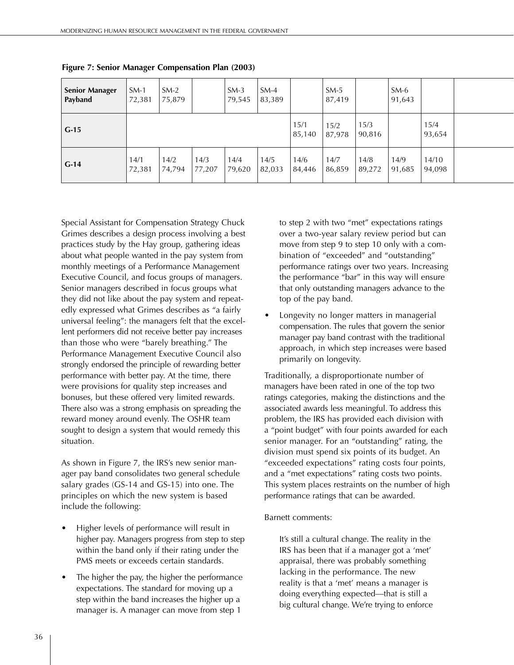| <b>Senior Manager</b><br>Payband | $SM-1$<br>72,381 | $SM-2$<br>75,879 |                | $SM-3$<br>79,545 | $SM-4$<br>83,389 |                | $SM-5$<br>87,419 |                | $SM-6$<br>91,643 |                 |  |
|----------------------------------|------------------|------------------|----------------|------------------|------------------|----------------|------------------|----------------|------------------|-----------------|--|
| $G-15$                           |                  |                  |                |                  |                  | 15/1<br>85,140 | 15/2<br>87,978   | 15/3<br>90,816 |                  | 15/4<br>93,654  |  |
| $G-14$                           | 14/1<br>72,381   | 14/2<br>74,794   | 14/3<br>77,207 | 14/4<br>79,620   | 14/5<br>82,033   | 14/6<br>84,446 | 14/7<br>86,859   | 14/8<br>89,272 | 14/9<br>91,685   | 14/10<br>94,098 |  |

**Figure 7: Senior Manager Compensation Plan (2003)**

Special Assistant for Compensation Strategy Chuck Grimes describes a design process involving a best practices study by the Hay group, gathering ideas about what people wanted in the pay system from monthly meetings of a Performance Management Executive Council, and focus groups of managers. Senior managers described in focus groups what they did not like about the pay system and repeatedly expressed what Grimes describes as "a fairly universal feeling": the managers felt that the excellent performers did not receive better pay increases than those who were "barely breathing." The Performance Management Executive Council also strongly endorsed the principle of rewarding better performance with better pay. At the time, there were provisions for quality step increases and bonuses, but these offered very limited rewards. There also was a strong emphasis on spreading the reward money around evenly. The OSHR team sought to design a system that would remedy this situation.

As shown in Figure 7, the IRS's new senior manager pay band consolidates two general schedule salary grades (GS-14 and GS-15) into one. The principles on which the new system is based include the following:

- Higher levels of performance will result in higher pay. Managers progress from step to step within the band only if their rating under the PMS meets or exceeds certain standards.
- The higher the pay, the higher the performance expectations. The standard for moving up a step within the band increases the higher up a manager is. A manager can move from step 1

to step 2 with two "met" expectations ratings over a two-year salary review period but can move from step 9 to step 10 only with a combination of "exceeded" and "outstanding" performance ratings over two years. Increasing the performance "bar" in this way will ensure that only outstanding managers advance to the top of the pay band.

Longevity no longer matters in managerial compensation. The rules that govern the senior manager pay band contrast with the traditional approach, in which step increases were based primarily on longevity.

Traditionally, a disproportionate number of managers have been rated in one of the top two ratings categories, making the distinctions and the associated awards less meaningful. To address this problem, the IRS has provided each division with a "point budget" with four points awarded for each senior manager. For an "outstanding" rating, the division must spend six points of its budget. An "exceeded expectations" rating costs four points, and a "met expectations" rating costs two points. This system places restraints on the number of high performance ratings that can be awarded.

#### Barnett comments:

It's still a cultural change. The reality in the IRS has been that if a manager got a 'met' appraisal, there was probably something lacking in the performance. The new reality is that a 'met' means a manager is doing everything expected––that is still a big cultural change. We're trying to enforce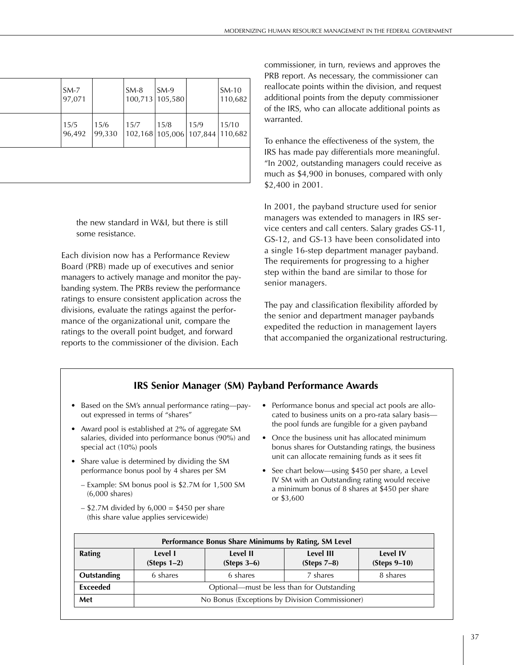| $SM-7$<br>97,071 |                | $SM-8$ | SM-9<br>100,713   105,580 |                                                | $SM-10$<br>110,682 |
|------------------|----------------|--------|---------------------------|------------------------------------------------|--------------------|
| 15/5<br>96,492   | 15/6<br>99,330 | 15/7   | 15/8                      | 15/9<br> 102,168   105,006   107,844   110,682 | 15/10              |
|                  |                |        |                           |                                                |                    |

the new standard in W&I, but there is still some resistance.

Each division now has a Performance Review Board (PRB) made up of executives and senior managers to actively manage and monitor the paybanding system. The PRBs review the performance ratings to ensure consistent application across the divisions, evaluate the ratings against the performance of the organizational unit, compare the ratings to the overall point budget, and forward reports to the commissioner of the division. Each

commissioner, in turn, reviews and approves the PRB report. As necessary, the commissioner can reallocate points within the division, and request additional points from the deputy commissioner of the IRS, who can allocate additional points as warranted.

To enhance the effectiveness of the system, the IRS has made pay differentials more meaningful. "In 2002, outstanding managers could receive as much as \$4,900 in bonuses, compared with only \$2,400 in 2001.

In 2001, the payband structure used for senior managers was extended to managers in IRS service centers and call centers. Salary grades GS-11, GS-12, and GS-13 have been consolidated into a single 16-step department manager payband. The requirements for progressing to a higher step within the band are similar to those for senior managers.

The pay and classification flexibility afforded by the senior and department manager paybands expedited the reduction in management layers that accompanied the organizational restructuring.

## **IRS Senior Manager (SM) Payband Performance Awards**

- Based on the SM's annual performance rating—payout expressed in terms of "shares"
- Award pool is established at 2% of aggregate SM salaries, divided into performance bonus (90%) and special act (10%) pools
- Share value is determined by dividing the SM performance bonus pool by 4 shares per SM
	- Example: SM bonus pool is \$2.7M for 1,500 SM (6,000 shares)
	- $-$  \$2.7M divided by 6,000 = \$450 per share (this share value applies servicewide)
- Performance bonus and special act pools are allocated to business units on a pro-rata salary basis the pool funds are fungible for a given payband
- Once the business unit has allocated minimum bonus shares for Outstanding ratings, the business unit can allocate remaining funds as it sees fit
- See chart below—using \$450 per share, a Level IV SM with an Outstanding rating would receive a minimum bonus of 8 shares at \$450 per share or \$3,600

| Performance Bonus Share Minimums by Rating, SM Level |                                                |                           |                            |                            |
|------------------------------------------------------|------------------------------------------------|---------------------------|----------------------------|----------------------------|
| Rating                                               | Level 1<br>$(Steps 1-2)$                       | Level II<br>$(Steps 3-6)$ | Level III<br>$(Steps 7-8)$ | Level IV<br>$(Steps 9-10)$ |
| <b>Outstanding</b>                                   | 6 shares                                       | 6 shares                  | 7 shares                   | 8 shares                   |
| <b>Exceeded</b>                                      | Optional—must be less than for Outstanding     |                           |                            |                            |
| Met                                                  | No Bonus (Exceptions by Division Commissioner) |                           |                            |                            |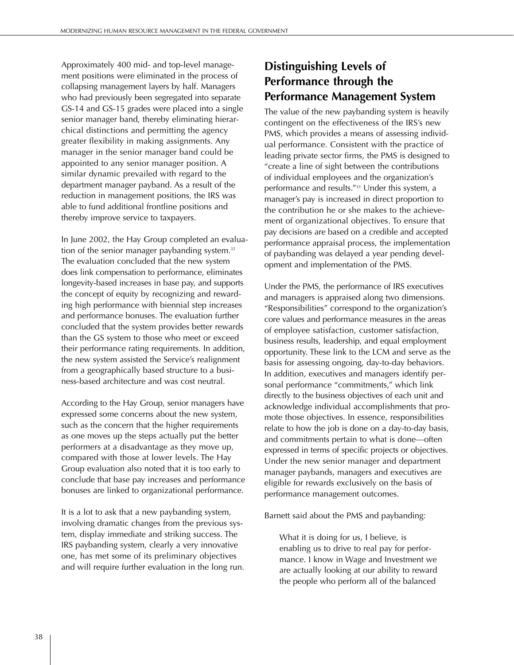Approximately 400 mid- and top-level management positions were eliminated in the process of collapsing management layers by half. Managers who had previously been segregated into separate GS-14 and GS-15 grades were placed into a single senior manager band, thereby eliminating hierarchical distinctions and permitting the agency greater flexibility in making assignments. Any manager in the senior manager band could be appointed to any senior manager position. A similar dynamic prevailed with regard to the department manager payband. As a result of the reduction in management positions, the IRS was able to fund additional frontline positions and thereby improve service to taxpayers.

In June 2002, the Hay Group completed an evaluation of the senior manager paybanding system.<sup>32</sup> The evaluation concluded that the new system does link compensation to performance, eliminates longevity-based increases in base pay, and supports the concept of equity by recognizing and rewarding high performance with biennial step increases and performance bonuses. The evaluation further concluded that the system provides better rewards than the GS system to those who meet or exceed their performance rating requirements. In addition, the new system assisted the Service's realignment from a geographically based structure to a business-based architecture and was cost neutral.

According to the Hay Group, senior managers have expressed some concerns about the new system, such as the concern that the higher requirements as one moves up the steps actually put the better performers at a disadvantage as they move up, compared with those at lower levels. The Hay Group evaluation also noted that it is too early to conclude that base pay increases and performance bonuses are linked to organizational performance.

It is a lot to ask that a new paybanding system, involving dramatic changes from the previous system, display immediate and striking success. The IRS paybanding system, clearly a very innovative one, has met some of its preliminary objectives and will require further evaluation in the long run.

# **Distinguishing Levels of Performance through the Performance Management System**

The value of the new paybanding system is heavily contingent on the effectiveness of the IRS's new PMS, which provides a means of assessing individual performance. Consistent with the practice of leading private sector firms, the PMS is designed to "create a line of sight between the contributions of individual employees and the organization's performance and results."33 Under this system, a manager's pay is increased in direct proportion to the contribution he or she makes to the achievement of organizational objectives. To ensure that pay decisions are based on a credible and accepted performance appraisal process, the implementation of paybanding was delayed a year pending development and implementation of the PMS.

Under the PMS, the performance of IRS executives and managers is appraised along two dimensions. "Responsibilities" correspond to the organization's core values and performance measures in the areas of employee satisfaction, customer satisfaction, business results, leadership, and equal employment opportunity. These link to the LCM and serve as the basis for assessing ongoing, day-to-day behaviors. In addition, executives and managers identify personal performance "commitments," which link directly to the business objectives of each unit and acknowledge individual accomplishments that promote those objectives. In essence, responsibilities relate to how the job is done on a day-to-day basis, and commitments pertain to what is done––often expressed in terms of specific projects or objectives. Under the new senior manager and department manager paybands, managers and executives are eligible for rewards exclusively on the basis of performance management outcomes.

Barnett said about the PMS and paybanding:

What it is doing for us, I believe, is enabling us to drive to real pay for performance. I know in Wage and Investment we are actually looking at our ability to reward the people who perform all of the balanced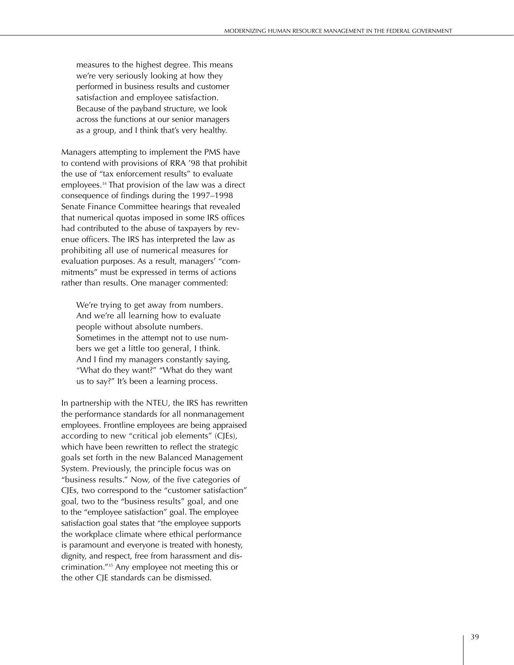measures to the highest degree. This means we're very seriously looking at how they performed in business results and customer satisfaction and employee satisfaction. Because of the payband structure, we look across the functions at our senior managers as a group, and I think that's very healthy.

Managers attempting to implement the PMS have to contend with provisions of RRA '98 that prohibit the use of "tax enforcement results" to evaluate employees.34 That provision of the law was a direct consequence of findings during the 1997–1998 Senate Finance Committee hearings that revealed that numerical quotas imposed in some IRS offices had contributed to the abuse of taxpayers by revenue officers. The IRS has interpreted the law as prohibiting all use of numerical measures for evaluation purposes. As a result, managers' "commitments" must be expressed in terms of actions rather than results. One manager commented:

We're trying to get away from numbers. And we're all learning how to evaluate people without absolute numbers. Sometimes in the attempt not to use numbers we get a little too general, I think. And I find my managers constantly saying, "What do they want?" "What do they want us to say?" It's been a learning process.

In partnership with the NTEU, the IRS has rewritten the performance standards for all nonmanagement employees. Frontline employees are being appraised according to new "critical job elements" (CJEs), which have been rewritten to reflect the strategic goals set forth in the new Balanced Management System. Previously, the principle focus was on "business results." Now, of the five categories of CJEs, two correspond to the "customer satisfaction" goal, two to the "business results" goal, and one to the "employee satisfaction" goal. The employee satisfaction goal states that "the employee supports the workplace climate where ethical performance is paramount and everyone is treated with honesty, dignity, and respect, free from harassment and discrimination."35 Any employee not meeting this or the other CJE standards can be dismissed.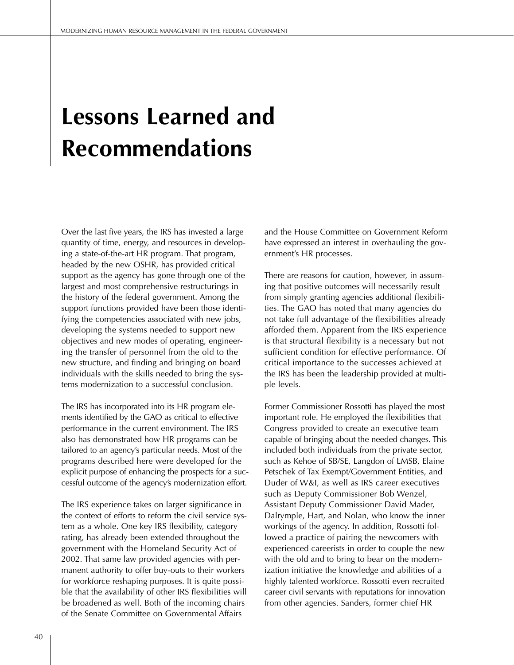# **Lessons Learned and Recommendations**

Over the last five years, the IRS has invested a large quantity of time, energy, and resources in developing a state-of-the-art HR program. That program, headed by the new OSHR, has provided critical support as the agency has gone through one of the largest and most comprehensive restructurings in the history of the federal government. Among the support functions provided have been those identifying the competencies associated with new jobs, developing the systems needed to support new objectives and new modes of operating, engineering the transfer of personnel from the old to the new structure, and finding and bringing on board individuals with the skills needed to bring the systems modernization to a successful conclusion.

The IRS has incorporated into its HR program elements identified by the GAO as critical to effective performance in the current environment. The IRS also has demonstrated how HR programs can be tailored to an agency's particular needs. Most of the programs described here were developed for the explicit purpose of enhancing the prospects for a successful outcome of the agency's modernization effort.

The IRS experience takes on larger significance in the context of efforts to reform the civil service system as a whole. One key IRS flexibility, category rating, has already been extended throughout the government with the Homeland Security Act of 2002. That same law provided agencies with permanent authority to offer buy-outs to their workers for workforce reshaping purposes. It is quite possible that the availability of other IRS flexibilities will be broadened as well. Both of the incoming chairs of the Senate Committee on Governmental Affairs

and the House Committee on Government Reform have expressed an interest in overhauling the government's HR processes.

There are reasons for caution, however, in assuming that positive outcomes will necessarily result from simply granting agencies additional flexibilities. The GAO has noted that many agencies do not take full advantage of the flexibilities already afforded them. Apparent from the IRS experience is that structural flexibility is a necessary but not sufficient condition for effective performance. Of critical importance to the successes achieved at the IRS has been the leadership provided at multiple levels.

Former Commissioner Rossotti has played the most important role. He employed the flexibilities that Congress provided to create an executive team capable of bringing about the needed changes. This included both individuals from the private sector, such as Kehoe of SB/SE, Langdon of LMSB, Elaine Petschek of Tax Exempt/Government Entities, and Duder of W&I, as well as IRS career executives such as Deputy Commissioner Bob Wenzel, Assistant Deputy Commissioner David Mader, Dalrymple, Hart, and Nolan, who know the inner workings of the agency. In addition, Rossotti followed a practice of pairing the newcomers with experienced careerists in order to couple the new with the old and to bring to bear on the modernization initiative the knowledge and abilities of a highly talented workforce. Rossotti even recruited career civil servants with reputations for innovation from other agencies. Sanders, former chief HR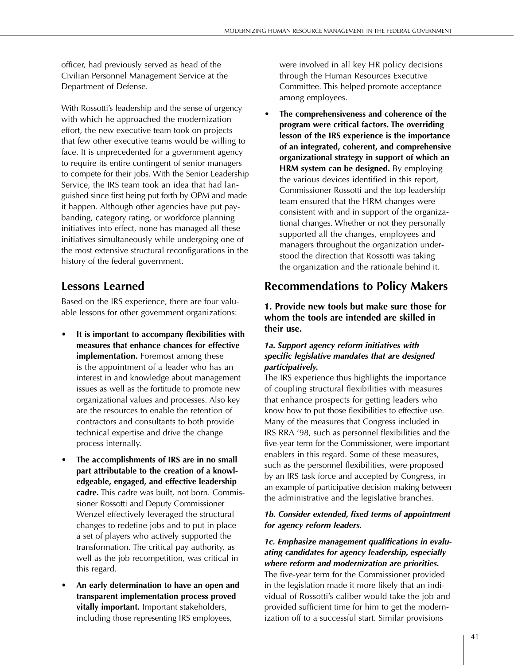officer, had previously served as head of the Civilian Personnel Management Service at the Department of Defense.

With Rossotti's leadership and the sense of urgency with which he approached the modernization effort, the new executive team took on projects that few other executive teams would be willing to face. It is unprecedented for a government agency to require its entire contingent of senior managers to compete for their jobs. With the Senior Leadership Service, the IRS team took an idea that had languished since first being put forth by OPM and made it happen. Although other agencies have put paybanding, category rating, or workforce planning initiatives into effect, none has managed all these initiatives simultaneously while undergoing one of the most extensive structural reconfigurations in the history of the federal government.

## **Lessons Learned**

Based on the IRS experience, there are four valuable lessons for other government organizations:

- **It is important to accompany flexibilities with measures that enhance chances for effective implementation.** Foremost among these is the appointment of a leader who has an interest in and knowledge about management issues as well as the fortitude to promote new organizational values and processes. Also key are the resources to enable the retention of contractors and consultants to both provide technical expertise and drive the change process internally.
- **The accomplishments of IRS are in no small part attributable to the creation of a knowledgeable, engaged, and effective leadership cadre.** This cadre was built, not born. Commissioner Rossotti and Deputy Commissioner Wenzel effectively leveraged the structural changes to redefine jobs and to put in place a set of players who actively supported the transformation. The critical pay authority, as well as the job recompetition, was critical in this regard.
- **An early determination to have an open and transparent implementation process proved vitally important.** Important stakeholders, including those representing IRS employees,

were involved in all key HR policy decisions through the Human Resources Executive Committee. This helped promote acceptance among employees.

• **The comprehensiveness and coherence of the program were critical factors. The overriding lesson of the IRS experience is the importance of an integrated, coherent, and comprehensive organizational strategy in support of which an HRM system can be designed.** By employing the various devices identified in this report, Commissioner Rossotti and the top leadership team ensured that the HRM changes were consistent with and in support of the organizational changes. Whether or not they personally supported all the changes, employees and managers throughout the organization understood the direction that Rossotti was taking the organization and the rationale behind it.

## **Recommendations to Policy Makers**

### **1. Provide new tools but make sure those for whom the tools are intended are skilled in their use.**

#### *1a. Support agency reform initiatives with specific legislative mandates that are designed participatively.*

The IRS experience thus highlights the importance of coupling structural flexibilities with measures that enhance prospects for getting leaders who know how to put those flexibilities to effective use. Many of the measures that Congress included in IRS RRA '98, such as personnel flexibilities and the five-year term for the Commissioner, were important enablers in this regard. Some of these measures, such as the personnel flexibilities, were proposed by an IRS task force and accepted by Congress, in an example of participative decision making between the administrative and the legislative branches.

## *1b. Consider extended, fixed terms of appointment for agency reform leaders.*

#### *1c. Emphasize management qualifications in evaluating candidates for agency leadership, especially where reform and modernization are priorities.*

The five-year term for the Commissioner provided in the legislation made it more likely that an individual of Rossotti's caliber would take the job and provided sufficient time for him to get the modernization off to a successful start. Similar provisions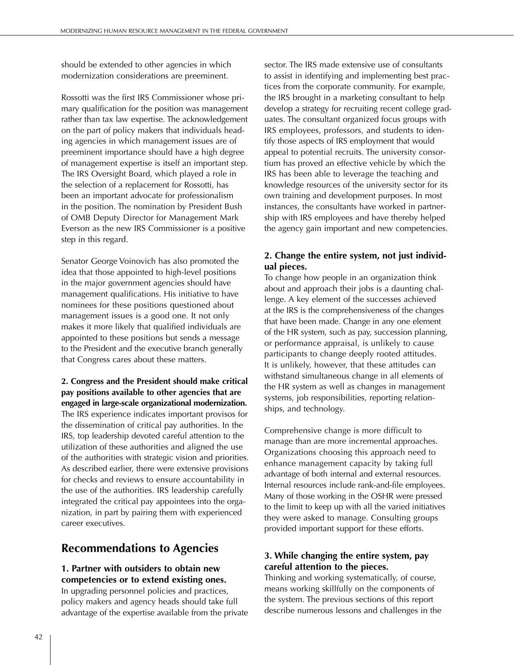should be extended to other agencies in which modernization considerations are preeminent.

Rossotti was the first IRS Commissioner whose primary qualification for the position was management rather than tax law expertise. The acknowledgement on the part of policy makers that individuals heading agencies in which management issues are of preeminent importance should have a high degree of management expertise is itself an important step. The IRS Oversight Board, which played a role in the selection of a replacement for Rossotti, has been an important advocate for professionalism in the position. The nomination by President Bush of OMB Deputy Director for Management Mark Everson as the new IRS Commissioner is a positive step in this regard.

Senator George Voinovich has also promoted the idea that those appointed to high-level positions in the major government agencies should have management qualifications. His initiative to have nominees for these positions questioned about management issues is a good one. It not only makes it more likely that qualified individuals are appointed to these positions but sends a message to the President and the executive branch generally that Congress cares about these matters.

**2. Congress and the President should make critical pay positions available to other agencies that are engaged in large-scale organizational modernization.** The IRS experience indicates important provisos for the dissemination of critical pay authorities. In the IRS, top leadership devoted careful attention to the utilization of these authorities and aligned the use of the authorities with strategic vision and priorities. As described earlier, there were extensive provisions for checks and reviews to ensure accountability in the use of the authorities. IRS leadership carefully integrated the critical pay appointees into the organization, in part by pairing them with experienced career executives.

# **Recommendations to Agencies**

## **1. Partner with outsiders to obtain new competencies or to extend existing ones.**

In upgrading personnel policies and practices, policy makers and agency heads should take full advantage of the expertise available from the private sector. The IRS made extensive use of consultants to assist in identifying and implementing best practices from the corporate community. For example, the IRS brought in a marketing consultant to help develop a strategy for recruiting recent college graduates. The consultant organized focus groups with IRS employees, professors, and students to identify those aspects of IRS employment that would appeal to potential recruits. The university consortium has proved an effective vehicle by which the IRS has been able to leverage the teaching and knowledge resources of the university sector for its own training and development purposes. In most instances, the consultants have worked in partnership with IRS employees and have thereby helped the agency gain important and new competencies.

## **2. Change the entire system, not just individual pieces.**

To change how people in an organization think about and approach their jobs is a daunting challenge. A key element of the successes achieved at the IRS is the comprehensiveness of the changes that have been made. Change in any one element of the HR system, such as pay, succession planning, or performance appraisal, is unlikely to cause participants to change deeply rooted attitudes. It is unlikely, however, that these attitudes can withstand simultaneous change in all elements of the HR system as well as changes in management systems, job responsibilities, reporting relationships, and technology.

Comprehensive change is more difficult to manage than are more incremental approaches. Organizations choosing this approach need to enhance management capacity by taking full advantage of both internal and external resources. Internal resources include rank-and-file employees. Many of those working in the OSHR were pressed to the limit to keep up with all the varied initiatives they were asked to manage. Consulting groups provided important support for these efforts.

## **3. While changing the entire system, pay careful attention to the pieces.**

Thinking and working systematically, of course, means working skillfully on the components of the system. The previous sections of this report describe numerous lessons and challenges in the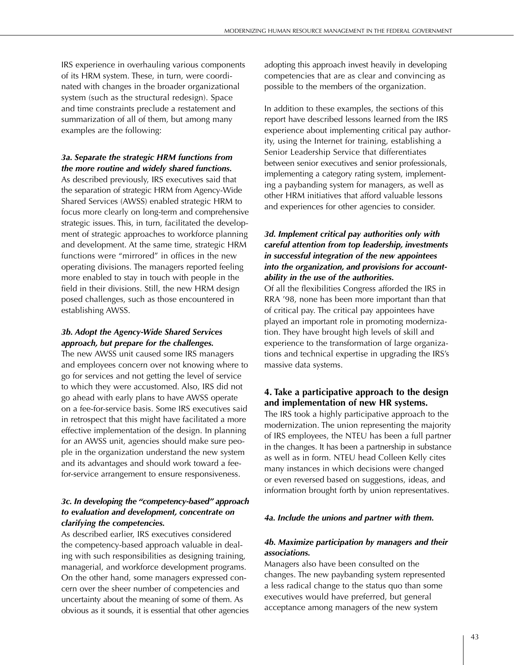IRS experience in overhauling various components of its HRM system. These, in turn, were coordinated with changes in the broader organizational system (such as the structural redesign). Space and time constraints preclude a restatement and summarization of all of them, but among many examples are the following:

### *3a. Separate the strategic HRM functions from the more routine and widely shared functions.*

As described previously, IRS executives said that the separation of strategic HRM from Agency-Wide Shared Services (AWSS) enabled strategic HRM to focus more clearly on long-term and comprehensive strategic issues. This, in turn, facilitated the development of strategic approaches to workforce planning and development. At the same time, strategic HRM functions were "mirrored" in offices in the new operating divisions. The managers reported feeling more enabled to stay in touch with people in the field in their divisions. Still, the new HRM design posed challenges, such as those encountered in establishing AWSS.

#### *3b. Adopt the Agency-Wide Shared Services approach, but prepare for the challenges.*

The new AWSS unit caused some IRS managers and employees concern over not knowing where to go for services and not getting the level of service to which they were accustomed. Also, IRS did not go ahead with early plans to have AWSS operate on a fee-for-service basis. Some IRS executives said in retrospect that this might have facilitated a more effective implementation of the design. In planning for an AWSS unit, agencies should make sure people in the organization understand the new system and its advantages and should work toward a feefor-service arrangement to ensure responsiveness.

#### *3c. In developing the "competency-based" approach to evaluation and development, concentrate on clarifying the competencies.*

As described earlier, IRS executives considered the competency-based approach valuable in dealing with such responsibilities as designing training, managerial, and workforce development programs. On the other hand, some managers expressed concern over the sheer number of competencies and uncertainty about the meaning of some of them. As obvious as it sounds, it is essential that other agencies adopting this approach invest heavily in developing competencies that are as clear and convincing as possible to the members of the organization.

In addition to these examples, the sections of this report have described lessons learned from the IRS experience about implementing critical pay authority, using the Internet for training, establishing a Senior Leadership Service that differentiates between senior executives and senior professionals, implementing a category rating system, implementing a paybanding system for managers, as well as other HRM initiatives that afford valuable lessons and experiences for other agencies to consider.

#### *3d. Implement critical pay authorities only with careful attention from top leadership, investments in successful integration of the new appointees into the organization, and provisions for accountability in the use of the authorities.*

Of all the flexibilities Congress afforded the IRS in RRA '98, none has been more important than that of critical pay. The critical pay appointees have played an important role in promoting modernization. They have brought high levels of skill and experience to the transformation of large organizations and technical expertise in upgrading the IRS's massive data systems.

## **4. Take a participative approach to the design and implementation of new HR systems.**

The IRS took a highly participative approach to the modernization. The union representing the majority of IRS employees, the NTEU has been a full partner in the changes. It has been a partnership in substance as well as in form. NTEU head Colleen Kelly cites many instances in which decisions were changed or even reversed based on suggestions, ideas, and information brought forth by union representatives.

#### *4a. Include the unions and partner with them.*

#### *4b. Maximize participation by managers and their associations.*

Managers also have been consulted on the changes. The new paybanding system represented a less radical change to the status quo than some executives would have preferred, but general acceptance among managers of the new system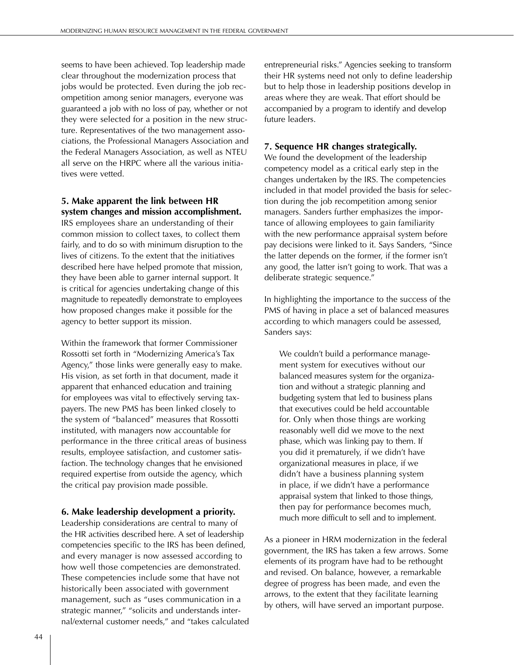seems to have been achieved. Top leadership made clear throughout the modernization process that jobs would be protected. Even during the job recompetition among senior managers, everyone was guaranteed a job with no loss of pay, whether or not they were selected for a position in the new structure. Representatives of the two management associations, the Professional Managers Association and the Federal Managers Association, as well as NTEU all serve on the HRPC where all the various initiatives were vetted.

#### **5. Make apparent the link between HR system changes and mission accomplishment.**

IRS employees share an understanding of their common mission to collect taxes, to collect them fairly, and to do so with minimum disruption to the lives of citizens. To the extent that the initiatives described here have helped promote that mission, they have been able to garner internal support. It is critical for agencies undertaking change of this magnitude to repeatedly demonstrate to employees how proposed changes make it possible for the agency to better support its mission.

Within the framework that former Commissioner Rossotti set forth in "Modernizing America's Tax Agency," those links were generally easy to make. His vision, as set forth in that document, made it apparent that enhanced education and training for employees was vital to effectively serving taxpayers. The new PMS has been linked closely to the system of "balanced" measures that Rossotti instituted, with managers now accountable for performance in the three critical areas of business results, employee satisfaction, and customer satisfaction. The technology changes that he envisioned required expertise from outside the agency, which the critical pay provision made possible.

#### **6. Make leadership development a priority.**

Leadership considerations are central to many of the HR activities described here. A set of leadership competencies specific to the IRS has been defined, and every manager is now assessed according to how well those competencies are demonstrated. These competencies include some that have not historically been associated with government management, such as "uses communication in a strategic manner," "solicits and understands internal/external customer needs," and "takes calculated entrepreneurial risks." Agencies seeking to transform their HR systems need not only to define leadership but to help those in leadership positions develop in areas where they are weak. That effort should be accompanied by a program to identify and develop future leaders.

#### **7. Sequence HR changes strategically.**

We found the development of the leadership competency model as a critical early step in the changes undertaken by the IRS. The competencies included in that model provided the basis for selection during the job recompetition among senior managers. Sanders further emphasizes the importance of allowing employees to gain familiarity with the new performance appraisal system before pay decisions were linked to it. Says Sanders, "Since the latter depends on the former, if the former isn't any good, the latter isn't going to work. That was a deliberate strategic sequence."

In highlighting the importance to the success of the PMS of having in place a set of balanced measures according to which managers could be assessed, Sanders says:

We couldn't build a performance management system for executives without our balanced measures system for the organization and without a strategic planning and budgeting system that led to business plans that executives could be held accountable for. Only when those things are working reasonably well did we move to the next phase, which was linking pay to them. If you did it prematurely, if we didn't have organizational measures in place, if we didn't have a business planning system in place, if we didn't have a performance appraisal system that linked to those things, then pay for performance becomes much, much more difficult to sell and to implement.

As a pioneer in HRM modernization in the federal government, the IRS has taken a few arrows. Some elements of its program have had to be rethought and revised. On balance, however, a remarkable degree of progress has been made, and even the arrows, to the extent that they facilitate learning by others, will have served an important purpose.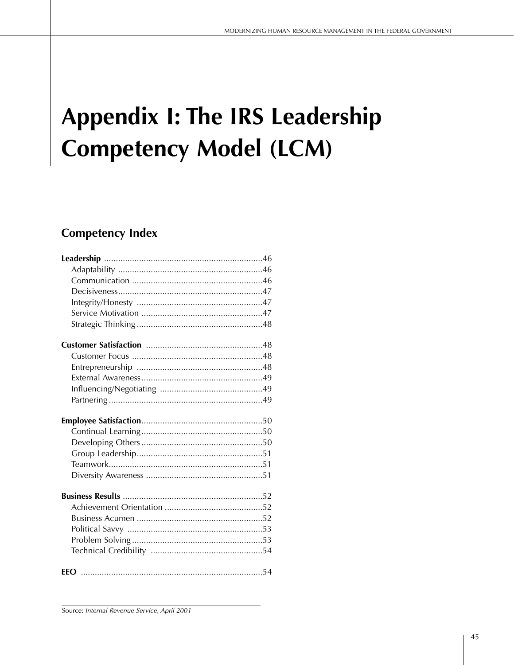# **Appendix I: The IRS Leadership Competency Model (LCM)**

# **Competency Index**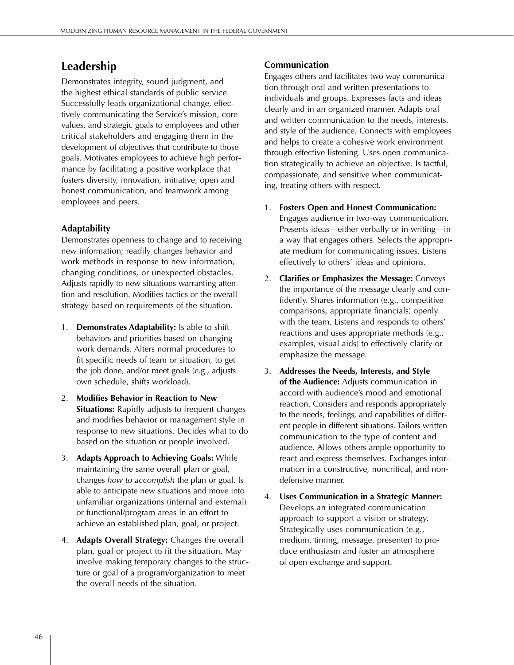# **Leadership**

Demonstrates integrity, sound judgment, and the highest ethical standards of public service. Successfully leads organizational change, effectively communicating the Service's mission, core values, and strategic goals to employees and other critical stakeholders and engaging them in the development of objectives that contribute to those goals. Motivates employees to achieve high performance by facilitating a positive workplace that fosters diversity, innovation, initiative, open and honest communication, and teamwork among employees and peers.

## **Adaptability**

Demonstrates openness to change and to receiving new information; readily changes behavior and work methods in response to new information, changing conditions, or unexpected obstacles. Adjusts rapidly to new situations warranting attention and resolution. Modifies tactics or the overall strategy based on requirements of the situation.

- 1. **Demonstrates Adaptability:** Is able to shift behaviors and priorities based on changing work demands. Alters normal procedures to fit specific needs of team or situation, to get the job done, and/or meet goals (e.g., adjusts own schedule, shifts workload).
- 2. **Modifies Behavior in Reaction to New Situations:** Rapidly adjusts to frequent changes and modifies behavior or management style in response to new situations. Decides what to do based on the situation or people involved.
- 3. **Adapts Approach to Achieving Goals:** While maintaining the same overall plan or goal, changes *how to accomplish* the plan or goal. Is able to anticipate new situations and move into unfamiliar organizations (internal and external) or functional/program areas in an effort to achieve an established plan, goal, or project.
- 4. **Adapts Overall Strategy:** Changes the overall plan, goal or project to fit the situation. May involve making temporary changes to the structure or goal of a program/organization to meet the overall needs of the situation.

## **Communication**

Engages others and facilitates two-way communication through oral and written presentations to individuals and groups. Expresses facts and ideas clearly and in an organized manner. Adapts oral and written communication to the needs, interests, and style of the audience. Connects with employees and helps to create a cohesive work environment through effective listening. Uses open communication strategically to achieve an objective. Is tactful, compassionate, and sensitive when communicating, treating others with respect.

- 1. **Fosters Open and Honest Communication:** Engages audience in two-way communication. Presents ideas––either verbally or in writing––in a way that engages others. Selects the appropriate medium for communicating issues. Listens effectively to others' ideas and opinions.
- 2. **Clarifies or Emphasizes the Message:** Conveys the importance of the message clearly and confidently. Shares information (e.g., competitive comparisons, appropriate financials) openly with the team. Listens and responds to others' reactions and uses appropriate methods (e.g., examples, visual aids) to effectively clarify or emphasize the message.
- 3. **Addresses the Needs, Interests, and Style of the Audience:** Adjusts communication in accord with audience's mood and emotional reaction. Considers and responds appropriately to the needs, feelings, and capabilities of different people in different situations. Tailors written communication to the type of content and audience. Allows others ample opportunity to react and express themselves. Exchanges information in a constructive, noncritical, and nondefensive manner.
- 4. **Uses Communication in a Strategic Manner:** Develops an integrated communication approach to support a vision or strategy. Strategically uses communication (e.g., medium, timing, message, presenter) to produce enthusiasm and foster an atmosphere of open exchange and support.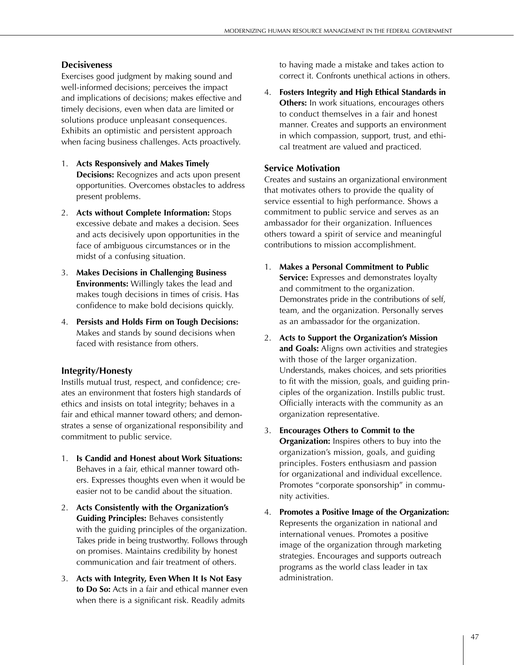#### **Decisiveness**

Exercises good judgment by making sound and well-informed decisions; perceives the impact and implications of decisions; makes effective and timely decisions, even when data are limited or solutions produce unpleasant consequences. Exhibits an optimistic and persistent approach when facing business challenges. Acts proactively.

- 1. **Acts Responsively and Makes Timely Decisions:** Recognizes and acts upon present opportunities. Overcomes obstacles to address present problems.
- 2. **Acts without Complete Information:** Stops excessive debate and makes a decision. Sees and acts decisively upon opportunities in the face of ambiguous circumstances or in the midst of a confusing situation.
- 3. **Makes Decisions in Challenging Business Environments:** Willingly takes the lead and makes tough decisions in times of crisis. Has confidence to make bold decisions quickly.
- 4. **Persists and Holds Firm on Tough Decisions:** Makes and stands by sound decisions when faced with resistance from others.

#### **Integrity/Honesty**

Instills mutual trust, respect, and confidence; creates an environment that fosters high standards of ethics and insists on total integrity; behaves in a fair and ethical manner toward others; and demonstrates a sense of organizational responsibility and commitment to public service.

- 1. **Is Candid and Honest about Work Situations:** Behaves in a fair, ethical manner toward others. Expresses thoughts even when it would be easier not to be candid about the situation.
- 2. **Acts Consistently with the Organization's Guiding Principles:** Behaves consistently with the guiding principles of the organization. Takes pride in being trustworthy. Follows through on promises. Maintains credibility by honest communication and fair treatment of others.
- 3. **Acts with Integrity, Even When It Is Not Easy to Do So:** Acts in a fair and ethical manner even when there is a significant risk. Readily admits

to having made a mistake and takes action to correct it. Confronts unethical actions in others.

4. **Fosters Integrity and High Ethical Standards in Others:** In work situations, encourages others to conduct themselves in a fair and honest manner. Creates and supports an environment in which compassion, support, trust, and ethical treatment are valued and practiced.

## **Service Motivation**

Creates and sustains an organizational environment that motivates others to provide the quality of service essential to high performance. Shows a commitment to public service and serves as an ambassador for their organization. Influences others toward a spirit of service and meaningful contributions to mission accomplishment.

- 1. **Makes a Personal Commitment to Public Service:** Expresses and demonstrates loyalty and commitment to the organization. Demonstrates pride in the contributions of self, team, and the organization. Personally serves as an ambassador for the organization.
- 2. **Acts to Support the Organization's Mission and Goals:** Aligns own activities and strategies with those of the larger organization. Understands, makes choices, and sets priorities to fit with the mission, goals, and guiding principles of the organization. Instills public trust. Officially interacts with the community as an organization representative.
- 3. **Encourages Others to Commit to the Organization:** Inspires others to buy into the organization's mission, goals, and guiding principles. Fosters enthusiasm and passion for organizational and individual excellence. Promotes "corporate sponsorship" in community activities.
- 4. **Promotes a Positive Image of the Organization:** Represents the organization in national and international venues. Promotes a positive image of the organization through marketing strategies. Encourages and supports outreach programs as the world class leader in tax administration.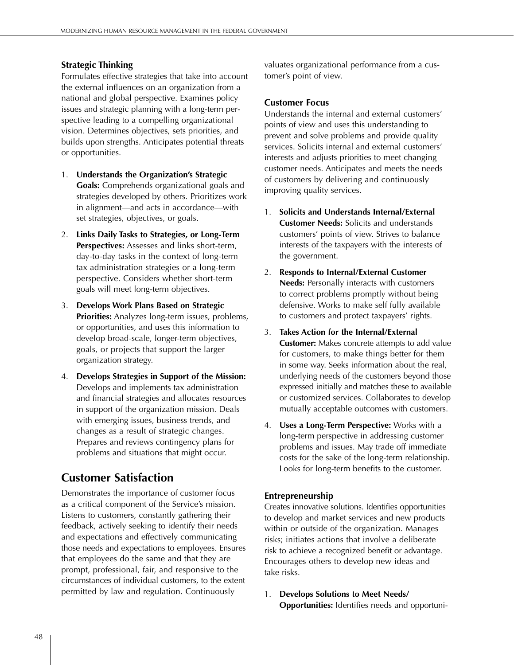## **Strategic Thinking**

Formulates effective strategies that take into account the external influences on an organization from a national and global perspective. Examines policy issues and strategic planning with a long-term perspective leading to a compelling organizational vision. Determines objectives, sets priorities, and builds upon strengths. Anticipates potential threats or opportunities.

- 1. **Understands the Organization's Strategic Goals:** Comprehends organizational goals and strategies developed by others. Prioritizes work in alignment––and acts in accordance––with set strategies, objectives, or goals.
- 2. **Links Daily Tasks to Strategies, or Long-Term Perspectives:** Assesses and links short-term, day-to-day tasks in the context of long-term tax administration strategies or a long-term perspective. Considers whether short-term goals will meet long-term objectives.
- 3. **Develops Work Plans Based on Strategic Priorities:** Analyzes long-term issues, problems, or opportunities, and uses this information to develop broad-scale, longer-term objectives, goals, or projects that support the larger organization strategy.
- 4. **Develops Strategies in Support of the Mission:** Develops and implements tax administration and financial strategies and allocates resources in support of the organization mission. Deals with emerging issues, business trends, and changes as a result of strategic changes. Prepares and reviews contingency plans for problems and situations that might occur.

# **Customer Satisfaction**

Demonstrates the importance of customer focus as a critical component of the Service's mission. Listens to customers, constantly gathering their feedback, actively seeking to identify their needs and expectations and effectively communicating those needs and expectations to employees. Ensures that employees do the same and that they are prompt, professional, fair, and responsive to the circumstances of individual customers, to the extent permitted by law and regulation. Continuously

valuates organizational performance from a customer's point of view.

## **Customer Focus**

Understands the internal and external customers' points of view and uses this understanding to prevent and solve problems and provide quality services. Solicits internal and external customers' interests and adjusts priorities to meet changing customer needs. Anticipates and meets the needs of customers by delivering and continuously improving quality services.

- 1. **Solicits and Understands Internal/External Customer Needs:** Solicits and understands customers' points of view. Strives to balance interests of the taxpayers with the interests of the government.
- 2. **Responds to Internal/External Customer Needs:** Personally interacts with customers to correct problems promptly without being defensive. Works to make self fully available to customers and protect taxpayers' rights.
- 3. **Takes Action for the Internal/External Customer:** Makes concrete attempts to add value for customers, to make things better for them in some way. Seeks information about the real, underlying needs of the customers beyond those expressed initially and matches these to available or customized services. Collaborates to develop mutually acceptable outcomes with customers.
- 4. **Uses a Long-Term Perspective:** Works with a long-term perspective in addressing customer problems and issues. May trade off immediate costs for the sake of the long-term relationship. Looks for long-term benefits to the customer.

## **Entrepreneurship**

Creates innovative solutions. Identifies opportunities to develop and market services and new products within or outside of the organization. Manages risks; initiates actions that involve a deliberate risk to achieve a recognized benefit or advantage. Encourages others to develop new ideas and take risks.

1. **Develops Solutions to Meet Needs/ Opportunities:** Identifies needs and opportuni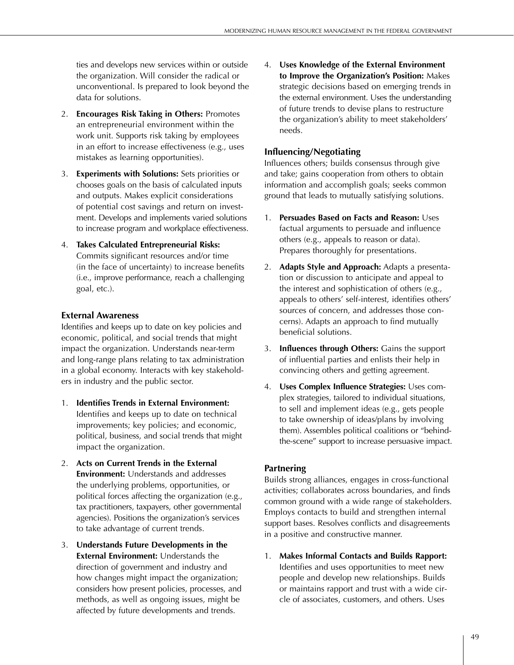ties and develops new services within or outside the organization. Will consider the radical or unconventional. Is prepared to look beyond the data for solutions.

- 2. **Encourages Risk Taking in Others:** Promotes an entrepreneurial environment within the work unit. Supports risk taking by employees in an effort to increase effectiveness (e.g., uses mistakes as learning opportunities).
- 3. **Experiments with Solutions:** Sets priorities or chooses goals on the basis of calculated inputs and outputs. Makes explicit considerations of potential cost savings and return on investment. Develops and implements varied solutions to increase program and workplace effectiveness.
- 4. **Takes Calculated Entrepreneurial Risks:** Commits significant resources and/or time (in the face of uncertainty) to increase benefits (i.e., improve performance, reach a challenging goal, etc.).

#### **External Awareness**

Identifies and keeps up to date on key policies and economic, political, and social trends that might impact the organization. Understands near-term and long-range plans relating to tax administration in a global economy. Interacts with key stakeholders in industry and the public sector.

- 1. **Identifies Trends in External Environment:** Identifies and keeps up to date on technical improvements; key policies; and economic, political, business, and social trends that might impact the organization.
- 2. **Acts on Current Trends in the External Environment:** Understands and addresses the underlying problems, opportunities, or political forces affecting the organization (e.g., tax practitioners, taxpayers, other governmental agencies). Positions the organization's services to take advantage of current trends.
- 3. **Understands Future Developments in the External Environment:** Understands the direction of government and industry and how changes might impact the organization; considers how present policies, processes, and methods, as well as ongoing issues, might be affected by future developments and trends.

4. **Uses Knowledge of the External Environment to Improve the Organization's Position:** Makes strategic decisions based on emerging trends in the external environment. Uses the understanding of future trends to devise plans to restructure the organization's ability to meet stakeholders' needs.

#### **Influencing/Negotiating**

Influences others; builds consensus through give and take; gains cooperation from others to obtain information and accomplish goals; seeks common ground that leads to mutually satisfying solutions.

- 1. **Persuades Based on Facts and Reason:** Uses factual arguments to persuade and influence others (e.g., appeals to reason or data). Prepares thoroughly for presentations.
- 2. **Adapts Style and Approach:** Adapts a presentation or discussion to anticipate and appeal to the interest and sophistication of others (e.g., appeals to others' self-interest, identifies others' sources of concern, and addresses those concerns). Adapts an approach to find mutually beneficial solutions.
- 3. **Influences through Others:** Gains the support of influential parties and enlists their help in convincing others and getting agreement.
- 4. **Uses Complex Influence Strategies:** Uses complex strategies, tailored to individual situations, to sell and implement ideas (e.g., gets people to take ownership of ideas/plans by involving them). Assembles political coalitions or "behindthe-scene" support to increase persuasive impact.

## **Partnering**

Builds strong alliances, engages in cross-functional activities; collaborates across boundaries, and finds common ground with a wide range of stakeholders. Employs contacts to build and strengthen internal support bases. Resolves conflicts and disagreements in a positive and constructive manner.

1. **Makes Informal Contacts and Builds Rapport:** Identifies and uses opportunities to meet new people and develop new relationships. Builds or maintains rapport and trust with a wide circle of associates, customers, and others. Uses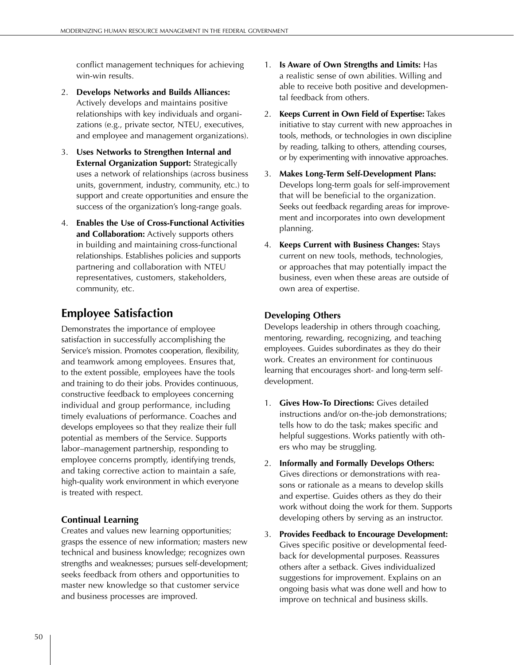conflict management techniques for achieving win-win results.

- 2. **Develops Networks and Builds Alliances:** Actively develops and maintains positive relationships with key individuals and organizations (e.g., private sector, NTEU, executives, and employee and management organizations).
- 3. **Uses Networks to Strengthen Internal and External Organization Support:** Strategically uses a network of relationships (across business units, government, industry, community, etc.) to support and create opportunities and ensure the success of the organization's long-range goals.
- 4. **Enables the Use of Cross-Functional Activities and Collaboration:** Actively supports others in building and maintaining cross-functional relationships. Establishes policies and supports partnering and collaboration with NTEU representatives, customers, stakeholders, community, etc.

# **Employee Satisfaction**

Demonstrates the importance of employee satisfaction in successfully accomplishing the Service's mission. Promotes cooperation, flexibility, and teamwork among employees. Ensures that, to the extent possible, employees have the tools and training to do their jobs. Provides continuous, constructive feedback to employees concerning individual and group performance, including timely evaluations of performance. Coaches and develops employees so that they realize their full potential as members of the Service. Supports labor–management partnership, responding to employee concerns promptly, identifying trends, and taking corrective action to maintain a safe, high-quality work environment in which everyone is treated with respect.

## **Continual Learning**

Creates and values new learning opportunities; grasps the essence of new information; masters new technical and business knowledge; recognizes own strengths and weaknesses; pursues self-development; seeks feedback from others and opportunities to master new knowledge so that customer service and business processes are improved.

- 1. **Is Aware of Own Strengths and Limits:** Has a realistic sense of own abilities. Willing and able to receive both positive and developmental feedback from others.
- 2. **Keeps Current in Own Field of Expertise:** Takes initiative to stay current with new approaches in tools, methods, or technologies in own discipline by reading, talking to others, attending courses, or by experimenting with innovative approaches.
- 3. **Makes Long-Term Self-Development Plans:** Develops long-term goals for self-improvement that will be beneficial to the organization. Seeks out feedback regarding areas for improvement and incorporates into own development planning.
- 4. **Keeps Current with Business Changes:** Stays current on new tools, methods, technologies, or approaches that may potentially impact the business, even when these areas are outside of own area of expertise.

## **Developing Others**

Develops leadership in others through coaching, mentoring, rewarding, recognizing, and teaching employees. Guides subordinates as they do their work. Creates an environment for continuous learning that encourages short- and long-term selfdevelopment.

- 1. **Gives How-To Directions:** Gives detailed instructions and/or on-the-job demonstrations; tells how to do the task; makes specific and helpful suggestions. Works patiently with others who may be struggling.
- 2. **Informally and Formally Develops Others:** Gives directions or demonstrations with reasons or rationale as a means to develop skills and expertise. Guides others as they do their work without doing the work for them. Supports developing others by serving as an instructor.
- 3. **Provides Feedback to Encourage Development:** Gives specific positive or developmental feedback for developmental purposes. Reassures others after a setback. Gives individualized suggestions for improvement. Explains on an ongoing basis what was done well and how to improve on technical and business skills.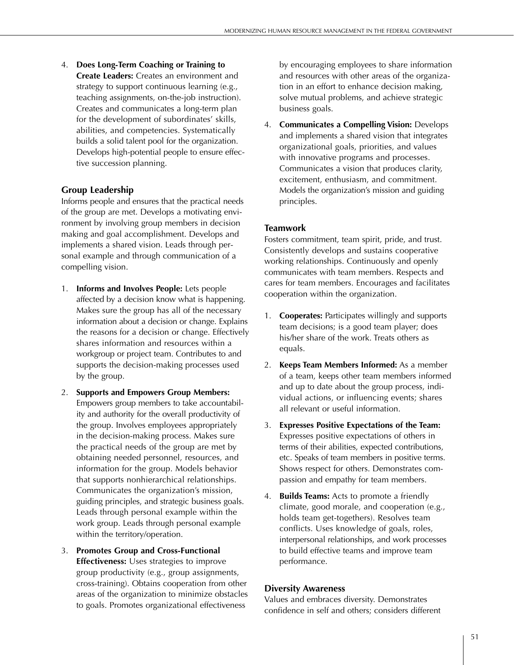4. **Does Long-Term Coaching or Training to Create Leaders:** Creates an environment and strategy to support continuous learning (e.g., teaching assignments, on-the-job instruction). Creates and communicates a long-term plan for the development of subordinates' skills, abilities, and competencies. Systematically builds a solid talent pool for the organization. Develops high-potential people to ensure effective succession planning.

#### **Group Leadership**

Informs people and ensures that the practical needs of the group are met. Develops a motivating environment by involving group members in decision making and goal accomplishment. Develops and implements a shared vision. Leads through personal example and through communication of a compelling vision.

- 1. **Informs and Involves People:** Lets people affected by a decision know what is happening. Makes sure the group has all of the necessary information about a decision or change. Explains the reasons for a decision or change. Effectively shares information and resources within a workgroup or project team. Contributes to and supports the decision-making processes used by the group.
- 2. **Supports and Empowers Group Members:** Empowers group members to take accountability and authority for the overall productivity of the group. Involves employees appropriately in the decision-making process. Makes sure the practical needs of the group are met by obtaining needed personnel, resources, and information for the group. Models behavior that supports nonhierarchical relationships. Communicates the organization's mission, guiding principles, and strategic business goals. Leads through personal example within the work group. Leads through personal example within the territory/operation.
- 3. **Promotes Group and Cross-Functional Effectiveness:** Uses strategies to improve group productivity (e.g., group assignments, cross-training). Obtains cooperation from other areas of the organization to minimize obstacles to goals. Promotes organizational effectiveness

by encouraging employees to share information and resources with other areas of the organization in an effort to enhance decision making, solve mutual problems, and achieve strategic business goals.

4. **Communicates a Compelling Vision:** Develops and implements a shared vision that integrates organizational goals, priorities, and values with innovative programs and processes. Communicates a vision that produces clarity, excitement, enthusiasm, and commitment. Models the organization's mission and guiding principles.

#### **Teamwork**

Fosters commitment, team spirit, pride, and trust. Consistently develops and sustains cooperative working relationships. Continuously and openly communicates with team members. Respects and cares for team members. Encourages and facilitates cooperation within the organization.

- 1. **Cooperates:** Participates willingly and supports team decisions; is a good team player; does his/her share of the work. Treats others as equals.
- 2. **Keeps Team Members Informed:** As a member of a team, keeps other team members informed and up to date about the group process, individual actions, or influencing events; shares all relevant or useful information.
- 3. **Expresses Positive Expectations of the Team:** Expresses positive expectations of others in terms of their abilities, expected contributions, etc. Speaks of team members in positive terms. Shows respect for others. Demonstrates compassion and empathy for team members.
- 4. **Builds Teams:** Acts to promote a friendly climate, good morale, and cooperation (e.g., holds team get-togethers). Resolves team conflicts. Uses knowledge of goals, roles, interpersonal relationships, and work processes to build effective teams and improve team performance.

#### **Diversity Awareness**

Values and embraces diversity. Demonstrates confidence in self and others; considers different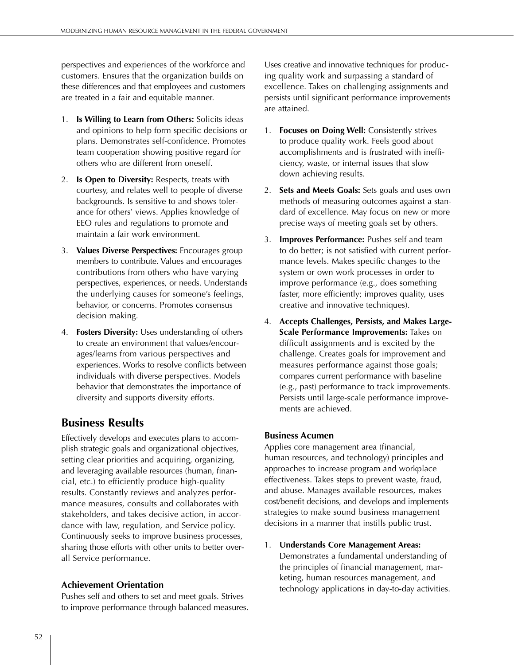perspectives and experiences of the workforce and customers. Ensures that the organization builds on these differences and that employees and customers are treated in a fair and equitable manner.

- 1. **Is Willing to Learn from Others:** Solicits ideas and opinions to help form specific decisions or plans. Demonstrates self-confidence. Promotes team cooperation showing positive regard for others who are different from oneself.
- 2. **Is Open to Diversity:** Respects, treats with courtesy, and relates well to people of diverse backgrounds. Is sensitive to and shows tolerance for others' views. Applies knowledge of EEO rules and regulations to promote and maintain a fair work environment.
- 3. **Values Diverse Perspectives:** Encourages group members to contribute. Values and encourages contributions from others who have varying perspectives, experiences, or needs. Understands the underlying causes for someone's feelings, behavior, or concerns. Promotes consensus decision making.
- 4. **Fosters Diversity:** Uses understanding of others to create an environment that values/encourages/learns from various perspectives and experiences. Works to resolve conflicts between individuals with diverse perspectives. Models behavior that demonstrates the importance of diversity and supports diversity efforts.

# **Business Results**

Effectively develops and executes plans to accomplish strategic goals and organizational objectives, setting clear priorities and acquiring, organizing, and leveraging available resources (human, financial, etc.) to efficiently produce high-quality results. Constantly reviews and analyzes performance measures, consults and collaborates with stakeholders, and takes decisive action, in accordance with law, regulation, and Service policy. Continuously seeks to improve business processes, sharing those efforts with other units to better overall Service performance.

## **Achievement Orientation**

Pushes self and others to set and meet goals. Strives to improve performance through balanced measures. Uses creative and innovative techniques for producing quality work and surpassing a standard of excellence. Takes on challenging assignments and persists until significant performance improvements are attained.

- 1. **Focuses on Doing Well:** Consistently strives to produce quality work. Feels good about accomplishments and is frustrated with inefficiency, waste, or internal issues that slow down achieving results.
- 2. **Sets and Meets Goals:** Sets goals and uses own methods of measuring outcomes against a standard of excellence. May focus on new or more precise ways of meeting goals set by others.
- 3. **Improves Performance:** Pushes self and team to do better; is not satisfied with current performance levels. Makes specific changes to the system or own work processes in order to improve performance (e.g., does something faster, more efficiently; improves quality, uses creative and innovative techniques).
- 4. **Accepts Challenges, Persists, and Makes Large-Scale Performance Improvements:** Takes on difficult assignments and is excited by the challenge. Creates goals for improvement and measures performance against those goals; compares current performance with baseline (e.g., past) performance to track improvements. Persists until large-scale performance improvements are achieved.

#### **Business Acumen**

Applies core management area (financial, human resources, and technology) principles and approaches to increase program and workplace effectiveness. Takes steps to prevent waste, fraud, and abuse. Manages available resources, makes cost/benefit decisions, and develops and implements strategies to make sound business management decisions in a manner that instills public trust.

1. **Understands Core Management Areas:** Demonstrates a fundamental understanding of the principles of financial management, marketing, human resources management, and technology applications in day-to-day activities.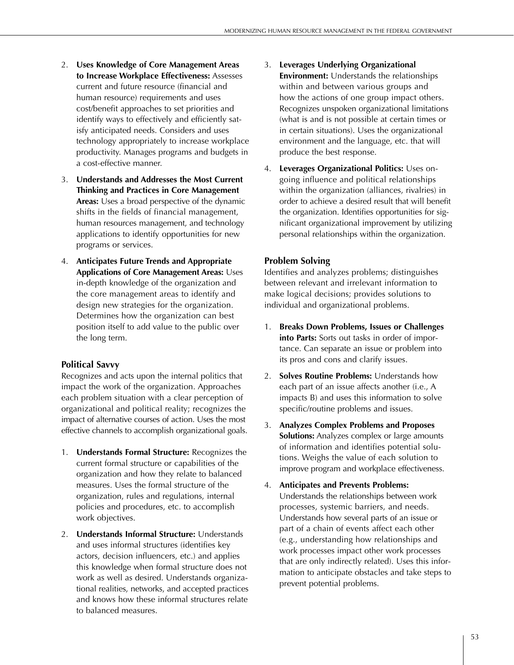- 2. **Uses Knowledge of Core Management Areas to Increase Workplace Effectiveness:** Assesses current and future resource (financial and human resource) requirements and uses cost/benefit approaches to set priorities and identify ways to effectively and efficiently satisfy anticipated needs. Considers and uses technology appropriately to increase workplace productivity. Manages programs and budgets in a cost-effective manner.
- 3. **Understands and Addresses the Most Current Thinking and Practices in Core Management Areas:** Uses a broad perspective of the dynamic shifts in the fields of financial management, human resources management, and technology applications to identify opportunities for new programs or services.
- 4. **Anticipates Future Trends and Appropriate Applications of Core Management Areas:** Uses in-depth knowledge of the organization and the core management areas to identify and design new strategies for the organization. Determines how the organization can best position itself to add value to the public over the long term.

## **Political Savvy**

Recognizes and acts upon the internal politics that impact the work of the organization. Approaches each problem situation with a clear perception of organizational and political reality; recognizes the impact of alternative courses of action. Uses the most effective channels to accomplish organizational goals.

- 1. **Understands Formal Structure:** Recognizes the current formal structure or capabilities of the organization and how they relate to balanced measures. Uses the formal structure of the organization, rules and regulations, internal policies and procedures, etc. to accomplish work objectives.
- 2. **Understands Informal Structure:** Understands and uses informal structures (identifies key actors, decision influencers, etc.) and applies this knowledge when formal structure does not work as well as desired. Understands organizational realities, networks, and accepted practices and knows how these informal structures relate to balanced measures.
- 3. **Leverages Underlying Organizational Environment:** Understands the relationships within and between various groups and how the actions of one group impact others. Recognizes unspoken organizational limitations (what is and is not possible at certain times or in certain situations). Uses the organizational environment and the language, etc. that will produce the best response.
- 4. **Leverages Organizational Politics:** Uses ongoing influence and political relationships within the organization (alliances, rivalries) in order to achieve a desired result that will benefit the organization. Identifies opportunities for significant organizational improvement by utilizing personal relationships within the organization.

## **Problem Solving**

Identifies and analyzes problems; distinguishes between relevant and irrelevant information to make logical decisions; provides solutions to individual and organizational problems.

- 1. **Breaks Down Problems, Issues or Challenges into Parts:** Sorts out tasks in order of importance. Can separate an issue or problem into its pros and cons and clarify issues.
- 2. **Solves Routine Problems:** Understands how each part of an issue affects another (i.e., A impacts B) and uses this information to solve specific/routine problems and issues.
- 3. **Analyzes Complex Problems and Proposes Solutions:** Analyzes complex or large amounts of information and identifies potential solutions. Weighs the value of each solution to improve program and workplace effectiveness.
- 4. **Anticipates and Prevents Problems:** Understands the relationships between work processes, systemic barriers, and needs. Understands how several parts of an issue or part of a chain of events affect each other (e.g., understanding how relationships and work processes impact other work processes that are only indirectly related). Uses this information to anticipate obstacles and take steps to prevent potential problems.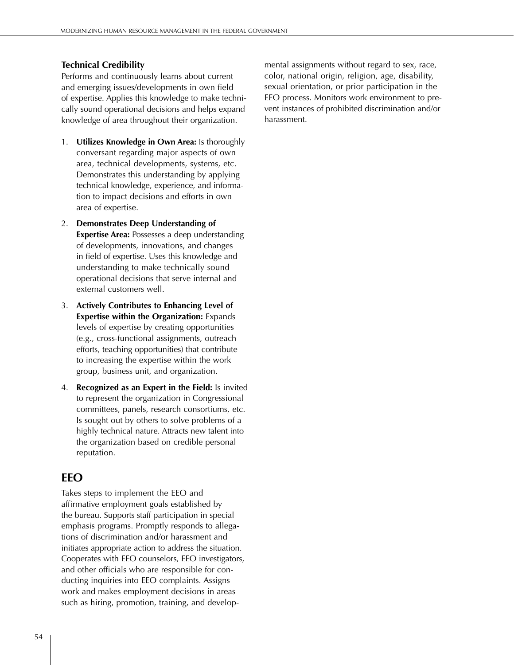## **Technical Credibility**

Performs and continuously learns about current and emerging issues/developments in own field of expertise. Applies this knowledge to make technically sound operational decisions and helps expand knowledge of area throughout their organization.

- 1. **Utilizes Knowledge in Own Area:** Is thoroughly conversant regarding major aspects of own area, technical developments, systems, etc. Demonstrates this understanding by applying technical knowledge, experience, and information to impact decisions and efforts in own area of expertise.
- 2. **Demonstrates Deep Understanding of Expertise Area:** Possesses a deep understanding of developments, innovations, and changes in field of expertise. Uses this knowledge and understanding to make technically sound operational decisions that serve internal and external customers well.
- 3. **Actively Contributes to Enhancing Level of Expertise within the Organization:** Expands levels of expertise by creating opportunities (e.g., cross-functional assignments, outreach efforts, teaching opportunities) that contribute to increasing the expertise within the work group, business unit, and organization.
- 4. **Recognized as an Expert in the Field:** Is invited to represent the organization in Congressional committees, panels, research consortiums, etc. Is sought out by others to solve problems of a highly technical nature. Attracts new talent into the organization based on credible personal reputation.

# **EEO**

Takes steps to implement the EEO and affirmative employment goals established by the bureau. Supports staff participation in special emphasis programs. Promptly responds to allegations of discrimination and/or harassment and initiates appropriate action to address the situation. Cooperates with EEO counselors, EEO investigators, and other officials who are responsible for conducting inquiries into EEO complaints. Assigns work and makes employment decisions in areas such as hiring, promotion, training, and developmental assignments without regard to sex, race, color, national origin, religion, age, disability, sexual orientation, or prior participation in the EEO process. Monitors work environment to prevent instances of prohibited discrimination and/or harassment.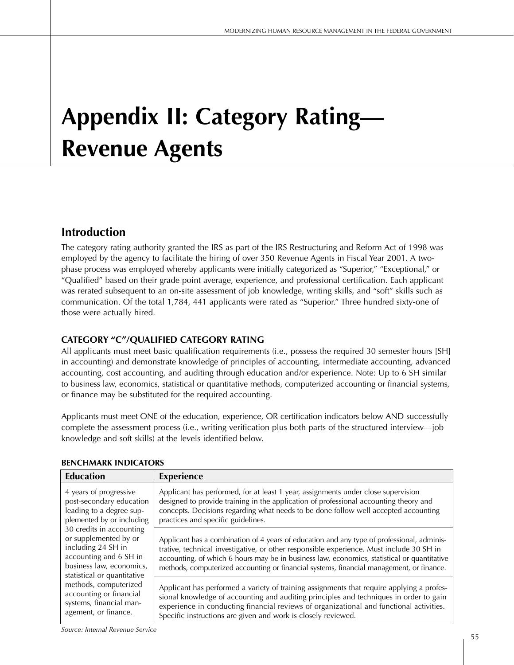# **Appendix II: Category Rating— Revenue Agents**

# **Introduction**

The category rating authority granted the IRS as part of the IRS Restructuring and Reform Act of 1998 was employed by the agency to facilitate the hiring of over 350 Revenue Agents in Fiscal Year 2001. A twophase process was employed whereby applicants were initially categorized as "Superior," "Exceptional," or "Qualified" based on their grade point average, experience, and professional certification. Each applicant was rerated subsequent to an on-site assessment of job knowledge, writing skills, and "soft" skills such as communication. Of the total 1,784, 441 applicants were rated as "Superior." Three hundred sixty-one of those were actually hired.

## **CATEGORY "C"/QUALIFIED CATEGORY RATING**

All applicants must meet basic qualification requirements (i.e., possess the required 30 semester hours [SH] in accounting) and demonstrate knowledge of principles of accounting, intermediate accounting, advanced accounting, cost accounting, and auditing through education and/or experience. Note: Up to 6 SH similar to business law, economics, statistical or quantitative methods, computerized accounting or financial systems, or finance may be substituted for the required accounting.

Applicants must meet ONE of the education, experience, OR certification indicators below AND successfully complete the assessment process (i.e., writing verification plus both parts of the structured interview—job knowledge and soft skills) at the levels identified below.

| <b>Education</b>                                                                                                                                             | <b>Experience</b>                                                                                                                                                                                                                                                                                                                                                                 |
|--------------------------------------------------------------------------------------------------------------------------------------------------------------|-----------------------------------------------------------------------------------------------------------------------------------------------------------------------------------------------------------------------------------------------------------------------------------------------------------------------------------------------------------------------------------|
| 4 years of progressive                                                                                                                                       | Applicant has performed, for at least 1 year, assignments under close supervision                                                                                                                                                                                                                                                                                                 |
| post-secondary education                                                                                                                                     | designed to provide training in the application of professional accounting theory and                                                                                                                                                                                                                                                                                             |
| leading to a degree sup-                                                                                                                                     | concepts. Decisions regarding what needs to be done follow well accepted accounting                                                                                                                                                                                                                                                                                               |
| plemented by or including                                                                                                                                    | practices and specific guidelines.                                                                                                                                                                                                                                                                                                                                                |
| 30 credits in accounting<br>or supplemented by or<br>including 24 SH in<br>accounting and 6 SH in<br>business law, economics,<br>statistical or quantitative | Applicant has a combination of 4 years of education and any type of professional, adminis-<br>trative, technical investigative, or other responsible experience. Must include 30 SH in<br>accounting, of which 6 hours may be in business law, economics, statistical or quantitative<br>methods, computerized accounting or financial systems, financial management, or finance. |
| methods, computerized                                                                                                                                        | Applicant has performed a variety of training assignments that require applying a profes-                                                                                                                                                                                                                                                                                         |
| accounting or financial                                                                                                                                      | sional knowledge of accounting and auditing principles and techniques in order to gain                                                                                                                                                                                                                                                                                            |
| systems, financial man-                                                                                                                                      | experience in conducting financial reviews of organizational and functional activities.                                                                                                                                                                                                                                                                                           |
| agement, or finance.                                                                                                                                         | Specific instructions are given and work is closely reviewed.                                                                                                                                                                                                                                                                                                                     |

#### **BENCHMARK INDICATORS**

*Source: Internal Revenue Service*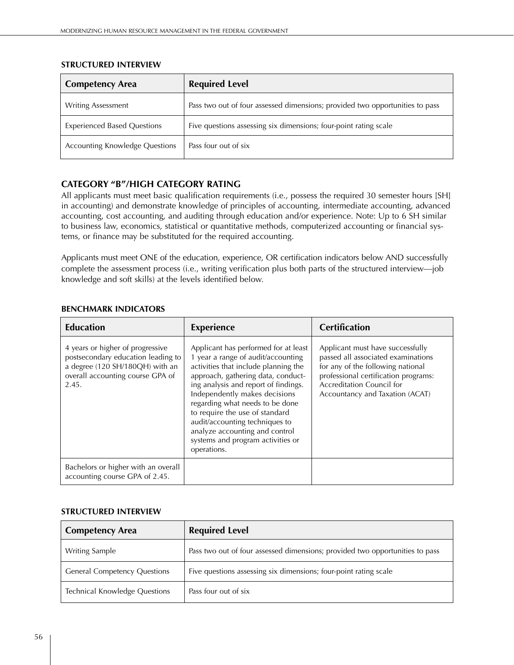#### **STRUCTURED INTERVIEW**

| <b>Competency Area</b>                | <b>Required Level</b>                                                        |  |  |
|---------------------------------------|------------------------------------------------------------------------------|--|--|
| <b>Writing Assessment</b>             | Pass two out of four assessed dimensions; provided two opportunities to pass |  |  |
| <b>Experienced Based Questions</b>    | Five questions assessing six dimensions; four-point rating scale             |  |  |
| <b>Accounting Knowledge Questions</b> | Pass four out of six                                                         |  |  |

## **CATEGORY "B"/HIGH CATEGORY RATING**

All applicants must meet basic qualification requirements (i.e., possess the required 30 semester hours [SH] in accounting) and demonstrate knowledge of principles of accounting, intermediate accounting, advanced accounting, cost accounting, and auditing through education and/or experience. Note: Up to 6 SH similar to business law, economics, statistical or quantitative methods, computerized accounting or financial systems, or finance may be substituted for the required accounting.

Applicants must meet ONE of the education, experience, OR certification indicators below AND successfully complete the assessment process (i.e., writing verification plus both parts of the structured interview-job knowledge and soft skills) at the levels identified below.

#### **BENCHMARK INDICATORS**

| <b>Education</b>                                                                                                                                       | <b>Experience</b>                                                                                                                                                                                                                                                                                                                                                                                                              | <b>Certification</b>                                                                                                                                                                                                |
|--------------------------------------------------------------------------------------------------------------------------------------------------------|--------------------------------------------------------------------------------------------------------------------------------------------------------------------------------------------------------------------------------------------------------------------------------------------------------------------------------------------------------------------------------------------------------------------------------|---------------------------------------------------------------------------------------------------------------------------------------------------------------------------------------------------------------------|
| 4 years or higher of progressive<br>postsecondary education leading to<br>a degree (120 SH/180QH) with an<br>overall accounting course GPA of<br>2.45. | Applicant has performed for at least<br>1 year a range of audit/accounting<br>activities that include planning the<br>approach, gathering data, conduct-<br>ing analysis and report of findings.<br>Independently makes decisions<br>regarding what needs to be done<br>to require the use of standard<br>audit/accounting techniques to<br>analyze accounting and control<br>systems and program activities or<br>operations. | Applicant must have successfully<br>passed all associated examinations<br>for any of the following national<br>professional certification programs:<br>Accreditation Council for<br>Accountancy and Taxation (ACAT) |
| Bachelors or higher with an overall<br>accounting course GPA of 2.45.                                                                                  |                                                                                                                                                                                                                                                                                                                                                                                                                                |                                                                                                                                                                                                                     |

#### **STRUCTURED INTERVIEW**

| <b>Competency Area</b>              | <b>Required Level</b>                                                        |  |  |
|-------------------------------------|------------------------------------------------------------------------------|--|--|
| Writing Sample                      | Pass two out of four assessed dimensions; provided two opportunities to pass |  |  |
| <b>General Competency Questions</b> | Five questions assessing six dimensions; four-point rating scale             |  |  |
| Technical Knowledge Questions       | Pass four out of six                                                         |  |  |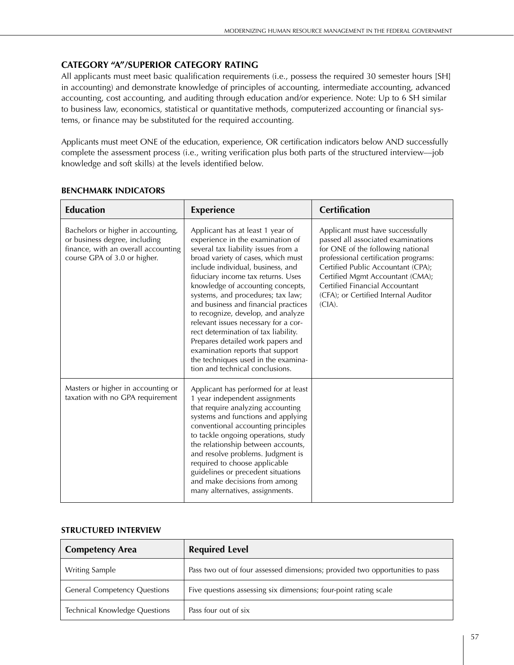## **CATEGORY "A"/SUPERIOR CATEGORY RATING**

All applicants must meet basic qualification requirements (i.e., possess the required 30 semester hours [SH] in accounting) and demonstrate knowledge of principles of accounting, intermediate accounting, advanced accounting, cost accounting, and auditing through education and/or experience. Note: Up to 6 SH similar to business law, economics, statistical or quantitative methods, computerized accounting or financial systems, or finance may be substituted for the required accounting.

Applicants must meet ONE of the education, experience, OR certification indicators below AND successfully complete the assessment process (i.e., writing verification plus both parts of the structured interview-job knowledge and soft skills) at the levels identified below.

| <b>Education</b>                                                                                                                           | <b>Experience</b>                                                                                                                                                                                                                                                                                                                                                                                                                                                                                                                                                                                                       | <b>Certification</b>                                                                                                                                                                                                                                                                                              |  |
|--------------------------------------------------------------------------------------------------------------------------------------------|-------------------------------------------------------------------------------------------------------------------------------------------------------------------------------------------------------------------------------------------------------------------------------------------------------------------------------------------------------------------------------------------------------------------------------------------------------------------------------------------------------------------------------------------------------------------------------------------------------------------------|-------------------------------------------------------------------------------------------------------------------------------------------------------------------------------------------------------------------------------------------------------------------------------------------------------------------|--|
| Bachelors or higher in accounting,<br>or business degree, including<br>finance, with an overall accounting<br>course GPA of 3.0 or higher. | Applicant has at least 1 year of<br>experience in the examination of<br>several tax liability issues from a<br>broad variety of cases, which must<br>include individual, business, and<br>fiduciary income tax returns. Uses<br>knowledge of accounting concepts,<br>systems, and procedures; tax law;<br>and business and financial practices<br>to recognize, develop, and analyze<br>relevant issues necessary for a cor-<br>rect determination of tax liability.<br>Prepares detailed work papers and<br>examination reports that support<br>the techniques used in the examina-<br>tion and technical conclusions. | Applicant must have successfully<br>passed all associated examinations<br>for ONE of the following national<br>professional certification programs:<br>Certified Public Accountant (CPA);<br>Certified Mgmt Accountant (CMA);<br>Certified Financial Accountant<br>(CFA); or Certified Internal Auditor<br>(CIA). |  |
| Masters or higher in accounting or<br>taxation with no GPA requirement                                                                     | Applicant has performed for at least<br>1 year independent assignments<br>that require analyzing accounting<br>systems and functions and applying<br>conventional accounting principles<br>to tackle ongoing operations, study<br>the relationship between accounts,<br>and resolve problems. Judgment is<br>required to choose applicable<br>guidelines or precedent situations<br>and make decisions from among<br>many alternatives, assignments.                                                                                                                                                                    |                                                                                                                                                                                                                                                                                                                   |  |

#### **BENCHMARK INDICATORS**

#### **STRUCTURED INTERVIEW**

| <b>Competency Area</b>              | <b>Required Level</b>                                                        |  |  |
|-------------------------------------|------------------------------------------------------------------------------|--|--|
| <b>Writing Sample</b>               | Pass two out of four assessed dimensions; provided two opportunities to pass |  |  |
| <b>General Competency Questions</b> | Five questions assessing six dimensions; four-point rating scale             |  |  |
| Technical Knowledge Questions       | Pass four out of six                                                         |  |  |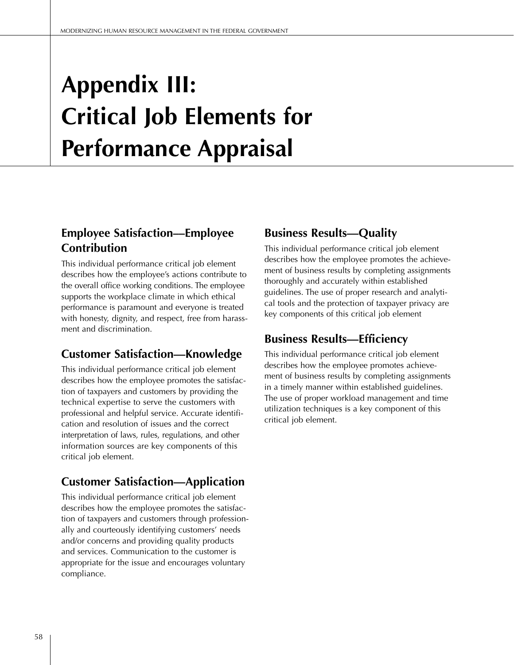# **Appendix III: Critical Job Elements for Performance Appraisal**

# **Employee Satisfaction––Employee Contribution**

This individual performance critical job element describes how the employee's actions contribute to the overall office working conditions. The employee supports the workplace climate in which ethical performance is paramount and everyone is treated with honesty, dignity, and respect, free from harassment and discrimination.

# **Customer Satisfaction––Knowledge**

This individual performance critical job element describes how the employee promotes the satisfaction of taxpayers and customers by providing the technical expertise to serve the customers with professional and helpful service. Accurate identification and resolution of issues and the correct interpretation of laws, rules, regulations, and other information sources are key components of this critical job element.

# **Customer Satisfaction––Application**

This individual performance critical job element describes how the employee promotes the satisfaction of taxpayers and customers through professionally and courteously identifying customers' needs and/or concerns and providing quality products and services. Communication to the customer is appropriate for the issue and encourages voluntary compliance.

# **Business Results––Quality**

This individual performance critical job element describes how the employee promotes the achievement of business results by completing assignments thoroughly and accurately within established guidelines. The use of proper research and analytical tools and the protection of taxpayer privacy are key components of this critical job element

# **Business Results––Efficiency**

This individual performance critical job element describes how the employee promotes achievement of business results by completing assignments in a timely manner within established guidelines. The use of proper workload management and time utilization techniques is a key component of this critical job element.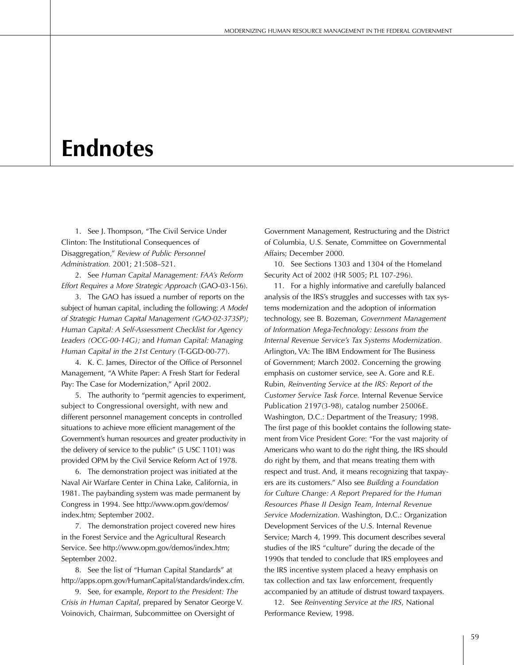# **Endnotes**

1. See J. Thompson, "The Civil Service Under Clinton: The Institutional Consequences of Disaggregation," *Review of Public Personnel Administration.* 2001; 21:508–521.

2. See *Human Capital Management: FAA's Reform Effort Requires a More Strategic Approach* (GAO-03-156).

3. The GAO has issued a number of reports on the subject of human capital, including the following: *A Model of Strategic Human Capital Management (GAO-02-373SP); Human Capital: A Self-Assessment Checklist for Agency Leaders (OCG-00-14G);* and *Human Capital: Managing Human Capital in the 21st Century* (T-GGD-00-77).

4. K. C. James, Director of the Office of Personnel Management, "A White Paper: A Fresh Start for Federal Pay: The Case for Modernization," April 2002.

5. The authority to "permit agencies to experiment, subject to Congressional oversight, with new and different personnel management concepts in controlled situations to achieve more efficient management of the Government's human resources and greater productivity in the delivery of service to the public" (5 USC 1101) was provided OPM by the Civil Service Reform Act of 1978.

6. The demonstration project was initiated at the Naval Air Warfare Center in China Lake, California, in 1981. The paybanding system was made permanent by Congress in 1994. See http://www.opm.gov/demos/ index.htm; September 2002.

7. The demonstration project covered new hires in the Forest Service and the Agricultural Research Service. See http://www.opm.gov/demos/index.htm; September 2002.

8. See the list of "Human Capital Standards" at http://apps.opm.gov/HumanCapital/standards/index.cfm.

9. See, for example, *Report to the President: The Crisis in Human Capital*, prepared by Senator George V. Voinovich, Chairman, Subcommittee on Oversight of

Government Management, Restructuring and the District of Columbia, U.S. Senate, Committee on Governmental Affairs; December 2000.

10. See Sections 1303 and 1304 of the Homeland Security Act of 2002 (HR 5005; P.L 107-296).

11. For a highly informative and carefully balanced analysis of the IRS's struggles and successes with tax systems modernization and the adoption of information technology, see B. Bozeman, *Government Management of Information Mega-Technology: Lessons from the Internal Revenue Service's Tax Systems Modernization.* Arlington, VA: The IBM Endowment for The Business of Government; March 2002. Concerning the growing emphasis on customer service, see A. Gore and R.E. Rubin, *Reinventing Service at the IRS: Report of the Customer Service Task Force.* Internal Revenue Service Publication 2197(3-98), catalog number 25006E. Washington, D.C.: Department of the Treasury; 1998. The first page of this booklet contains the following statement from Vice President Gore: "For the vast majority of Americans who want to do the right thing, the IRS should do right by them, and that means treating them with respect and trust. And, it means recognizing that taxpayers are its customers." Also see *Building a Foundation for Culture Change: A Report Prepared for the Human Resources Phase II Design Team, Internal Revenue Service Modernization.* Washington, D.C.: Organization Development Services of the U.S. Internal Revenue Service; March 4, 1999. This document describes several studies of the IRS "culture" during the decade of the 1990s that tended to conclude that IRS employees and the IRS incentive system placed a heavy emphasis on tax collection and tax law enforcement, frequently accompanied by an attitude of distrust toward taxpayers.

12. See *Reinventing Service at the IRS*, National Performance Review, 1998.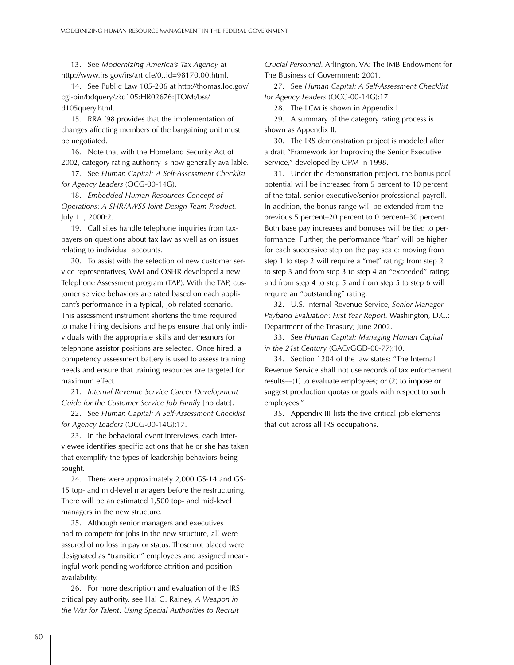13. See *Modernizing America's Tax Agency* at http://www.irs.gov/irs/article/0,,id=98170,00.html.

14. See Public Law 105-206 at http://thomas.loc.gov/ cgi-bin/bdquery/z?d105:HR02676:|TOM:/bss/ d105query.html.

15. RRA '98 provides that the implementation of changes affecting members of the bargaining unit must be negotiated.

16. Note that with the Homeland Security Act of 2002, category rating authority is now generally available.

17. See *Human Capital: A Self-Assessment Checklist for Agency Leaders* (OCG-00-14G).

18. *Embedded Human Resources Concept of Operations: A SHR/AWSS Joint Design Team Product.* July 11, 2000:2.

19. Call sites handle telephone inquiries from taxpayers on questions about tax law as well as on issues relating to individual accounts.

20. To assist with the selection of new customer service representatives, W&I and OSHR developed a new Telephone Assessment program (TAP). With the TAP, customer service behaviors are rated based on each applicant's performance in a typical, job-related scenario. This assessment instrument shortens the time required to make hiring decisions and helps ensure that only individuals with the appropriate skills and demeanors for telephone assistor positions are selected. Once hired, a competency assessment battery is used to assess training needs and ensure that training resources are targeted for maximum effect.

21. *Internal Revenue Service Career Development Guide for the Customer Service Job Family* [no date].

22. See *Human Capital: A Self-Assessment Checklist for Agency Leaders* (OCG-00-14G):17.

23. In the behavioral event interviews, each interviewee identifies specific actions that he or she has taken that exemplify the types of leadership behaviors being sought.

24. There were approximately 2,000 GS-14 and GS-15 top- and mid-level managers before the restructuring. There will be an estimated 1,500 top- and mid-level managers in the new structure.

25. Although senior managers and executives had to compete for jobs in the new structure, all were assured of no loss in pay or status. Those not placed were designated as "transition" employees and assigned meaningful work pending workforce attrition and position availability.

26. For more description and evaluation of the IRS critical pay authority, see Hal G. Rainey, *A Weapon in the War for Talent: Using Special Authorities to Recruit*

*Crucial Personnel.* Arlington, VA: The IMB Endowment for The Business of Government; 2001.

27. See *Human Capital: A Self-Assessment Checklist for Agency Leaders* (OCG-00-14G):17.

28. The LCM is shown in Appendix I.

29. A summary of the category rating process is shown as Appendix II.

30. The IRS demonstration project is modeled after a draft "Framework for Improving the Senior Executive Service," developed by OPM in 1998.

31. Under the demonstration project, the bonus pool potential will be increased from 5 percent to 10 percent of the total, senior executive/senior professional payroll. In addition, the bonus range will be extended from the previous 5 percent–20 percent to 0 percent–30 percent. Both base pay increases and bonuses will be tied to performance. Further, the performance "bar" will be higher for each successive step on the pay scale: moving from step 1 to step 2 will require a "met" rating; from step 2 to step 3 and from step 3 to step 4 an "exceeded" rating; and from step 4 to step 5 and from step 5 to step 6 will require an "outstanding" rating.

32. U.S. Internal Revenue Service, *Senior Manager Payband Evaluation: First Year Report.* Washington, D.C.: Department of the Treasury; June 2002.

33. See *Human Capital: Managing Human Capital in the 21st Century* (GAO/GGD-00-77):10.

34. Section 1204 of the law states: "The Internal Revenue Service shall not use records of tax enforcement results––(1) to evaluate employees; or (2) to impose or suggest production quotas or goals with respect to such employees."

35. Appendix III lists the five critical job elements that cut across all IRS occupations.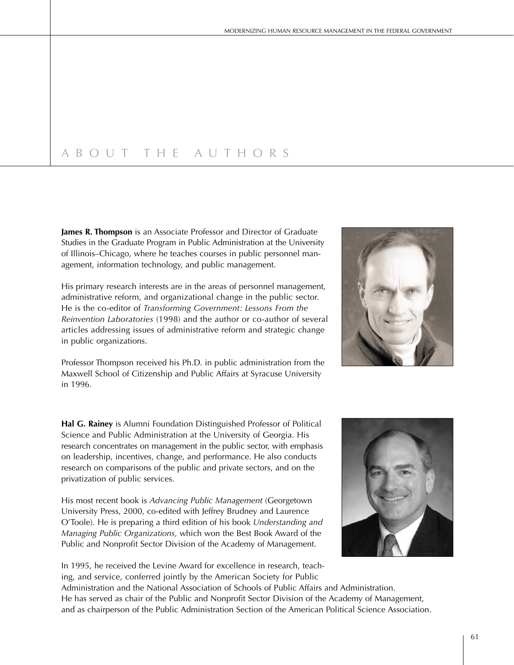# ABOUT THE AUTHORS

**James R. Thompson** is an Associate Professor and Director of Graduate Studies in the Graduate Program in Public Administration at the University of Illinois–Chicago, where he teaches courses in public personnel management, information technology, and public management.

His primary research interests are in the areas of personnel management, administrative reform, and organizational change in the public sector. He is the co-editor of *Transforming Government: Lessons From the Reinvention Laboratories* (1998) and the author or co-author of several articles addressing issues of administrative reform and strategic change in public organizations.

Professor Thompson received his Ph.D. in public administration from the Maxwell School of Citizenship and Public Affairs at Syracuse University in 1996.

**Hal G. Rainey** is Alumni Foundation Distinguished Professor of Political Science and Public Administration at the University of Georgia. His research concentrates on management in the public sector, with emphasis on leadership, incentives, change, and performance. He also conducts research on comparisons of the public and private sectors, and on the privatization of public services.

His most recent book is *Advancing Public Management* (Georgetown University Press, 2000, co-edited with Jeffrey Brudney and Laurence O'Toole). He is preparing a third edition of his book *Understanding and Managing Public Organizations,* which won the Best Book Award of the Public and Nonprofit Sector Division of the Academy of Management.

In 1995, he received the Levine Award for excellence in research, teaching, and service, conferred jointly by the American Society for Public

Administration and the National Association of Schools of Public Affairs and Administration. He has served as chair of the Public and Nonprofit Sector Division of the Academy of Management, and as chairperson of the Public Administration Section of the American Political Science Association.

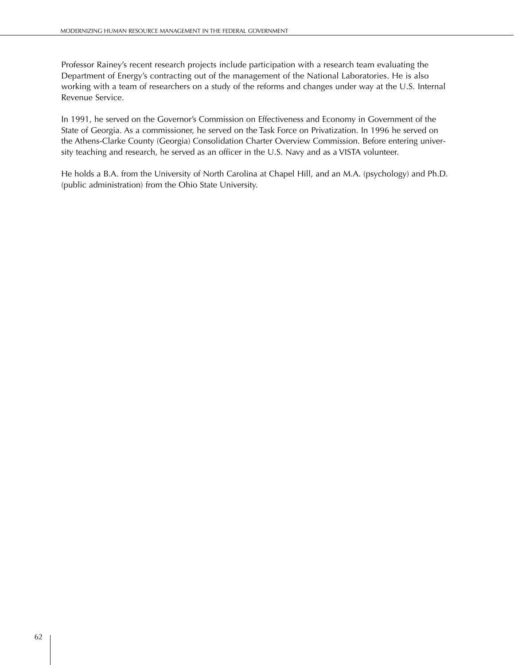Professor Rainey's recent research projects include participation with a research team evaluating the Department of Energy's contracting out of the management of the National Laboratories. He is also working with a team of researchers on a study of the reforms and changes under way at the U.S. Internal Revenue Service.

In 1991, he served on the Governor's Commission on Effectiveness and Economy in Government of the State of Georgia. As a commissioner, he served on the Task Force on Privatization. In 1996 he served on the Athens-Clarke County (Georgia) Consolidation Charter Overview Commission. Before entering university teaching and research, he served as an officer in the U.S. Navy and as a VISTA volunteer.

He holds a B.A. from the University of North Carolina at Chapel Hill, and an M.A. (psychology) and Ph.D. (public administration) from the Ohio State University.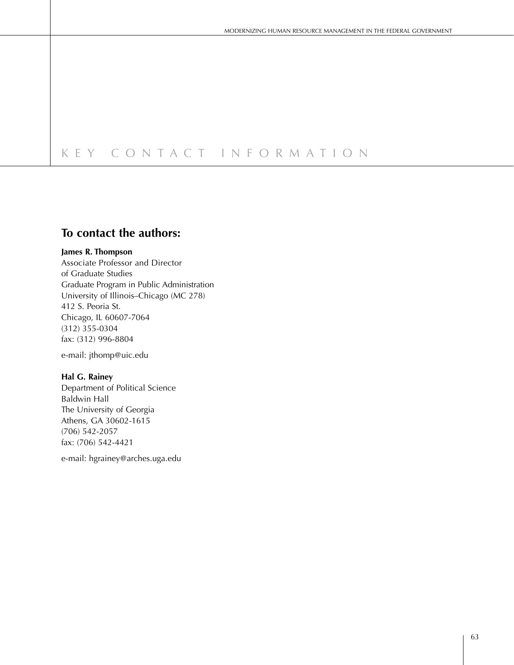# KEY CONTACT INFORMATION

## **To contact the authors:**

#### **James R. Thompson**

Associate Professor and Director of Graduate Studies Graduate Program in Public Administration University of Illinois–Chicago (MC 278) 412 S. Peoria St. Chicago, IL 60607-7064 (312) 355-0304 fax: (312) 996-8804

e-mail: jthomp@uic.edu

#### **Hal G. Rainey**

Department of Political Science Baldwin Hall The University of Georgia Athens, GA 30602-1615 (706) 542-2057 fax: (706) 542-4421

e-mail: hgrainey@arches.uga.edu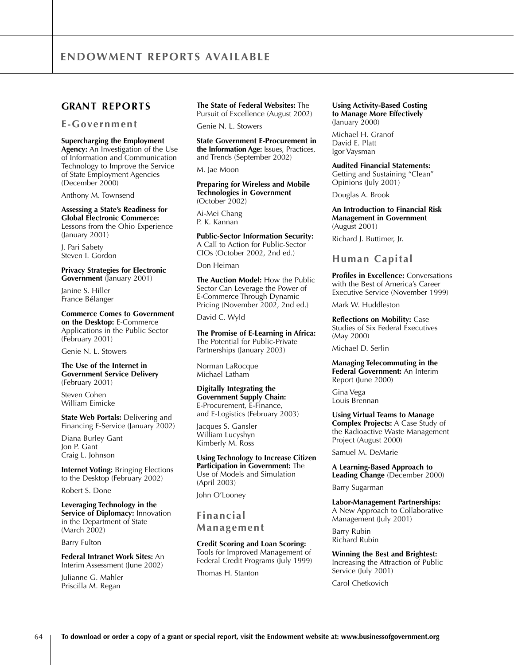#### **GRANT REPORTS**

#### **E-Government**

**Supercharging the Employment**

**Agency:** An Investigation of the Use of Information and Communication Technology to Improve the Service of State Employment Agencies (December 2000)

Anthony M. Townsend

**Assessing a State's Readiness for Global Electronic Commerce:** Lessons from the Ohio Experience (January 2001)

J. Pari Sabety Steven I. Gordon

**Privacy Strategies for Electronic Government** (January 2001)

Janine S. Hiller France Bélanger

#### **Commerce Comes to Government**

**on the Desktop:** E-Commerce Applications in the Public Sector (February 2001)

Genie N. L. Stowers

#### **The Use of the Internet in Government Service Delivery** (February 2001)

Steven Cohen William Eimicke

**State Web Portals:** Delivering and Financing E-Service (January 2002)

Diana Burley Gant Jon P. Gant Craig L. Johnson

**Internet Voting:** Bringing Elections to the Desktop (February 2002)

Robert S. Done

**Leveraging Technology in the Service of Diplomacy:** Innovation in the Department of State (March 2002)

Barry Fulton

**Federal Intranet Work Sites:** An Interim Assessment (June 2002)

Julianne G. Mahler Priscilla M. Regan

#### **The State of Federal Websites:** The Pursuit of Excellence (August 2002)

Genie N. L. Stowers

**State Government E-Procurement in the Information Age:** Issues, Practices, and Trends (September 2002)

M. Jae Moon

**Preparing for Wireless and Mobile Technologies in Government** (October 2002)

Ai-Mei Chang P. K. Kannan

**Public-Sector Information Security:**  A Call to Action for Public-Sector CIOs (October 2002, 2nd ed.)

Don Heiman

**The Auction Model:** How the Public Sector Can Leverage the Power of E-Commerce Through Dynamic Pricing (November 2002, 2nd ed.)

David C. Wyld

**The Promise of E-Learning in Africa:** The Potential for Public-Private Partnerships (January 2003)

Norman LaRocque Michael Latham

#### **Digitally Integrating the Government Supply Chain:** E-Procurement, E-Finance, and E-Logistics (February 2003)

Jacques S. Gansler William Lucyshyn Kimberly M. Ross

**Using Technology to Increase Citizen Participation in Government:** The Use of Models and Simulation (April 2003)

John O'Looney

## **Financial Management**

**Credit Scoring and Loan Scoring:** Tools for Improved Management of Federal Credit Programs (July 1999)

Thomas H. Stanton

**Using Activity-Based Costing to Manage More Effectively** (January 2000)

Michael H. Granof David E. Platt Igor Vaysman

**Audited Financial Statements:** Getting and Sustaining "Clean" Opinions (July 2001)

Douglas A. Brook

**An Introduction to Financial Risk Management in Government**  (August 2001)

Richard J. Buttimer, Jr.

#### **Human Capital**

**Profiles in Excellence:** Conversations with the Best of America's Career Executive Service (November 1999)

Mark W. Huddleston

**Reflections on Mobility:** Case Studies of Six Federal Executives (May 2000)

Michael D. Serlin

**Managing Telecommuting in the Federal Government:** An Interim Report (June 2000)

Gina Vega Louis Brennan

**Using Virtual Teams to Manage Complex Projects:** A Case Study of the Radioactive Waste Management Project (August 2000)

Samuel M. DeMarie

**A Learning-Based Approach to Leading Change** (December 2000)

Barry Sugarman

**Labor-Management Partnerships:** A New Approach to Collaborative Management (July 2001)

Barry Rubin Richard Rubin

**Winning the Best and Brightest:** Increasing the Attraction of Public Service (July 2001)

Carol Chetkovich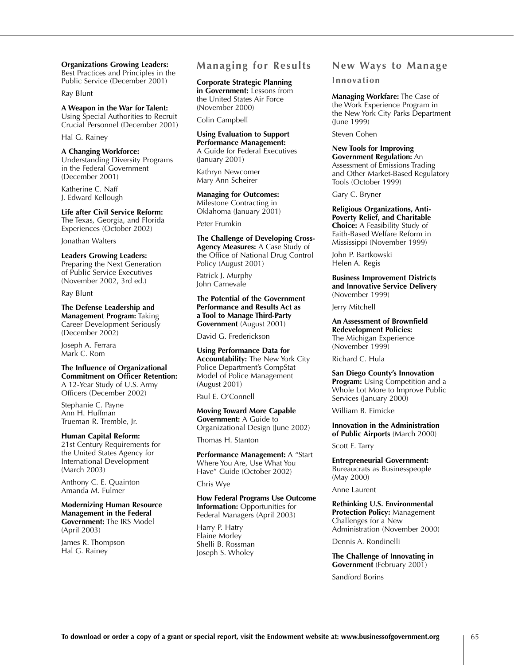**Organizations Growing Leaders:**

Best Practices and Principles in the Public Service (December 2001)

Ray Blunt

**A Weapon in the War for Talent:** Using Special Authorities to Recruit Crucial Personnel (December 2001)

Hal G. Rainey

**A Changing Workforce:**

Understanding Diversity Programs in the Federal Government (December 2001)

Katherine C. Naff J. Edward Kellough

#### **Life after Civil Service Reform:**

The Texas, Georgia, and Florida Experiences (October 2002)

Jonathan Walters

#### **Leaders Growing Leaders:**

Preparing the Next Generation of Public Service Executives (November 2002, 3rd ed.)

Ray Blunt

#### **The Defense Leadership and**

**Management Program:** Taking Career Development Seriously (December 2002)

Joseph A. Ferrara Mark C. Rom

#### **The Influence of Organizational Commitment on Officer Retention:**

A 12-Year Study of U.S. Army Officers (December 2002)

Stephanie C. Payne Ann H. Huffman Trueman R. Tremble, Jr.

#### **Human Capital Reform:**

21st Century Requirements for the United States Agency for International Development (March 2003)

Anthony C. E. Quainton Amanda M. Fulmer

**Modernizing Human Resource Management in the Federal Government:** The IRS Model (April 2003)

James R. Thompson Hal G. Rainey

#### **Managing for Results**

**Corporate Strategic Planning in Government:** Lessons from the United States Air Force (November 2000)

Colin Campbell

#### **Using Evaluation to Support Performance Management:** A Guide for Federal Executives (January 2001)

Kathryn Newcomer Mary Ann Scheirer

## **Managing for Outcomes:**

Milestone Contracting in Oklahoma (January 2001)

Peter Frumkin

**The Challenge of Developing Cross-Agency Measures:** A Case Study of the Office of National Drug Control Policy (August 2001)

Patrick J. Murphy John Carnevale

#### **The Potential of the Government Performance and Results Act as a Tool to Manage Third-Party Government** (August 2001)

David G. Frederickson

**Using Performance Data for Accountability:** The New York City Police Department's CompStat Model of Police Management (August 2001)

Paul E. O'Connell

#### **Moving Toward More Capable Government:** A Guide to Organizational Design (June 2002)

Thomas H. Stanton

**Performance Management:** A "Start Where You Are, Use What You Have" Guide (October 2002)

Chris Wye

**How Federal Programs Use Outcome Information:** Opportunities for Federal Managers (April 2003)

Harry P. Hatry Elaine Morley Shelli B. Rossman Joseph S. Wholey

#### **New Ways to Manage**

**Innovation**

**Managing Workfare:** The Case of the Work Experience Program in the New York City Parks Department (June 1999)

Steven Cohen

**New Tools for Improving Government Regulation:** An Assessment of Emissions Trading and Other Market-Based Regulatory Tools (October 1999)

Gary C. Bryner

**Religious Organizations, Anti-Poverty Relief, and Charitable Choice:** A Feasibility Study of Faith-Based Welfare Reform in Mississippi (November 1999)

John P. Bartkowski Helen A. Regis

**Business Improvement Districts and Innovative Service Delivery** (November 1999)

Jerry Mitchell

**An Assessment of Brownfield Redevelopment Policies:**  The Michigan Experience (November 1999)

Richard C. Hula

**San Diego County's Innovation Program:** Using Competition and a Whole Lot More to Improve Public Services (January 2000)

William B. Eimicke

**Innovation in the Administration of Public Airports** (March 2000)

Scott E. Tarry

**Entrepreneurial Government:** Bureaucrats as Businesspeople (May 2000)

Anne Laurent

**Rethinking U.S. Environmental Protection Policy:** Management Challenges for a New Administration (November 2000)

Dennis A. Rondinelli

**The Challenge of Innovating in Government** (February 2001) Sandford Borins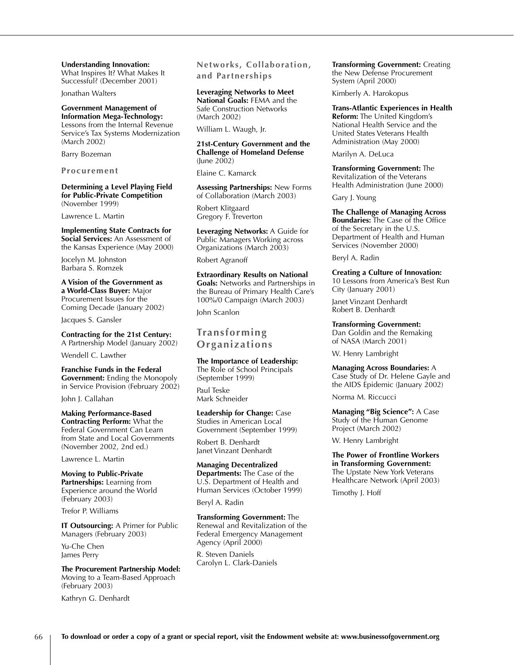**Understanding Innovation:** What Inspires It? What Makes It Successful? (December 2001)

Jonathan Walters

#### **Government Management of Information Mega-Technology:**

Lessons from the Internal Revenue Service's Tax Systems Modernization (March 2002)

Barry Bozeman

**Procurement**

#### **Determining a Level Playing Field for Public-Private Competition** (November 1999)

Lawrence L. Martin

**Implementing State Contracts for Social Services:** An Assessment of the Kansas Experience (May 2000)

Jocelyn M. Johnston Barbara S. Romzek

**A Vision of the Government as a World-Class Buyer:** Major Procurement Issues for the Coming Decade (January 2002)

Jacques S. Gansler

**Contracting for the 21st Century:**  A Partnership Model (January 2002) Wendell C. Lawther

**Franchise Funds in the Federal Government:** Ending the Monopoly in Service Provision (February 2002)

John J. Callahan

#### **Making Performance-Based Contracting Perform:** What the Federal Government Can Learn from State and Local Governments (November 2002, 2nd ed.)

Lawrence L. Martin

**Moving to Public-Private Partnerships:** Learning from Experience around the World (February 2003)

Trefor P. Williams

**IT Outsourcing:** A Primer for Public Managers (February 2003)

Yu-Che Chen James Perry

**The Procurement Partnership Model:** Moving to a Team-Based Approach (February 2003)

Kathryn G. Denhardt

**Networks, Collaboration, and Partnerships**

**Leveraging Networks to Meet National Goals:** FEMA and the Safe Construction Networks (March 2002)

William L. Waugh, Jr.

**21st-Century Government and the Challenge of Homeland Defense**  (June 2002)

Elaine C. Kamarck

**Assessing Partnerships:** New Forms of Collaboration (March 2003)

Robert Klitgaard Gregory F. Treverton

**Leveraging Networks:** A Guide for Public Managers Working across Organizations (March 2003)

Robert Agranoff

**Extraordinary Results on National Goals:** Networks and Partnerships in the Bureau of Primary Health Care's 100%/0 Campaign (March 2003)

John Scanlon

**Transforming Organizations**

**The Importance of Leadership:** The Role of School Principals (September 1999)

Paul Teske Mark Schneider

**Leadership for Change:** Case Studies in American Local Government (September 1999)

Robert B. Denhardt Janet Vinzant Denhardt

**Managing Decentralized Departments:** The Case of the U.S. Department of Health and Human Services (October 1999)

Beryl A. Radin

**Transforming Government:** The Renewal and Revitalization of the Federal Emergency Management Agency (April 2000)

R. Steven Daniels Carolyn L. Clark-Daniels **Transforming Government:** Creating the New Defense Procurement System (April 2000)

Kimberly A. Harokopus

**Trans-Atlantic Experiences in Health Reform:** The United Kingdom's National Health Service and the United States Veterans Health Administration (May 2000)

Marilyn A. DeLuca

**Transforming Government:** The Revitalization of the Veterans Health Administration (June 2000)

Gary J. Young

**The Challenge of Managing Across Boundaries:** The Case of the Office of the Secretary in the U.S. Department of Health and Human Services (November 2000)

Beryl A. Radin

**Creating a Culture of Innovation:**

10 Lessons from America's Best Run City (January 2001)

Janet Vinzant Denhardt Robert B. Denhardt

**Transforming Government:** Dan Goldin and the Remaking

of NASA (March 2001) W. Henry Lambright

**Managing Across Boundaries:** A Case Study of Dr. Helene Gayle and the AIDS Epidemic (January 2002)

Norma M. Riccucci

**Managing "Big Science":** A Case Study of the Human Genome Project (March 2002)

W. Henry Lambright

**The Power of Frontline Workers in Transforming Government:** The Upstate New York Veterans Healthcare Network (April 2003)

Timothy J. Hoff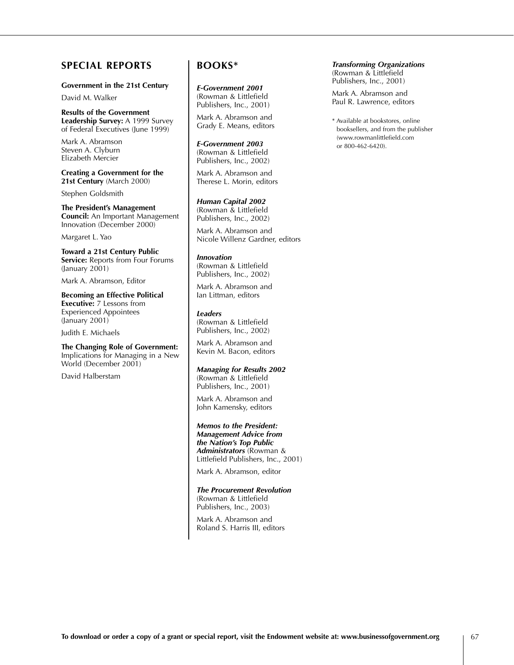## **SPECIAL REPORTS**

#### **Government in the 21st Century**

David M. Walker

**Results of the Government Leadership Survey:** A 1999 Survey of Federal Executives (June 1999)

Mark A. Abramson Steven A. Clyburn Elizabeth Mercier

**Creating a Government for the 21st Century** (March 2000)

Stephen Goldsmith

**The President's Management Council:** An Important Management Innovation (December 2000)

Margaret L. Yao

**Toward a 21st Century Public**  Service: Reports from Four Forums (January 2001)

Mark A. Abramson, Editor

**Becoming an Effective Political Executive:** 7 Lessons from Experienced Appointees (January 2001)

Judith E. Michaels

**The Changing Role of Government:** Implications for Managing in a New World (December 2001)

David Halberstam

## **BOOKS\***

*E-Government 2001* (Rowman & Littlefield Publishers, Inc., 2001)

Mark A. Abramson and Grady E. Means, editors

*E-Government 2003* (Rowman & Littlefield Publishers, Inc., 2002)

Mark A. Abramson and Therese L. Morin, editors

#### *Human Capital 2002*

(Rowman & Littlefield Publishers, Inc., 2002)

Mark A. Abramson and Nicole Willenz Gardner, editors

#### *Innovation*

(Rowman & Littlefield Publishers, Inc., 2002)

Mark A. Abramson and Ian Littman, editors

#### *Leaders*

(Rowman & Littlefield Publishers, Inc., 2002)

Mark A. Abramson and Kevin M. Bacon, editors

#### *Managing for Results 2002*

(Rowman & Littlefield Publishers, Inc., 2001)

Mark A. Abramson and John Kamensky, editors

#### *Memos to the President:*

*Management Advice from the Nation's Top Public Administrators* (Rowman & Littlefield Publishers, Inc., 2001)

Mark A. Abramson, editor

#### *The Procurement Revolution* (Rowman & Littlefield

Publishers, Inc., 2003)

Mark A. Abramson and Roland S. Harris III, editors

#### *Transforming Organizations*

(Rowman & Littlefield Publishers, Inc., 2001)

Mark A. Abramson and Paul R. Lawrence, editors

\* Available at bookstores, online booksellers, and from the publisher (www.rowmanlittlefield.com or 800-462-6420).